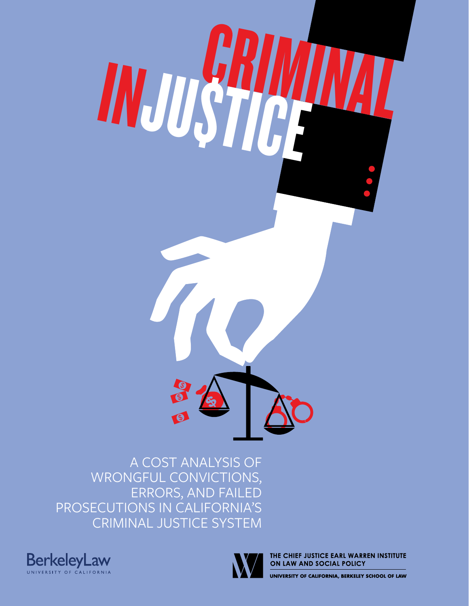

A COST ANALYSIS OF WRONGFUL CONVICTIONS, ERRORS, AND FAILED PROSECUTIONS IN CALIFORNIA'S CRIMINAL JUSTICE SYSTEM





THE CHIEF JUSTICE EARL WARREN INSTITUTE ON LAW AND SOCIAL POLICY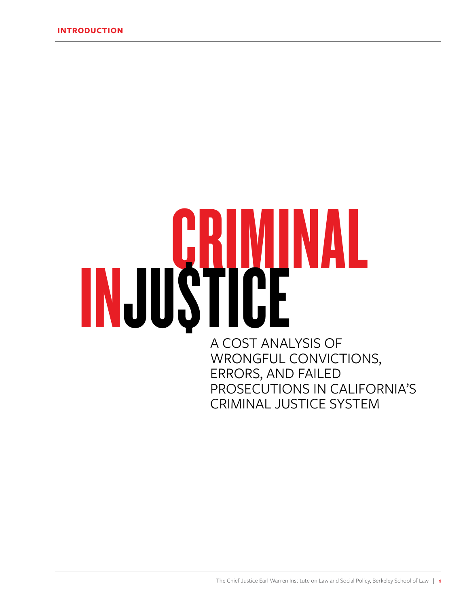# **CRIMINAL** A COST ANALYSIS OF WRONGFUL CONVICTIONS, ERRORS, AND FAILED PROSECUTIONS IN CALIFORNIA'S

CRIMINAL JUSTICE SYSTEM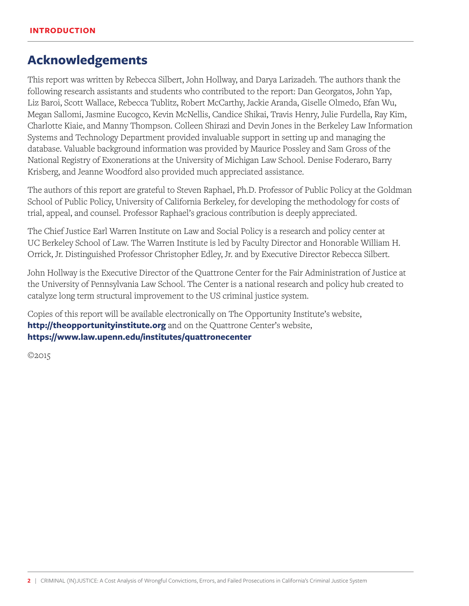## **Acknowledgements**

This report was written by Rebecca Silbert, John Hollway, and Darya Larizadeh. The authors thank the following research assistants and students who contributed to the report: Dan Georgatos, John Yap, Liz Baroi, Scott Wallace, Rebecca Tublitz, Robert McCarthy, Jackie Aranda, Giselle Olmedo, Efan Wu, Megan Sallomi, Jasmine Eucogco, Kevin McNellis, Candice Shikai, Travis Henry, Julie Furdella, Ray Kim, Charlotte Kiaie, and Manny Thompson. Colleen Shirazi and Devin Jones in the Berkeley Law Information Systems and Technology Department provided invaluable support in setting up and managing the database. Valuable background information was provided by Maurice Possley and Sam Gross of the National Registry of Exonerations at the University of Michigan Law School. Denise Foderaro, Barry Krisberg, and Jeanne Woodford also provided much appreciated assistance.

The authors of this report are grateful to Steven Raphael, Ph.D. Professor of Public Policy at the Goldman School of Public Policy, University of California Berkeley, for developing the methodology for costs of trial, appeal, and counsel. Professor Raphael's gracious contribution is deeply appreciated.

The Chief Justice Earl Warren Institute on Law and Social Policy is a research and policy center at UC Berkeley School of Law. The Warren Institute is led by Faculty Director and Honorable William H. Orrick, Jr. Distinguished Professor Christopher Edley, Jr. and by Executive Director Rebecca Silbert.

John Hollway is the Executive Director of the Quattrone Center for the Fair Administration of Justice at the University of Pennsylvania Law School. The Center is a national research and policy hub created to catalyze long term structural improvement to the US criminal justice system.

Copies of this report will be available electronically on The Opportunity Institute's website, **http://theopportunityinstitute.org** and on the Quattrone Center's website, **https://www.law.upenn.edu/institutes/quattronecenter**

©2015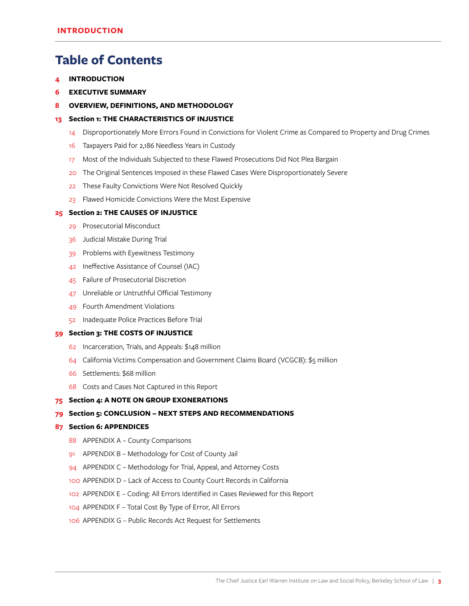## **Table of Contents**

- **[INTRODUCTION](#page-5-0)**
- **[EXECUTIVE SUMMARY](#page-7-0)**
- **[OVERVIEW, DEFINITIONS, AND METHODOLOGY](#page-9-0)**
- **Section 1: [THE CHARACTERISTICS OF INJUSTICE](#page-14-0)**
	- [Disproportionately More Errors Found in Convictions for Violent Crime as Compared to Property and Drug Crimes](#page-15-0)
	- [Taxpayers Paid for 2,186 Needless Years in Custody](#page-17-0)
	- [Most of the Individuals Subjected to these Flawed Prosecutions Did Not Plea Bargain](#page-18-0)
	- [The Original Sentences Imposed in these Flawed Cases Were Disproportionately Severe](#page-21-0)
	- [22 These Faulty Convictions Were Not Resolved Quickly](#page-23-0)
	- [Flawed Homicide Convictions Were the Most Expensive](#page-24-0)

#### **Section 2: [THE CAUSES OF INJUSTICE](#page-26-0)**

- [Prosecutorial Misconduct](#page-30-0)
- [Judicial Mistake During Trial](#page-37-0)
- [Problems with Eyewitness Testimony](#page-40-0)
- [Ineffective Assistance of Counsel \(IAC\)](#page-43-0)
- [Failure of Prosecutorial Discretion](#page-46-0)
- [Unreliable or Untruthful Official Testimony](#page-48-0)
- [Fourth Amendment Violations](#page-50-0)
- [Inadequate Police Practices Before Trial](#page-53-0)

#### **Section 3: [THE COSTS OF INJUSTICE](#page-60-0)**

- [Incarceration, Trials, and Appeals: \\$148 million](#page-63-0)
- [California Victims Compensation and Government Claims Board \(VCGCB\): \\$5 million](#page-65-0)
- [Settlements: \\$68 million](#page-67-0)
- [Costs and Cases Not Captured in this Report](#page-69-0)

#### **[Section 4: A NOTE ON GROUP EXONERATIONS](#page-76-0)**

#### **Section 5: [CONCLUSION – NEXT STEPS AND RECOMMENDATIONS](#page-80-0)**

#### **[Section 6: APPENDICES](#page-88-0)**

- 88 APPENDIX A County Comparisons
- [APPENDIX B Methodology for Cost of County Jail](#page-92-0)
- 94 APPENDIX C Methodology for Trial, Appeal, and Attorney Costs
- [APPENDIX D Lack of Access to County Court Records in California](#page-101-0)
- [APPENDIX E Coding: All Errors Identified in Cases Reviewed for this Report](#page-103-0)
- [APPENDIX F Total Cost By Type of Error, All Errors](#page-105-0)
- [APPENDIX G Public Records Act Request for Settlements](#page-107-0)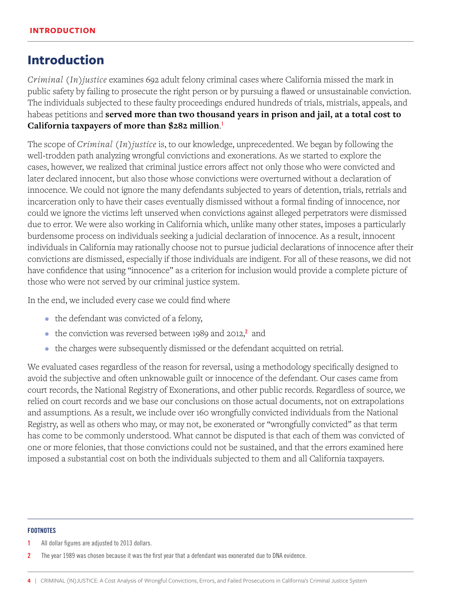## <span id="page-5-0"></span>**Introduction**

*Criminal (In)justice* examines 692 adult felony criminal cases where California missed the mark in public safety by failing to prosecute the right person or by pursuing a flawed or unsustainable conviction. The individuals subjected to these faulty proceedings endured hundreds of trials, mistrials, appeals, and habeas petitions and **served more than two thousand years in prison and jail, at a total cost to California taxpayers of more than \$282 million**. 1

The scope of *Criminal (In)justice* is, to our knowledge, unprecedented. We began by following the well-trodden path analyzing wrongful convictions and exonerations. As we started to explore the cases, however, we realized that criminal justice errors affect not only those who were convicted and later declared innocent, but also those whose convictions were overturned without a declaration of innocence. We could not ignore the many defendants subjected to years of detention, trials, retrials and incarceration only to have their cases eventually dismissed without a formal finding of innocence, nor could we ignore the victims left unserved when convictions against alleged perpetrators were dismissed due to error. We were also working in California which, unlike many other states, imposes a particularly burdensome process on individuals seeking a judicial declaration of innocence. As a result, innocent individuals in California may rationally choose not to pursue judicial declarations of innocence after their convictions are dismissed, especially if those individuals are indigent. For all of these reasons, we did not have confidence that using "innocence" as a criterion for inclusion would provide a complete picture of those who were not served by our criminal justice system.

In the end, we included every case we could find where

- the defendant was convicted of a felony,
- $\bullet\;$  the conviction was reversed between 1989 and 2012, $^2$  and
- the charges were subsequently dismissed or the defendant acquitted on retrial.

We evaluated cases regardless of the reason for reversal, using a methodology specifically designed to avoid the subjective and often unknowable guilt or innocence of the defendant. Our cases came from court records, the National Registry of Exonerations, and other public records. Regardless of source, we relied on court records and we base our conclusions on those actual documents, not on extrapolations and assumptions. As a result, we include over 160 wrongfully convicted individuals from the National Registry, as well as others who may, or may not, be exonerated or "wrongfully convicted" as that term has come to be commonly understood. What cannot be disputed is that each of them was convicted of one or more felonies, that those convictions could not be sustained, and that the errors examined here imposed a substantial cost on both the individuals subjected to them and all California taxpayers.

<sup>1</sup> All dollar figures are adjusted to 2013 dollars.

<sup>2</sup> The year 1989 was chosen because it was the first year that a defendant was exonerated due to DNA evidence.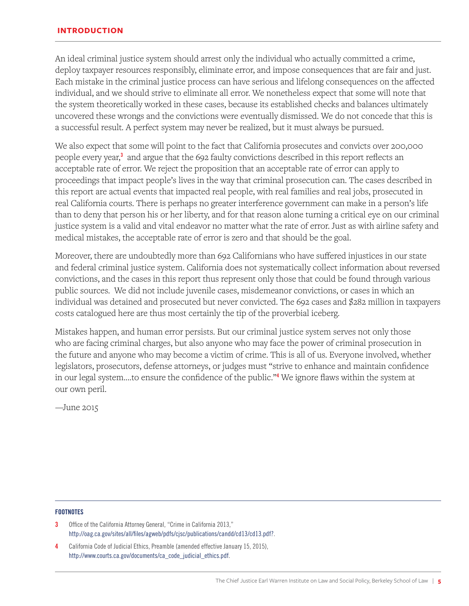#### **INTRODUCTION**

An ideal criminal justice system should arrest only the individual who actually committed a crime, deploy taxpayer resources responsibly, eliminate error, and impose consequences that are fair and just. Each mistake in the criminal justice process can have serious and lifelong consequences on the affected individual, and we should strive to eliminate all error. We nonetheless expect that some will note that the system theoretically worked in these cases, because its established checks and balances ultimately uncovered these wrongs and the convictions were eventually dismissed. We do not concede that this is a successful result. A perfect system may never be realized, but it must always be pursued.

We also expect that some will point to the fact that California prosecutes and convicts over 200,000 people every year,<sup>3</sup> and argue that the 692 faulty convictions described in this report reflects an acceptable rate of error. We reject the proposition that an acceptable rate of error can apply to proceedings that impact people's lives in the way that criminal prosecution can. The cases described in this report are actual events that impacted real people, with real families and real jobs, prosecuted in real California courts. There is perhaps no greater interference government can make in a person's life than to deny that person his or her liberty, and for that reason alone turning a critical eye on our criminal justice system is a valid and vital endeavor no matter what the rate of error. Just as with airline safety and medical mistakes, the acceptable rate of error is zero and that should be the goal.

Moreover, there are undoubtedly more than 692 Californians who have suffered injustices in our state and federal criminal justice system. California does not systematically collect information about reversed convictions, and the cases in this report thus represent only those that could be found through various public sources. We did not include juvenile cases, misdemeanor convictions, or cases in which an individual was detained and prosecuted but never convicted. The 692 cases and \$282 million in taxpayers costs catalogued here are thus most certainly the tip of the proverbial iceberg.

Mistakes happen, and human error persists. But our criminal justice system serves not only those who are facing criminal charges, but also anyone who may face the power of criminal prosecution in the future and anyone who may become a victim of crime. This is all of us. Everyone involved, whether legislators, prosecutors, defense attorneys, or judges must "strive to enhance and maintain confidence in our legal system....to ensure the confidence of the public."<sup>4</sup> We ignore flaws within the system at our own peril.

—June 2015

- 3 Office of the California Attorney General, "Crime in California 2013," http://oag.ca.gov/sites/all/files/agweb/pdfs/cjsc/publications/candd/cd13/cd13.pdf?.
- 4 California Code of Judicial Ethics, Preamble (amended effective January 15, 2015), http://www.courts.ca.gov/documents/ca\_code\_judicial\_ethics.pdf.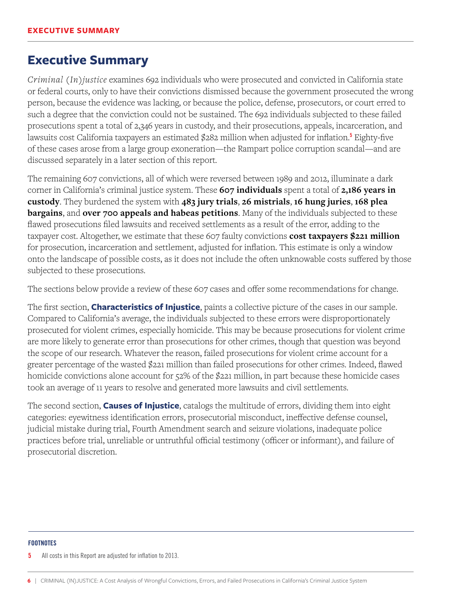## <span id="page-7-0"></span>**Executive Summary**

*Criminal (In)justice* examines 692 individuals who were prosecuted and convicted in California state or federal courts, only to have their convictions dismissed because the government prosecuted the wrong person, because the evidence was lacking, or because the police, defense, prosecutors, or court erred to such a degree that the conviction could not be sustained. The 692 individuals subjected to these failed prosecutions spent a total of 2,346 years in custody, and their prosecutions, appeals, incarceration, and lawsuits cost California taxpayers an estimated \$282 million when adjusted for inflation.<sup>5</sup> Eighty-five of these cases arose from a large group exoneration—the Rampart police corruption scandal—and are discussed separately in a later section of this report.

The remaining 607 convictions, all of which were reversed between 1989 and 2012, illuminate a dark corner in California's criminal justice system. These **607 individuals** spent a total of **2,186 years in custody**. They burdened the system with **483 jury trials**, **26 mistrials**, **16 hung juries**, **168 plea bargains**, and **over 700 appeals and habeas petitions**. Many of the individuals subjected to these flawed prosecutions filed lawsuits and received settlements as a result of the error, adding to the taxpayer cost. Altogether, we estimate that these 607 faulty convictions **cost taxpayers \$221 million** for prosecution, incarceration and settlement, adjusted for inflation. This estimate is only a window onto the landscape of possible costs, as it does not include the often unknowable costs suffered by those subjected to these prosecutions.

The sections below provide a review of these 607 cases and offer some recommendations for change.

The first section, **Characteristics of Injustice**, paints a collective picture of the cases in our sample. Compared to California's average, the individuals subjected to these errors were disproportionately prosecuted for violent crimes, especially homicide. This may be because prosecutions for violent crime are more likely to generate error than prosecutions for other crimes, though that question was beyond the scope of our research. Whatever the reason, failed prosecutions for violent crime account for a greater percentage of the wasted \$221 million than failed prosecutions for other crimes. Indeed, flawed homicide convictions alone account for 52% of the \$221 million, in part because these homicide cases took an average of 11 years to resolve and generated more lawsuits and civil settlements.

The second section, **Causes of Injustice**, catalogs the multitude of errors, dividing them into eight categories: eyewitness identification errors, prosecutorial misconduct, ineffective defense counsel, judicial mistake during trial, Fourth Amendment search and seizure violations, inadequate police practices before trial, unreliable or untruthful official testimony (officer or informant), and failure of prosecutorial discretion.

#### **FOOTNOTES**

All costs in this Report are adjusted for inflation to 2013.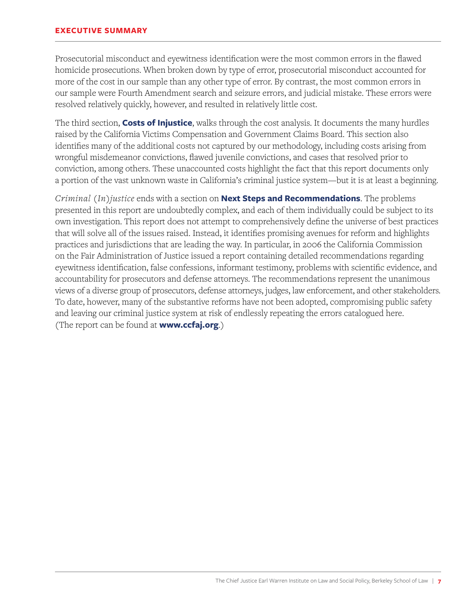Prosecutorial misconduct and eyewitness identification were the most common errors in the flawed homicide prosecutions. When broken down by type of error, prosecutorial misconduct accounted for more of the cost in our sample than any other type of error. By contrast, the most common errors in our sample were Fourth Amendment search and seizure errors, and judicial mistake. These errors were resolved relatively quickly, however, and resulted in relatively little cost.

The third section, **Costs of Injustice**, walks through the cost analysis. It documents the many hurdles raised by the California Victims Compensation and Government Claims Board. This section also identifies many of the additional costs not captured by our methodology, including costs arising from wrongful misdemeanor convictions, flawed juvenile convictions, and cases that resolved prior to conviction, among others. These unaccounted costs highlight the fact that this report documents only a portion of the vast unknown waste in California's criminal justice system—but it is at least a beginning.

*Criminal (In)justice* ends with a section on **Next Steps and Recommendations**. The problems presented in this report are undoubtedly complex, and each of them individually could be subject to its own investigation. This report does not attempt to comprehensively define the universe of best practices that will solve all of the issues raised. Instead, it identifies promising avenues for reform and highlights practices and jurisdictions that are leading the way. In particular, in 2006 the California Commission on the Fair Administration of Justice issued a report containing detailed recommendations regarding eyewitness identification, false confessions, informant testimony, problems with scientific evidence, and accountability for prosecutors and defense attorneys. The recommendations represent the unanimous views of a diverse group of prosecutors, defense attorneys, judges, law enforcement, and other stakeholders. To date, however, many of the substantive reforms have not been adopted, compromising public safety and leaving our criminal justice system at risk of endlessly repeating the errors catalogued here. (The report can be found at **www.ccfaj.org**.)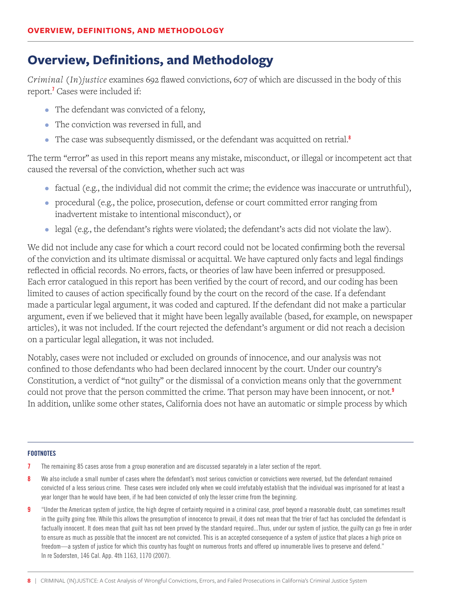## <span id="page-9-0"></span>**Overview, Definitions, and Methodology**

*Criminal (In)justice* examines 692 flawed convictions, 607 of which are discussed in the body of this report.' Cases were included if:

- The defendant was convicted of a felony,
- The conviction was reversed in full, and
- The case was subsequently dismissed, or the defendant was acquitted on retrial.<sup>8</sup>

The term "error" as used in this report means any mistake, misconduct, or illegal or incompetent act that caused the reversal of the conviction, whether such act was

- factual (e.g., the individual did not commit the crime; the evidence was inaccurate or untruthful),
- procedural (e.g., the police, prosecution, defense or court committed error ranging from inadvertent mistake to intentional misconduct), or
- legal (e.g., the defendant's rights were violated; the defendant's acts did not violate the law).

We did not include any case for which a court record could not be located confirming both the reversal of the conviction and its ultimate dismissal or acquittal. We have captured only facts and legal findings reflected in official records. No errors, facts, or theories of law have been inferred or presupposed. Each error catalogued in this report has been verified by the court of record, and our coding has been limited to causes of action specifically found by the court on the record of the case. If a defendant made a particular legal argument, it was coded and captured. If the defendant did not make a particular argument, even if we believed that it might have been legally available (based, for example, on newspaper articles), it was not included. If the court rejected the defendant's argument or did not reach a decision on a particular legal allegation, it was not included.

Notably, cases were not included or excluded on grounds of innocence, and our analysis was not confined to those defendants who had been declared innocent by the court. Under our country's Constitution, a verdict of "not guilty" or the dismissal of a conviction means only that the government could not prove that the person committed the crime. That person may have been innocent, or not.<sup>9</sup> In addition, unlike some other states, California does not have an automatic or simple process by which

- **7** The remaining 85 cases arose from a group exoneration and are discussed separately in a later section of the report.
- We also include a small number of cases where the defendant's most serious conviction or convictions were reversed, but the defendant remained convicted of a less serious crime. These cases were included only when we could irrefutably establish that the individual was imprisoned for at least a year longer than he would have been, if he had been convicted of only the lesser crime from the beginning.
- 9 "Under the American system of justice, the high degree of certainty required in a criminal case, proof beyond a reasonable doubt, can sometimes result in the guilty going free. While this allows the presumption of innocence to prevail, it does not mean that the trier of fact has concluded the defendant is factually innocent. It does mean that guilt has not been proved by the standard required...Thus, under our system of justice, the guilty can go free in order to ensure as much as possible that the innocent are not convicted. This is an accepted consequence of a system of justice that places a high price on freedom—a system of justice for which this country has fought on numerous fronts and offered up innumerable lives to preserve and defend." In re Sodersten, 146 Cal. App. 4th 1163, 1170 (2007).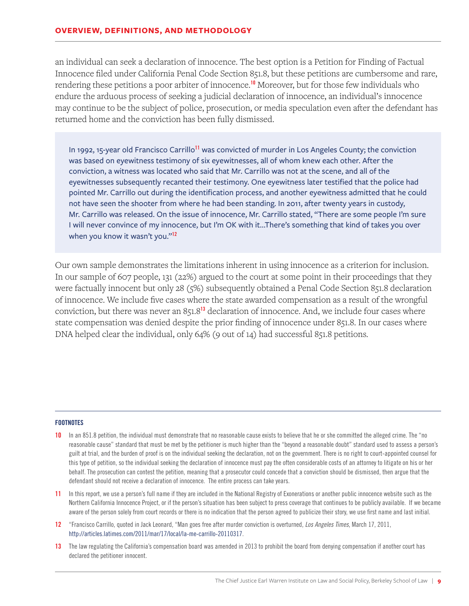an individual can seek a declaration of innocence. The best option is a Petition for Finding of Factual Innocence filed under California Penal Code Section 851.8, but these petitions are cumbersome and rare, rendering these petitions a poor arbiter of innocence.<sup>10</sup> Moreover, but for those few individuals who endure the arduous process of seeking a judicial declaration of innocence, an individual's innocence may continue to be the subject of police, prosecution, or media speculation even after the defendant has returned home and the conviction has been fully dismissed.

In 1992, 15-year old Francisco Carrillo<sup>11</sup> was convicted of murder in Los Angeles County; the conviction was based on eyewitness testimony of six eyewitnesses, all of whom knew each other. After the conviction, a witness was located who said that Mr. Carrillo was not at the scene, and all of the eyewitnesses subsequently recanted their testimony. One eyewitness later testified that the police had pointed Mr. Carrillo out during the identification process, and another eyewitness admitted that he could not have seen the shooter from where he had been standing. In 2011, after twenty years in custody, Mr. Carrillo was released. On the issue of innocence, Mr. Carrillo stated, "There are some people I'm sure I will never convince of my innocence, but I'm OK with it…There's something that kind of takes you over when you know it wasn't you."<sup>12</sup>

Our own sample demonstrates the limitations inherent in using innocence as a criterion for inclusion. In our sample of 607 people, 131 (22%) argued to the court at some point in their proceedings that they were factually innocent but only 28 (5%) subsequently obtained a Penal Code Section 851.8 declaration of innocence. We include five cases where the state awarded compensation as a result of the wrongful conviction, but there was never an 851.8<sup>13</sup> declaration of innocence. And, we include four cases where state compensation was denied despite the prior finding of innocence under 851.8. In our cases where DNA helped clear the individual, only 64% (9 out of 14) had successful 851.8 petitions.

- 10 In an 851.8 petition, the individual must demonstrate that no reasonable cause exists to believe that he or she committed the alleged crime. The "no reasonable cause" standard that must be met by the petitioner is much higher than the "beyond a reasonable doubt" standard used to assess a person's guilt at trial, and the burden of proof is on the individual seeking the declaration, not on the government. There is no right to court-appointed counsel for this type of petition, so the individual seeking the declaration of innocence must pay the often considerable costs of an attorney to litigate on his or her behalf. The prosecution can contest the petition, meaning that a prosecutor could concede that a conviction should be dismissed, then argue that the defendant should not receive a declaration of innocence. The entire process can take years.
- 11 In this report, we use a person's full name if they are included in the National Registry of Exonerations or another public innocence website such as the Northern California Innocence Project, or if the person's situation has been subject to press coverage that continues to be publicly available. If we became aware of the person solely from court records or there is no indication that the person agreed to publicize their story, we use first name and last initial.
- 12 "Francisco Carrillo, quoted in Jack Leonard, "Man goes free after murder conviction is overturned, *Los Angeles Times*, March 17, 2011, http://articles.latimes.com/2011/mar/17/local/la-me-carrillo-20110317.
- 13 The law regulating the California's compensation board was amended in 2013 to prohibit the board from denying compensation if another court has declared the petitioner innocent.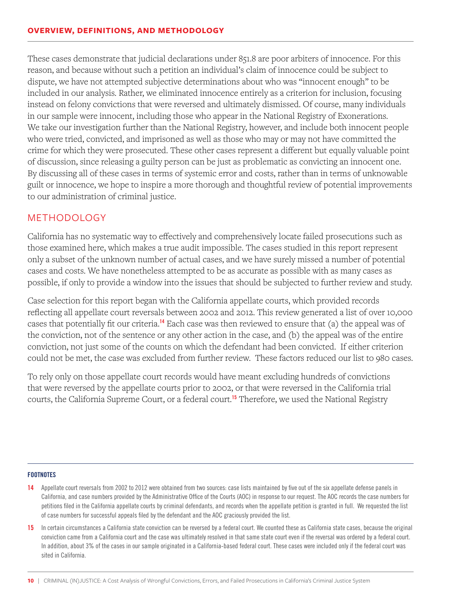These cases demonstrate that judicial declarations under 851.8 are poor arbiters of innocence. For this reason, and because without such a petition an individual's claim of innocence could be subject to dispute, we have not attempted subjective determinations about who was "innocent enough" to be included in our analysis. Rather, we eliminated innocence entirely as a criterion for inclusion, focusing instead on felony convictions that were reversed and ultimately dismissed. Of course, many individuals in our sample were innocent, including those who appear in the National Registry of Exonerations. We take our investigation further than the National Registry, however, and include both innocent people who were tried, convicted, and imprisoned as well as those who may or may not have committed the crime for which they were prosecuted. These other cases represent a different but equally valuable point of discussion, since releasing a guilty person can be just as problematic as convicting an innocent one. By discussing all of these cases in terms of systemic error and costs, rather than in terms of unknowable guilt or innocence, we hope to inspire a more thorough and thoughtful review of potential improvements to our administration of criminal justice.

#### METHODOLOGY

California has no systematic way to effectively and comprehensively locate failed prosecutions such as those examined here, which makes a true audit impossible. The cases studied in this report represent only a subset of the unknown number of actual cases, and we have surely missed a number of potential cases and costs. We have nonetheless attempted to be as accurate as possible with as many cases as possible, if only to provide a window into the issues that should be subjected to further review and study.

Case selection for this report began with the California appellate courts, which provided records reflecting all appellate court reversals between 2002 and 2012. This review generated a list of over 10,000 cases that potentially fit our criteria.<sup>14</sup> Each case was then reviewed to ensure that (a) the appeal was of the conviction, not of the sentence or any other action in the case, and (b) the appeal was of the entire conviction, not just some of the counts on which the defendant had been convicted. If either criterion could not be met, the case was excluded from further review. These factors reduced our list to 980 cases.

To rely only on those appellate court records would have meant excluding hundreds of convictions that were reversed by the appellate courts prior to 2002, or that were reversed in the California trial courts, the California Supreme Court, or a federal court.<sup>15</sup> Therefore, we used the National Registry

- 14 Appellate court reversals from 2002 to 2012 were obtained from two sources: case lists maintained by five out of the six appellate defense panels in California, and case numbers provided by the Administrative Office of the Courts (AOC) in response to our request. The AOC records the case numbers for petitions filed in the California appellate courts by criminal defendants, and records when the appellate petition is granted in full. We requested the list of case numbers for successful appeals filed by the defendant and the AOC graciously provided the list.
- 15 In certain circumstances a California state conviction can be reversed by a federal court. We counted these as California state cases, because the original conviction came from a California court and the case was ultimately resolved in that same state court even if the reversal was ordered by a federal court. In addition, about 3% of the cases in our sample originated in a California-based federal court. These cases were included only if the federal court was sited in California.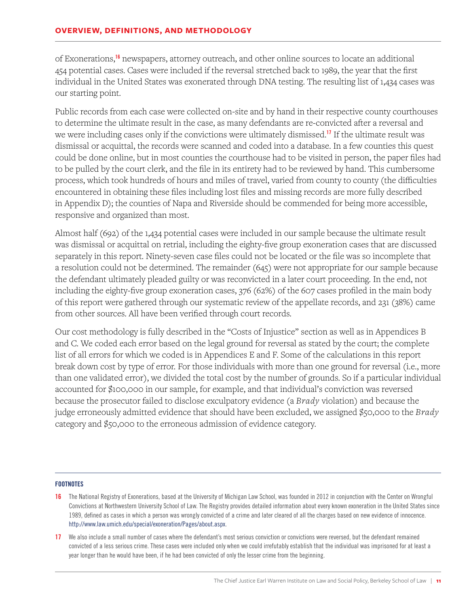of Exonerations,<sup>16</sup> newspapers, attorney outreach, and other online sources to locate an additional 454 potential cases. Cases were included if the reversal stretched back to 1989, the year that the first individual in the United States was exonerated through DNA testing. The resulting list of 1,434 cases was our starting point.

Public records from each case were collected on-site and by hand in their respective county courthouses to determine the ultimate result in the case, as many defendants are re-convicted after a reversal and we were including cases only if the convictions were ultimately dismissed.<sup>17</sup> If the ultimate result was dismissal or acquittal, the records were scanned and coded into a database. In a few counties this quest could be done online, but in most counties the courthouse had to be visited in person, the paper files had to be pulled by the court clerk, and the file in its entirety had to be reviewed by hand. This cumbersome process, which took hundreds of hours and miles of travel, varied from county to county (the difficulties encountered in obtaining these files including lost files and missing records are more fully described in Appendix D); the counties of Napa and Riverside should be commended for being more accessible, responsive and organized than most.

Almost half (692) of the 1,434 potential cases were included in our sample because the ultimate result was dismissal or acquittal on retrial, including the eighty-five group exoneration cases that are discussed separately in this report. Ninety-seven case files could not be located or the file was so incomplete that a resolution could not be determined. The remainder (645) were not appropriate for our sample because the defendant ultimately pleaded guilty or was reconvicted in a later court proceeding. In the end, not including the eighty-five group exoneration cases, 376 (62%) of the 607 cases profiled in the main body of this report were gathered through our systematic review of the appellate records, and 231 (38%) came from other sources. All have been verified through court records.

Our cost methodology is fully described in the "Costs of Injustice" section as well as in Appendices B and C. We coded each error based on the legal ground for reversal as stated by the court; the complete list of all errors for which we coded is in Appendices E and F. Some of the calculations in this report break down cost by type of error. For those individuals with more than one ground for reversal (i.e., more than one validated error), we divided the total cost by the number of grounds. So if a particular individual accounted for \$100,000 in our sample, for example, and that individual's conviction was reversed because the prosecutor failed to disclose exculpatory evidence (a *Brady* violation) and because the judge erroneously admitted evidence that should have been excluded, we assigned \$50,000 to the *Brady* category and \$50,000 to the erroneous admission of evidence category.

- 16 The National Registry of Exonerations, based at the University of Michigan Law School, was founded in 2012 in conjunction with the Center on Wrongful Convictions at Northwestern University School of Law. The Registry provides detailed information about every known exoneration in the United States since 1989, defined as cases in which a person was wrongly convicted of a crime and later cleared of all the charges based on new evidence of innocence. http://www.law.umich.edu/special/exoneration/Pages/about.aspx.
- 17 We also include a small number of cases where the defendant's most serious conviction or convictions were reversed, but the defendant remained convicted of a less serious crime. These cases were included only when we could irrefutably establish that the individual was imprisoned for at least a year longer than he would have been, if he had been convicted of only the lesser crime from the beginning.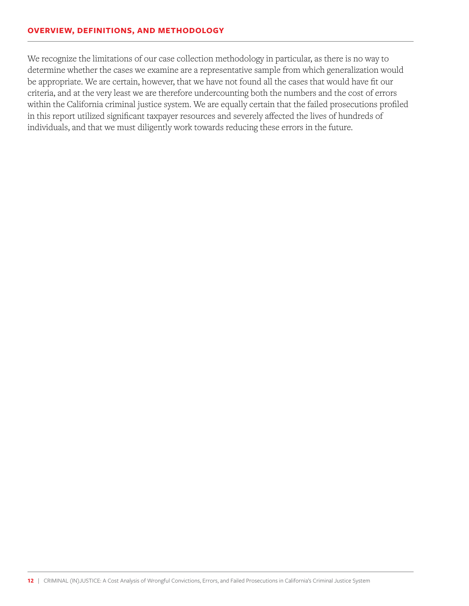#### **OVERVIEW, DEFINITIONS, AND METHODOLOGY**

We recognize the limitations of our case collection methodology in particular, as there is no way to determine whether the cases we examine are a representative sample from which generalization would be appropriate. We are certain, however, that we have not found all the cases that would have fit our criteria, and at the very least we are therefore undercounting both the numbers and the cost of errors within the California criminal justice system. We are equally certain that the failed prosecutions profiled in this report utilized significant taxpayer resources and severely affected the lives of hundreds of individuals, and that we must diligently work towards reducing these errors in the future.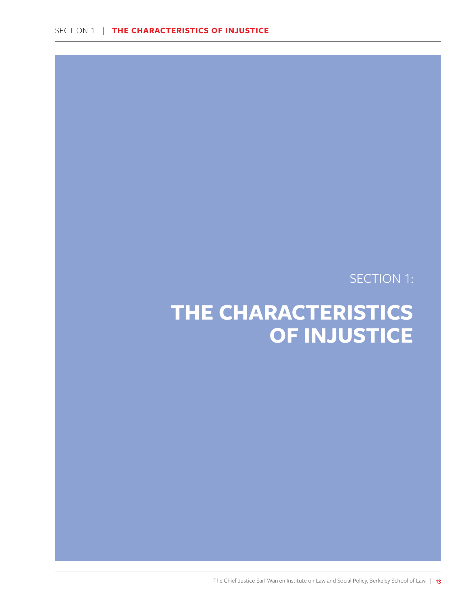SECTION 1:

## <span id="page-14-0"></span>**THE CHARACTERISTICS OF INJUSTICE**

The Chief Justice Earl Warren Institute on Law and Social Policy, Berkeley School of Law | **13**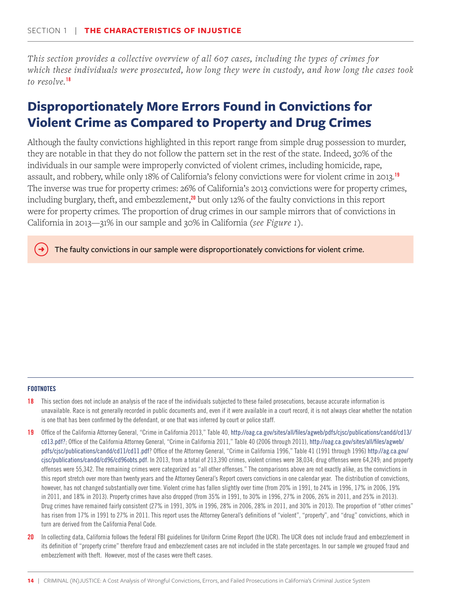<span id="page-15-0"></span>*This section provides a collective overview of all 607 cases, including the types of crimes for which these individuals were prosecuted, how long they were in custody, and how long the cases took to resolve.*<sup>18</sup>

## **Disproportionately More Errors Found in Convictions for Violent Crime as Compared to Property and Drug Crimes**

Although the faulty convictions highlighted in this report range from simple drug possession to murder, they are notable in that they do not follow the pattern set in the rest of the state. Indeed, 30% of the individuals in our sample were improperly convicted of violent crimes, including homicide, rape, assault, and robbery, while only 18% of California's felony convictions were for violent crime in 2013.<sup>19</sup> The inverse was true for property crimes: 26% of California's 2013 convictions were for property crimes, including burglary, theft, and embezzlement, $^{20}$  but only 12% of the faulty convictions in this report were for property crimes. The proportion of drug crimes in our sample mirrors that of convictions in California in 2013—31% in our sample and 30% in California (*see Figure 1*).

The faulty convictions in our sample were disproportionately convictions for violent crime.

#### **FOOTNOTES**

→

- **18** This section does not include an analysis of the race of the individuals subjected to these failed prosecutions, because accurate information is unavailable. Race is not generally recorded in public documents and, even if it were available in a court record, it is not always clear whether the notation is one that has been confirmed by the defendant, or one that was inferred by court or police staff.
- 19 Office of the California Attorney General, "Crime in California 2013," Table 40, http://oag.ca.gov/sites/all/files/agweb/pdfs/cjsc/publications/candd/cd13/ cd13.pdf?; Office of the California Attorney General, "Crime in California 2011," Table 40 (2006 through 2011), http://oag.ca.gov/sites/all/files/agweb/ pdfs/cjsc/publications/candd/cd11/cd11.pdf? Office of the Attorney General, "Crime in California 1996," Table 41 (1991 through 1996) http://ag.ca.gov/ cjsc/publications/candd/cd96/cd96obts.pdf. In 2013, from a total of 213,390 crimes, violent crimes were 38,034; drug offenses were 64,249; and property offenses were 55,342. The remaining crimes were categorized as "all other offenses." The comparisons above are not exactly alike, as the convictions in this report stretch over more than twenty years and the Attorney General's Report covers convictions in one calendar year. The distribution of convictions, however, has not changed substantially over time. Violent crime has fallen slightly over time (from 20% in 1991, to 24% in 1996, 17% in 2006, 19% in 2011, and 18% in 2013). Property crimes have also dropped (from 35% in 1991, to 30% in 1996, 27% in 2006, 26% in 2011, and 25% in 2013). Drug crimes have remained fairly consistent (27% in 1991, 30% in 1996, 28% in 2006, 28% in 2011, and 30% in 2013). The proportion of "other crimes" has risen from 17% in 1991 to 27% in 2011. This report uses the Attorney General's definitions of "violent", "property", and "drug" convictions, which in turn are derived from the California Penal Code.
- 20 In collecting data, California follows the federal FBI guidelines for Uniform Crime Report (the UCR). The UCR does not include fraud and embezzlement in its definition of "property crime" therefore fraud and embezzlement cases are not included in the state percentages. In our sample we grouped fraud and embezzlement with theft. However, most of the cases were theft cases.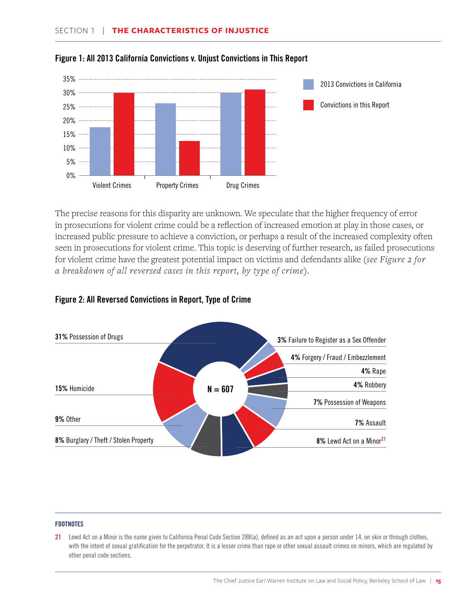



The precise reasons for this disparity are unknown. We speculate that the higher frequency of error in prosecutions for violent crime could be a reflection of increased emotion at play in those cases, or increased public pressure to achieve a conviction, or perhaps a result of the increased complexity often seen in prosecutions for violent crime. This topic is deserving of further research, as failed prosecutions for violent crime have the greatest potential impact on victims and defendants alike (*see Figure 2 for a breakdown of all reversed cases in this report, by type of crime*).



#### Figure 2: All Reversed Convictions in Report, Type of Crime

#### **FOOTNOTES**

21 Lewd Act on a Minor is the name given to California Penal Code Section 288(a), defined as an act upon a person under 14, on skin or through clothes, with the intent of sexual gratification for the perpetrator. It is a lesser crime than rape or other sexual assault crimes on minors, which are regulated by other penal code sections.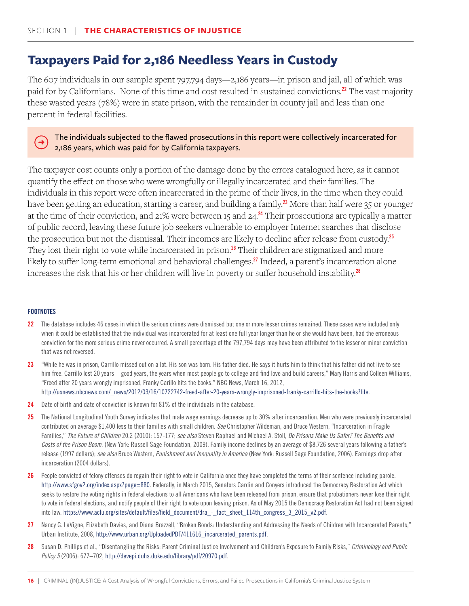## <span id="page-17-0"></span>**Taxpayers Paid for 2,186 Needless Years in Custody**

The 607 individuals in our sample spent 797,794 days—2,186 years—in prison and jail, all of which was paid for by Californians. None of this time and cost resulted in sustained convictions.<sup>22</sup> The vast majority these wasted years (78%) were in state prison, with the remainder in county jail and less than one percent in federal facilities.

#### The individuals subjected to the flawed prosecutions in this report were collectively incarcerated for 2,186 years, which was paid for by California taxpayers.

The taxpayer cost counts only a portion of the damage done by the errors catalogued here, as it cannot quantify the effect on those who were wrongfully or illegally incarcerated and their families. The individuals in this report were often incarcerated in the prime of their lives, in the time when they could have been getting an education, starting a career, and building a family.<sup>23</sup> More than half were 35 or younger at the time of their conviction, and 21% were between 15 and 24.<sup>24</sup> Their prosecutions are typically a matter of public record, leaving these future job seekers vulnerable to employer Internet searches that disclose the prosecution but not the dismissal. Their incomes are likely to decline after release from custody.<sup>25</sup> They lost their right to vote while incarcerated in prison.<sup>26</sup> Their children are stigmatized and more likely to suffer long-term emotional and behavioral challenges.<sup>27</sup> Indeed, a parent's incarceration alone increases the risk that his or her children will live in poverty or suffer household instability.<sup>28</sup>

#### **FOOTNOTES**

 $(\rightarrow)$ 

- 22 The database includes 46 cases in which the serious crimes were dismissed but one or more lesser crimes remained. These cases were included only when it could be established that the individual was incarcerated for at least one full year longer than he or she would have been, had the erroneous conviction for the more serious crime never occurred. A small percentage of the 797,794 days may have been attributed to the lesser or minor conviction that was not reversed.
- 23 "While he was in prison, Carrillo missed out on a lot. His son was born. His father died. He says it hurts him to think that his father did not live to see him free. Carrillo lost 20 years—good years, the years when most people go to college and find love and build careers," Mary Harris and Colleen Williams, "Freed after 20 years wrongly imprisoned, Franky Carillo hits the books," NBC News, March 16, 2012, http://usnews.nbcnews.com/\_news/2012/03/16/10722742-freed-after-20-years-wrongly-imprisoned-franky-carrillo-hits-the-books?lite.
- 24 Date of birth and date of conviction is known for 81% of the individuals in the database.
- 25 The National Longitudinal Youth Survey indicates that male wage earnings decrease up to 30% after incarceration. Men who were previously incarcerated contributed on average \$1,400 less to their families with small children. *See* Christopher Wildeman, and Bruce Western, "Incarceration in Fragile Families," *The Future of Children* 20.2 (2010): 157-177; *see also* Steven Raphael and Michael A. Stoll, *Do Prisons Make Us Safer? The Benefits and Costs of the Prison Boom*, (New York: Russell Sage Foundation, 2009). Family income declines by an average of \$8,726 several years following a father's release (1997 dollars); *see also* Bruce Western, *Punishment and Inequality in America* (New York: Russell Sage Foundation, 2006). Earnings drop after incarceration (2004 dollars).
- 26 People convicted of felony offenses do regain their right to vote in California once they have completed the terms of their sentence including parole. http://www.sfgov2.org/index.aspx?page=880. Federally, in March 2015, Senators Cardin and Conyers introduced the Democracy Restoration Act which seeks to restore the voting rights in federal elections to all Americans who have been released from prison, ensure that probationers never lose their right to vote in federal elections, and notify people of their right to vote upon leaving prison. As of May 2015 the Democracy Restoration Act had not been signed into law. https://www.aclu.org/sites/default/files/field\_document/dra\_-\_fact\_sheet\_114th\_congress\_3\_2015\_v2.pdf.
- 27 Nancy G. LaVigne, Elizabeth Davies, and Diana Brazzell, "Broken Bonds: Understanding and Addressing the Needs of Children with Incarcerated Parents," Urban Institute, 2008, http://www.urban.org/UploadedPDF/411616\_incarcerated\_parents.pdf.
- 28 Susan D. Phillips et al., "Disentangling the Risks: Parent Criminal Justice Involvement and Children's Exposure to Family Risks," *Criminology and Public Policy 5* (2006): 677–702, http://devepi.duhs.duke.edu/library/pdf/20970.pdf.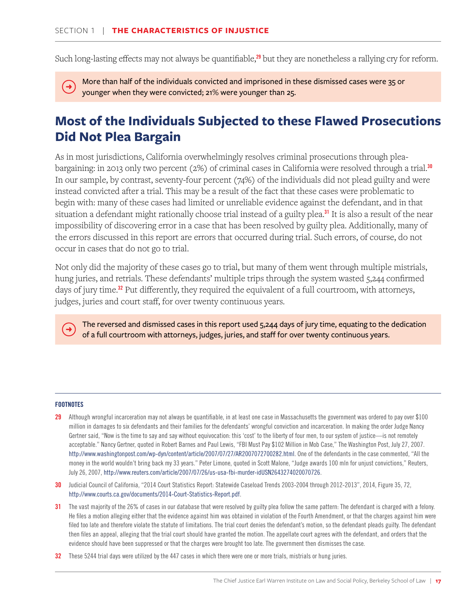<span id="page-18-0"></span>Such long-lasting effects may not always be quantifiable, $^{29}$  but they are nonetheless a rallying cry for reform.

More than half of the individuals convicted and imprisoned in these dismissed cases were 35 or  $\rightarrow$ younger when they were convicted; 21% were younger than 25.

## **Most of the Individuals Subjected to these Flawed Prosecutions Did Not Plea Bargain**

As in most jurisdictions, California overwhelmingly resolves criminal prosecutions through pleabargaining: in 2013 only two percent (2%) of criminal cases in California were resolved through a trial.<sup>30</sup> In our sample, by contrast, seventy-four percent (74%) of the individuals did not plead guilty and were instead convicted after a trial. This may be a result of the fact that these cases were problematic to begin with: many of these cases had limited or unreliable evidence against the defendant, and in that situation a defendant might rationally choose trial instead of a guilty plea.<sup>31</sup> It is also a result of the near impossibility of discovering error in a case that has been resolved by guilty plea. Additionally, many of the errors discussed in this report are errors that occurred during trial. Such errors, of course, do not occur in cases that do not go to trial.

Not only did the majority of these cases go to trial, but many of them went through multiple mistrials, hung juries, and retrials. These defendants' multiple trips through the system wasted 5,244 confirmed days of jury time.<sup>32</sup> Put differently, they required the equivalent of a full courtroom, with attorneys, judges, juries and court staff, for over twenty continuous years.

The reversed and dismissed cases in this report used 5,244 days of jury time, equating to the dedication of a full courtroom with attorneys, judges, juries, and staff for over twenty continuous years.

#### **FOOTNOTES**

 $\rightarrow$ 

- 29 Although wrongful incarceration may not always be quantifiable, in at least one case in Massachusetts the government was ordered to pay over \$100 million in damages to six defendants and their families for the defendants' wrongful conviction and incarceration. In making the order Judge Nancy Gertner said, "Now is the time to say and say without equivocation: this 'cost' to the liberty of four men, to our system of justice—is not remotely acceptable." Nancy Gertner, quoted in Robert Barnes and Paul Lewis, "FBI Must Pay \$102 Million in Mob Case," The Washington Post, July 27, 2007. http://www.washingtonpost.com/wp-dyn/content/article/2007/07/27/AR2007072700282.html. One of the defendants in the case commented, "All the money in the world wouldn't bring back my 33 years." Peter Limone, quoted in Scott Malone, "Judge awards 100 mln for unjust convictions," Reuters, July 26, 2007, http://www.reuters.com/article/2007/07/26/us-usa-fbi-murder-idUSN2643274020070726.
- 30 Judicial Council of California, "2014 Court Statistics Report: Statewide Caseload Trends 2003-2004 through 2012-2013", 2014, Figure 35, 72, http://www.courts.ca.gov/documents/2014-Court-Statistics-Report.pdf.
- 31 The vast majority of the 26% of cases in our database that were resolved by guilty plea follow the same pattern: The defendant is charged with a felony. He files a motion alleging either that the evidence against him was obtained in violation of the Fourth Amendment, or that the charges against him were filed too late and therefore violate the statute of limitations. The trial court denies the defendant's motion, so the defendant pleads guilty. The defendant then files an appeal, alleging that the trial court should have granted the motion. The appellate court agrees with the defendant, and orders that the evidence should have been suppressed or that the charges were brought too late. The government then dismisses the case.
- 32 These 5244 trial days were utilized by the 447 cases in which there were one or more trials, mistrials or hung juries.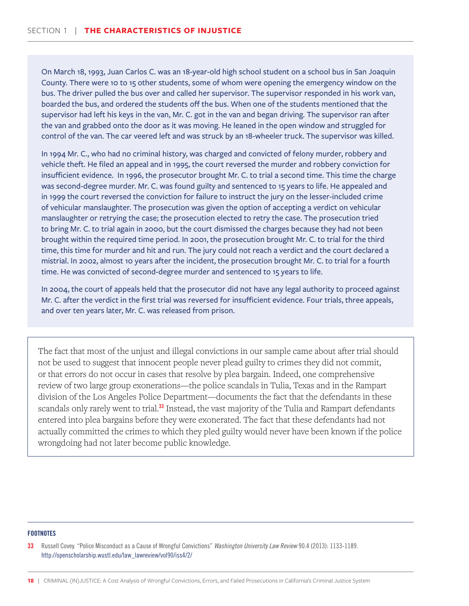On March 18, 1993, Juan Carlos C. was an 18-year-old high school student on a school bus in San Joaquin County. There were 10 to 15 other students, some of whom were opening the emergency window on the bus. The driver pulled the bus over and called her supervisor. The supervisor responded in his work van, boarded the bus, and ordered the students off the bus. When one of the students mentioned that the supervisor had left his keys in the van, Mr. C. got in the van and began driving. The supervisor ran after the van and grabbed onto the door as it was moving. He leaned in the open window and struggled for control of the van. The car veered left and was struck by an 18-wheeler truck. The supervisor was killed.

In 1994 Mr. C., who had no criminal history, was charged and convicted of felony murder, robbery and vehicle theft. He filed an appeal and in 1995, the court reversed the murder and robbery conviction for insufficient evidence. In 1996, the prosecutor brought Mr. C. to trial a second time. This time the charge was second-degree murder. Mr. C. was found guilty and sentenced to 15 years to life. He appealed and in 1999 the court reversed the conviction for failure to instruct the jury on the lesser-included crime of vehicular manslaughter. The prosecution was given the option of accepting a verdict on vehicular manslaughter or retrying the case; the prosecution elected to retry the case. The prosecution tried to bring Mr. C. to trial again in 2000, but the court dismissed the charges because they had not been brought within the required time period. In 2001, the prosecution brought Mr. C. to trial for the third time, this time for murder and hit and run. The jury could not reach a verdict and the court declared a mistrial. In 2002, almost 10 years after the incident, the prosecution brought Mr. C. to trial for a fourth time. He was convicted of second-degree murder and sentenced to 15 years to life.

In 2004, the court of appeals held that the prosecutor did not have any legal authority to proceed against Mr. C. after the verdict in the first trial was reversed for insufficient evidence. Four trials, three appeals, and over ten years later, Mr. C. was released from prison.

The fact that most of the unjust and illegal convictions in our sample came about after trial should not be used to suggest that innocent people never plead guilty to crimes they did not commit, or that errors do not occur in cases that resolve by plea bargain. Indeed, one comprehensive review of two large group exonerations—the police scandals in Tulia, Texas and in the Rampart division of the Los Angeles Police Department—documents the fact that the defendants in these scandals only rarely went to trial.<sup>33</sup> Instead, the vast majority of the Tulia and Rampart defendants entered into plea bargains before they were exonerated. The fact that these defendants had not actually committed the crimes to which they pled guilty would never have been known if the police wrongdoing had not later become public knowledge.

#### **FOOTNOTES**

33 Russell Covey. "Police Misconduct as a Cause of Wrongful Convictions" *Washington University Law Review* 90.4 (2013): 1133-1189. http://openscholarship.wustl.edu/law\_lawreview/vol90/iss4/2/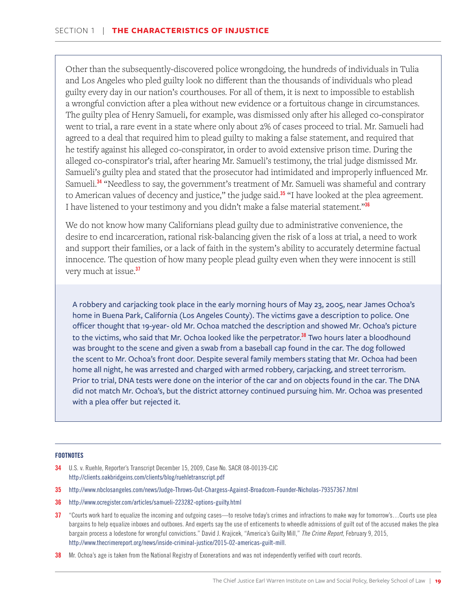Other than the subsequently-discovered police wrongdoing, the hundreds of individuals in Tulia and Los Angeles who pled guilty look no different than the thousands of individuals who plead guilty every day in our nation's courthouses. For all of them, it is next to impossible to establish a wrongful conviction after a plea without new evidence or a fortuitous change in circumstances. The guilty plea of Henry Samueli, for example, was dismissed only after his alleged co-conspirator went to trial, a rare event in a state where only about 2% of cases proceed to trial. Mr. Samueli had agreed to a deal that required him to plead guilty to making a false statement, and required that he testify against his alleged co-conspirator, in order to avoid extensive prison time. During the alleged co-conspirator's trial, after hearing Mr. Samueli's testimony, the trial judge dismissed Mr. Samueli's guilty plea and stated that the prosecutor had intimidated and improperly influenced Mr. Samueli.<sup>34</sup> "Needless to say, the government's treatment of Mr. Samueli was shameful and contrary to American values of decency and justice," the judge said.<sup>35</sup> "I have looked at the plea agreement. I have listened to your testimony and you didn't make a false material statement."<sup>36</sup>

We do not know how many Californians plead guilty due to administrative convenience, the desire to end incarceration, rational risk-balancing given the risk of a loss at trial, a need to work and support their families, or a lack of faith in the system's ability to accurately determine factual innocence. The question of how many people plead guilty even when they were innocent is still very much at issue.<sup>37</sup>

A robbery and carjacking took place in the early morning hours of May 23, 2005, near James Ochoa's home in Buena Park, California (Los Angeles County). The victims gave a description to police. One officer thought that 19-year- old Mr. Ochoa matched the description and showed Mr. Ochoa's picture to the victims, who said that Mr. Ochoa looked like the perpetrator.<sup>38</sup> Two hours later a bloodhound was brought to the scene and given a swab from a baseball cap found in the car. The dog followed the scent to Mr. Ochoa's front door. Despite several family members stating that Mr. Ochoa had been home all night, he was arrested and charged with armed robbery, carjacking, and street terrorism. Prior to trial, DNA tests were done on the interior of the car and on objects found in the car. The DNA did not match Mr. Ochoa's, but the district attorney continued pursuing him. Mr. Ochoa was presented with a plea offer but rejected it.

- 34 U.S. v. Ruehle, Reporter's Transcript December 15, 2009, Case No. SACR 08-00139-CJC http://clients.oakbridgeins.com/clients/blog/ruehletranscript.pdf
- 35 http://www.nbclosangeles.com/news/Judge-Throws-Out-Chargess-Against-Broadcom-Founder-Nicholas-79357367.html
- 36 http://www.ocregister.com/articles/samueli-223282-options-guilty.html
- 37 "Courts work hard to equalize the incoming and outgoing cases—to resolve today's crimes and infractions to make way for tomorrow's...Courts use plea bargains to help equalize inboxes and outboxes. And experts say the use of enticements to wheedle admissions of guilt out of the accused makes the plea bargain process a lodestone for wrongful convictions." David J. Krajicek, "America's Guilty Mill," *The Crime Report*, February 9, 2015, http://www.thecrimereport.org/news/inside-criminal-justice/2015-02-americas-guilt-mill.
- 38 Mr. Ochoa's age is taken from the National Registry of Exonerations and was not independently verified with court records.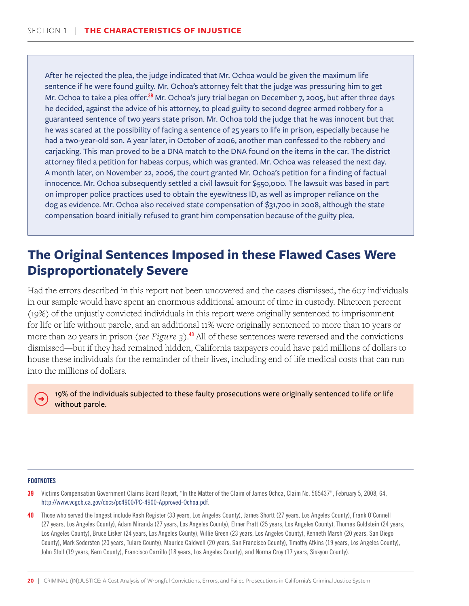<span id="page-21-0"></span>After he rejected the plea, the judge indicated that Mr. Ochoa would be given the maximum life sentence if he were found guilty. Mr. Ochoa's attorney felt that the judge was pressuring him to get Mr. Ochoa to take a plea offer.<sup>39</sup> Mr. Ochoa's jury trial began on December 7, 2005, but after three days he decided, against the advice of his attorney, to plead guilty to second degree armed robbery for a guaranteed sentence of two years state prison. Mr. Ochoa told the judge that he was innocent but that he was scared at the possibility of facing a sentence of 25 years to life in prison, especially because he had a two-year-old son. A year later, in October of 2006, another man confessed to the robbery and carjacking. This man proved to be a DNA match to the DNA found on the items in the car. The district attorney filed a petition for habeas corpus, which was granted. Mr. Ochoa was released the next day. A month later, on November 22, 2006, the court granted Mr. Ochoa's petition for a finding of factual innocence. Mr. Ochoa subsequently settled a civil lawsuit for \$550,000. The lawsuit was based in part on improper police practices used to obtain the eyewitness ID, as well as improper reliance on the dog as evidence. Mr. Ochoa also received state compensation of \$31,700 in 2008, although the state compensation board initially refused to grant him compensation because of the guilty plea.

## **The Original Sentences Imposed in these Flawed Cases Were Disproportionately Severe**

Had the errors described in this report not been uncovered and the cases dismissed, the 607 individuals in our sample would have spent an enormous additional amount of time in custody. Nineteen percent (19%) of the unjustly convicted individuals in this report were originally sentenced to imprisonment for life or life without parole, and an additional 11% were originally sentenced to more than 10 years or more than 20 years in prison (*see Figure 3*).<sup>40</sup> All of these sentences were reversed and the convictions dismissed—but if they had remained hidden, California taxpayers could have paid millions of dollars to house these individuals for the remainder of their lives, including end of life medical costs that can run into the millions of dollars.

19% of the individuals subjected to these faulty prosecutions were originally sentenced to life or life without parole.

- 39 Victims Compensation Government Claims Board Report, "In the Matter of the Claim of James Ochoa, Claim No. 565437", February 5, 2008, 64, http://www.vcgcb.ca.gov/docs/pc4900/PC-4900-Approved-Ochoa.pdf.
- 40 Those who served the longest include Kash Register (33 years, Los Angeles County), James Shortt (27 years, Los Angeles County), Frank O'Connell (27 years, Los Angeles County), Adam Miranda (27 years, Los Angeles County), Elmer Pratt (25 years, Los Angeles County), Thomas Goldstein (24 years, Los Angeles County), Bruce Lisker (24 years, Los Angeles County), Willie Green (23 years, Los Angeles County), Kenneth Marsh (20 years, San Diego County), Mark Sodersten (20 years, Tulare County), Maurice Caldwell (20 years, San Francisco County), Timothy Atkins (19 years, Los Angeles County), John Stoll (19 years, Kern County), Francisco Carrillo (18 years, Los Angeles County), and Norma Croy (17 years, Siskyou County).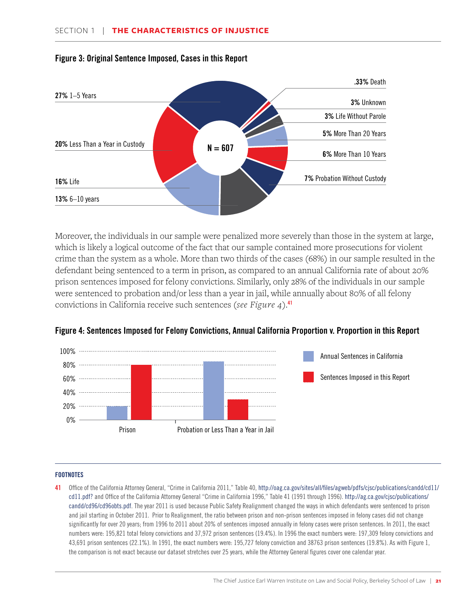

#### Figure 3: Original Sentence Imposed, Cases in this Report

Moreover, the individuals in our sample were penalized more severely than those in the system at large, which is likely a logical outcome of the fact that our sample contained more prosecutions for violent crime than the system as a whole. More than two thirds of the cases (68%) in our sample resulted in the defendant being sentenced to a term in prison, as compared to an annual California rate of about 20% prison sentences imposed for felony convictions. Similarly, only 28% of the individuals in our sample were sentenced to probation and/or less than a year in jail, while annually about 80% of all felony convictions in California receive such sentences (*see Figure 4*).41



#### Figure 4: Sentences Imposed for Felony Convictions, Annual California Proportion v. Proportion in this Report

#### **FOOTNOTES**

41 Office of the California Attorney General, "Crime in California 2011," Table 40, http://oag.ca.gov/sites/all/files/agweb/pdfs/cjsc/publications/candd/cd11/ cd11.pdf? and Office of the California Attorney General "Crime in California 1996," Table 41 (1991 through 1996). http://ag.ca.gov/cjsc/publications/ candd/cd96/cd96obts.pdf. The year 2011 is used because Public Safety Realignment changed the ways in which defendants were sentenced to prison and jail starting in October 2011. Prior to Realignment, the ratio between prison and non-prison sentences imposed in felony cases did not change significantly for over 20 years; from 1996 to 2011 about 20% of sentences imposed annually in felony cases were prison sentences. In 2011, the exact numbers were: 195,821 total felony convictions and 37,972 prison sentences (19.4%). In 1996 the exact numbers were: 197,309 felony convictions and 43,691 prison sentences (22.1%). In 1991, the exact numbers were: 195,727 felony conviction and 38763 prison sentences (19.8%). As with Figure 1, the comparison is not exact because our dataset stretches over 25 years, while the Attorney General figures cover one calendar year.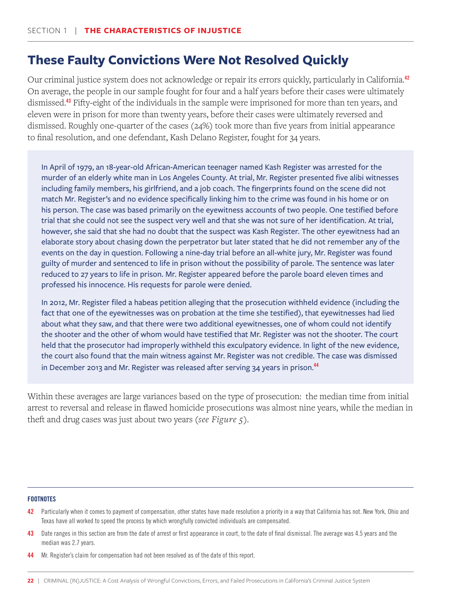## <span id="page-23-0"></span>**These Faulty Convictions Were Not Resolved Quickly**

Our criminal justice system does not acknowledge or repair its errors quickly, particularly in California.<sup>42</sup> On average, the people in our sample fought for four and a half years before their cases were ultimately dismissed.<sup>43</sup> Fifty-eight of the individuals in the sample were imprisoned for more than ten years, and eleven were in prison for more than twenty years, before their cases were ultimately reversed and dismissed. Roughly one-quarter of the cases (24%) took more than five years from initial appearance to final resolution, and one defendant, Kash Delano Register, fought for 34 years.

In April of 1979, an 18-year-old African-American teenager named Kash Register was arrested for the murder of an elderly white man in Los Angeles County. At trial, Mr. Register presented five alibi witnesses including family members, his girlfriend, and a job coach. The fingerprints found on the scene did not match Mr. Register's and no evidence specifically linking him to the crime was found in his home or on his person. The case was based primarily on the eyewitness accounts of two people. One testified before trial that she could not see the suspect very well and that she was not sure of her identification. At trial, however, she said that she had no doubt that the suspect was Kash Register. The other eyewitness had an elaborate story about chasing down the perpetrator but later stated that he did not remember any of the events on the day in question. Following a nine-day trial before an all-white jury, Mr. Register was found guilty of murder and sentenced to life in prison without the possibility of parole. The sentence was later reduced to 27 years to life in prison. Mr. Register appeared before the parole board eleven times and professed his innocence. His requests for parole were denied.

In 2012, Mr. Register filed a habeas petition alleging that the prosecution withheld evidence (including the fact that one of the eyewitnesses was on probation at the time she testified), that eyewitnesses had lied about what they saw, and that there were two additional eyewitnesses, one of whom could not identify the shooter and the other of whom would have testified that Mr. Register was not the shooter. The court held that the prosecutor had improperly withheld this exculpatory evidence. In light of the new evidence, the court also found that the main witness against Mr. Register was not credible. The case was dismissed in December 2013 and Mr. Register was released after serving 34 years in prison.<sup>44</sup>

Within these averages are large variances based on the type of prosecution: the median time from initial arrest to reversal and release in flawed homicide prosecutions was almost nine years, while the median in theft and drug cases was just about two years (*see Figure 5*).

- 42 Particularly when it comes to payment of compensation, other states have made resolution a priority in a way that California has not. New York, Ohio and Texas have all worked to speed the process by which wrongfully convicted individuals are compensated.
- 43 Date ranges in this section are from the date of arrest or first appearance in court, to the date of final dismissal. The average was 4.5 years and the median was 2.7 years.

<sup>44</sup> Mr. Register's claim for compensation had not been resolved as of the date of this report.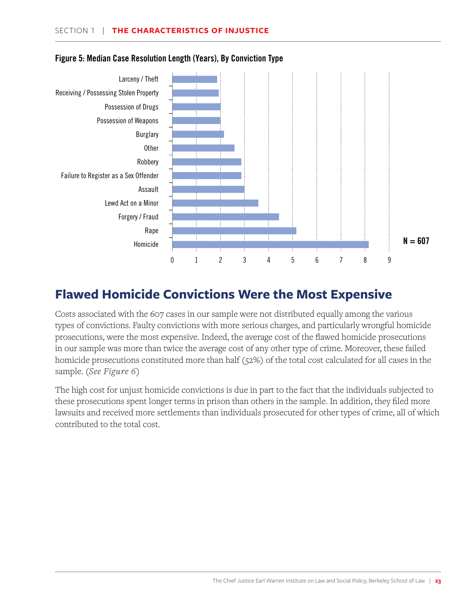

#### <span id="page-24-0"></span>Figure 5: Median Case Resolution Length (Years), By Conviction Type

## **Flawed Homicide Convictions Were the Most Expensive**

Costs associated with the 607 cases in our sample were not distributed equally among the various types of convictions. Faulty convictions with more serious charges, and particularly wrongful homicide prosecutions, were the most expensive. Indeed, the average cost of the flawed homicide prosecutions in our sample was more than twice the average cost of any other type of crime. Moreover, these failed homicide prosecutions constituted more than half (52%) of the total cost calculated for all cases in the sample. (*See Figure 6*)

The high cost for unjust homicide convictions is due in part to the fact that the individuals subjected to these prosecutions spent longer terms in prison than others in the sample. In addition, they filed more lawsuits and received more settlements than individuals prosecuted for other types of crime, all of which contributed to the total cost.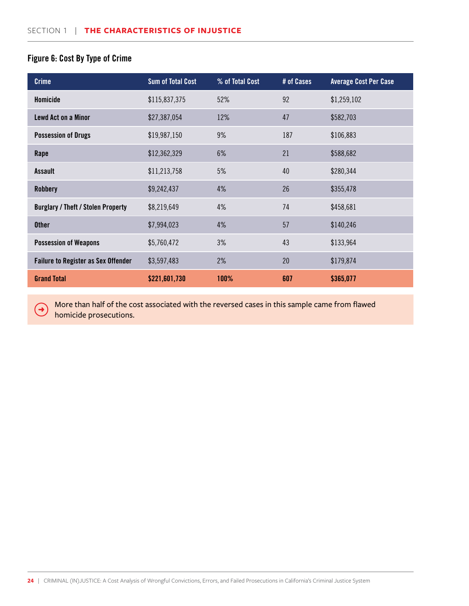#### Figure 6: Cost By Type of Crime

 $\rightarrow$ 

| <b>Crime</b>                               | <b>Sum of Total Cost</b> | % of Total Cost | # of Cases | <b>Average Cost Per Case</b> |
|--------------------------------------------|--------------------------|-----------------|------------|------------------------------|
| Homicide                                   | \$115,837,375            | 52%             | 92         | \$1,259,102                  |
| <b>Lewd Act on a Minor</b>                 | \$27,387,054             | 12%             | 47         | \$582,703                    |
| <b>Possession of Drugs</b>                 | \$19,987,150             | 9%              | 187        | \$106,883                    |
| Rape                                       | \$12,362,329             | 6%              | 21         | \$588,682                    |
| <b>Assault</b>                             | \$11,213,758             | 5%              | 40         | \$280,344                    |
| <b>Robbery</b>                             | \$9,242,437              | 4%              | 26         | \$355,478                    |
| <b>Burglary / Theft / Stolen Property</b>  | \$8,219,649              | 4%              | 74         | \$458,681                    |
| <b>Other</b>                               | \$7,994,023              | 4%              | 57         | \$140,246                    |
| <b>Possession of Weapons</b>               | \$5,760,472              | 3%              | 43         | \$133,964                    |
| <b>Failure to Register as Sex Offender</b> | \$3,597,483              | 2%              | 20         | \$179,874                    |
| <b>Grand Total</b>                         | \$221,601,730            | 100%            | 607        | \$365,077                    |

More than half of the cost associated with the reversed cases in this sample came from flawed homicide prosecutions.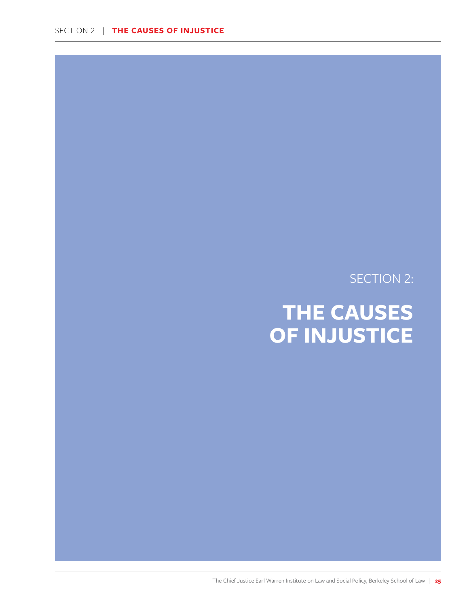## SECTION 2:

## <span id="page-26-0"></span>**THE CAUSES OF INJUSTICE**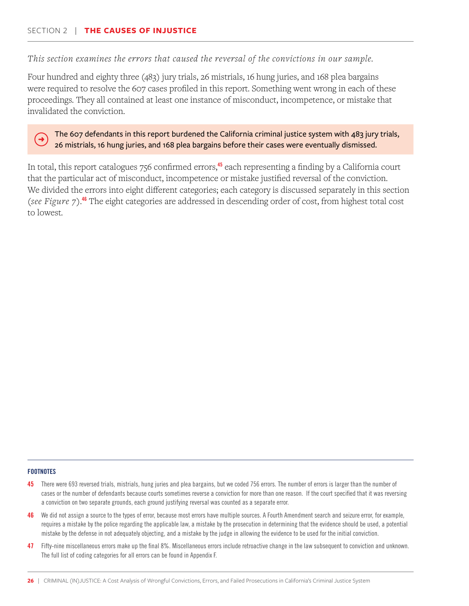#### *This section examines the errors that caused the reversal of the convictions in our sample.*

Four hundred and eighty three (483) jury trials, 26 mistrials, 16 hung juries, and 168 plea bargains were required to resolve the 607 cases profiled in this report. Something went wrong in each of these proceedings. They all contained at least one instance of misconduct, incompetence, or mistake that invalidated the conviction.

#### The 607 defendants in this report burdened the California criminal justice system with 483 jury trials, 26 mistrials, 16 hung juries, and 168 plea bargains before their cases were eventually dismissed.

In total, this report catalogues 756 confirmed errors,<sup>45</sup> each representing a finding by a California court that the particular act of misconduct, incompetence or mistake justified reversal of the conviction. We divided the errors into eight different categories; each category is discussed separately in this section (*see Figure 7*).<sup>46</sup> The eight categories are addressed in descending order of cost, from highest total cost to lowest.

#### **FOOTNOTES**

 $\rightarrow$ 

- 45 There were 693 reversed trials, mistrials, hung juries and plea bargains, but we coded 756 errors. The number of errors is larger than the number of cases or the number of defendants because courts sometimes reverse a conviction for more than one reason. If the court specified that it was reversing a conviction on two separate grounds, each ground justifying reversal was counted as a separate error.
- 46 We did not assign a source to the types of error, because most errors have multiple sources. A Fourth Amendment search and seizure error, for example, requires a mistake by the police regarding the applicable law, a mistake by the prosecution in determining that the evidence should be used, a potential mistake by the defense in not adequately objecting, and a mistake by the judge in allowing the evidence to be used for the initial conviction.
- 47 Fifty-nine miscellaneous errors make up the final 8%. Miscellaneous errors include retroactive change in the law subsequent to conviction and unknown. The full list of coding categories for all errors can be found in Appendix F.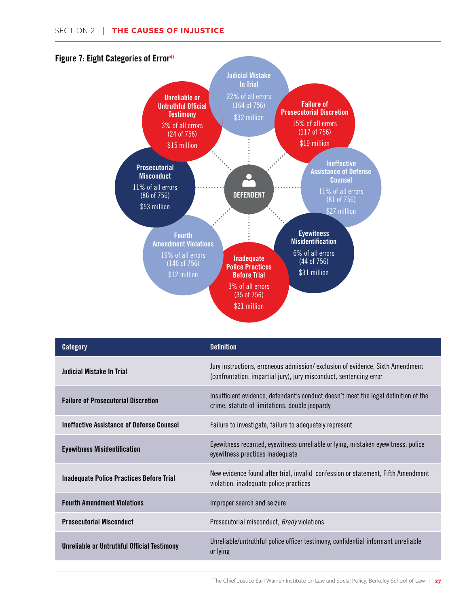

| <b>Category</b>                                  | <b>Definition</b>                                                                                                                                   |
|--------------------------------------------------|-----------------------------------------------------------------------------------------------------------------------------------------------------|
| Judicial Mistake In Trial                        | Jury instructions, erroneous admission/exclusion of evidence, Sixth Amendment<br>(confrontation, impartial jury), jury misconduct, sentencing error |
| <b>Failure of Prosecutorial Discretion</b>       | Insufficient evidence, defendant's conduct doesn't meet the legal definition of the<br>crime, statute of limitations, double jeopardy               |
| <b>Ineffective Assistance of Defense Counsel</b> | Failure to investigate, failure to adequately represent                                                                                             |
| <b>Eyewitness Misidentification</b>              | Eyewitness recanted, eyewitness unreliable or lying, mistaken eyewitness, police<br>eyewitness practices inadequate                                 |
| Inadequate Police Practices Before Trial         | New evidence found after trial, invalid confession or statement, Fifth Amendment<br>violation, inadequate police practices                          |
| <b>Fourth Amendment Violations</b>               | Improper search and seizure                                                                                                                         |
| <b>Prosecutorial Misconduct</b>                  | Prosecutorial misconduct, <i>Brady</i> violations                                                                                                   |
| Unreliable or Untruthful Official Testimony      | Unreliable/untruthful police officer testimony, confidential informant unreliable<br>or lying                                                       |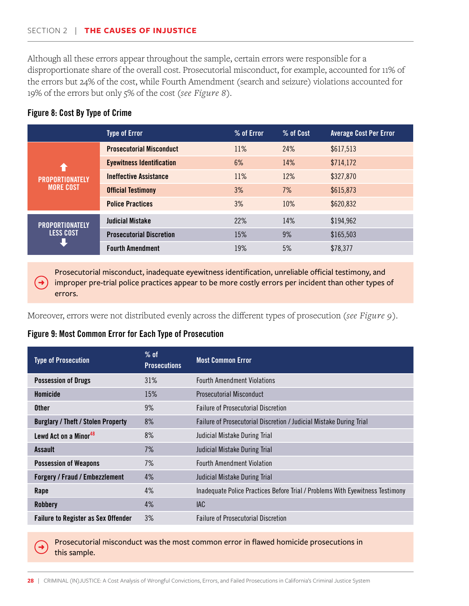#### SECTION 2 | **THE CAUSES OF INJUSTICE**

Although all these errors appear throughout the sample, certain errors were responsible for a disproportionate share of the overall cost. Prosecutorial misconduct, for example, accounted for 11% of the errors but 24% of the cost, while Fourth Amendment (search and seizure) violations accounted for 19% of the errors but only 5% of the cost (*see Figure 8*).

#### Figure 8: Cost By Type of Crime

|                                                               | <b>Type of Error</b>             | % of Error | % of Cost | <b>Average Cost Per Error</b> |
|---------------------------------------------------------------|----------------------------------|------------|-----------|-------------------------------|
| $\blacklozenge$<br><b>PROPORTIONATELY</b><br><b>MORE COST</b> | <b>Prosecutorial Misconduct</b>  | 11%        | 24%       | \$617,513                     |
|                                                               | <b>Eyewitness Identification</b> | 6%         | 14%       | \$714,172                     |
|                                                               | <b>Ineffective Assistance</b>    | 11%        | 12%       | \$327,870                     |
|                                                               | <b>Official Testimony</b>        | 3%         | 7%        | \$615,873                     |
|                                                               | <b>Police Practices</b>          | 3%         | 10%       | \$620,832                     |
| <b>PROPORTIONATELY</b><br><b>LESS COST</b>                    | <b>Judicial Mistake</b>          | 22%        | 14%       | \$194,962                     |
|                                                               | <b>Prosecutorial Discretion</b>  | 15%        | 9%        | \$165,503                     |
|                                                               | <b>Fourth Amendment</b>          | 19%        | 5%        | \$78,377                      |

Prosecutorial misconduct, inadequate eyewitness identification, unreliable official testimony, and improper pre-trial police practices appear to be more costly errors per incident than other types of errors.

Moreover, errors were not distributed evenly across the different types of prosecution (*see Figure 9*).

#### Figure 9: Most Common Error for Each Type of Prosecution

| <b>Type of Prosecution</b>                 | $%$ of<br><b>Prosecutions</b> | <b>Most Common Error</b>                                                      |
|--------------------------------------------|-------------------------------|-------------------------------------------------------------------------------|
| <b>Possession of Drugs</b>                 | 31%                           | <b>Fourth Amendment Violations</b>                                            |
| Homicide                                   | 15%                           | Prosecutorial Misconduct                                                      |
| <b>Other</b>                               | 9%                            | <b>Failure of Prosecutorial Discretion</b>                                    |
| <b>Burglary / Theft / Stolen Property</b>  | 8%                            | Failure of Prosecutorial Discretion / Judicial Mistake During Trial           |
| Lewd Act on a Minor <sup>48</sup>          | 8%                            | Judicial Mistake During Trial                                                 |
| Assault                                    | 7%                            | Judicial Mistake During Trial                                                 |
| <b>Possession of Weapons</b>               | 7%                            | <b>Fourth Amendment Violation</b>                                             |
| <b>Forgery / Fraud / Embezzlement</b>      | 4%                            | Judicial Mistake During Trial                                                 |
| Rape                                       | 4%                            | Inadequate Police Practices Before Trial / Problems With Eyewitness Testimony |
| <b>Robbery</b>                             | 4%                            | <b>IAC</b>                                                                    |
| <b>Failure to Register as Sex Offender</b> | 3%                            | <b>Failure of Prosecutorial Discretion</b>                                    |

Prosecutorial misconduct was the most common error in flawed homicide prosecutions in this sample.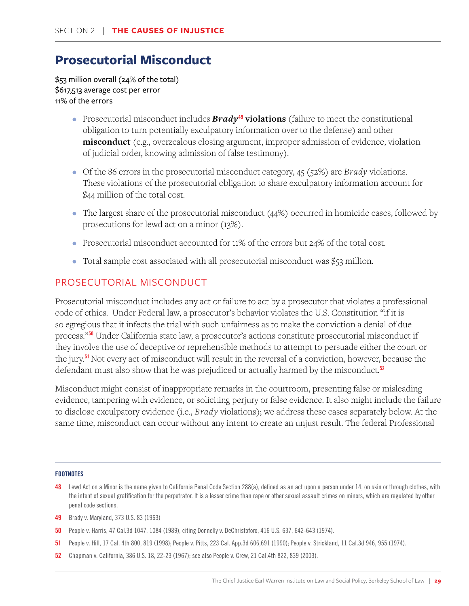## <span id="page-30-0"></span>**Prosecutorial Misconduct**

\$53 million overall (24% of the total) \$617,513 average cost per error 11% of the errors

- Prosecutorial misconduct includes **Brady<sup>49</sup> violations** (failure to meet the constitutional obligation to turn potentially exculpatory information over to the defense) and other **misconduct** (e.g., overzealous closing argument, improper admission of evidence, violation of judicial order, knowing admission of false testimony).
- Of the 86 errors in the prosecutorial misconduct category, 45 (52%) are *Brady* violations. These violations of the prosecutorial obligation to share exculpatory information account for \$44 million of the total cost.
- The largest share of the prosecutorial misconduct (44%) occurred in homicide cases, followed by prosecutions for lewd act on a minor (13%).
- Prosecutorial misconduct accounted for 11% of the errors but 24% of the total cost.
- Total sample cost associated with all prosecutorial misconduct was \$53 million.

### PROSECUTORIAL MISCONDUCT

Prosecutorial misconduct includes any act or failure to act by a prosecutor that violates a professional code of ethics. Under Federal law, a prosecutor's behavior violates the U.S. Constitution "if it is so egregious that it infects the trial with such unfairness as to make the conviction a denial of due process."<sup>50</sup> Under California state law, a prosecutor's actions constitute prosecutorial misconduct if they involve the use of deceptive or reprehensible methods to attempt to persuade either the court or the jury.<sup>51</sup> Not every act of misconduct will result in the reversal of a conviction, however, because the defendant must also show that he was prejudiced or actually harmed by the misconduct.<sup>52</sup>

Misconduct might consist of inappropriate remarks in the courtroom, presenting false or misleading evidence, tampering with evidence, or soliciting perjury or false evidence. It also might include the failure to disclose exculpatory evidence (i.e., *Brady* violations); we address these cases separately below. At the same time, misconduct can occur without any intent to create an unjust result. The federal Professional

- 48 Lewd Act on a Minor is the name given to California Penal Code Section 288(a), defined as an act upon a person under 14, on skin or through clothes, with the intent of sexual gratification for the perpetrator. It is a lesser crime than rape or other sexual assault crimes on minors, which are regulated by other penal code sections.
- 49 Brady v. Maryland, 373 U.S. 83 (1963)
- 50 People v. Harris, 47 Cal.3d 1047, 1084 (1989), citing Donnelly v. DeChristoforo, 416 U.S. 637, 642-643 (1974).
- 51 People v. Hill, 17 Cal. 4th 800, 819 (1998); People v. Pitts, 223 Cal. App.3d 606,691 (1990); People v. Strickland, 11 Cal.3d 946, 955 (1974).
- 52 Chapman v. California, 386 U.S. 18, 22-23 (1967); see also People v. Crew, 21 Cal.4th 822, 839 (2003).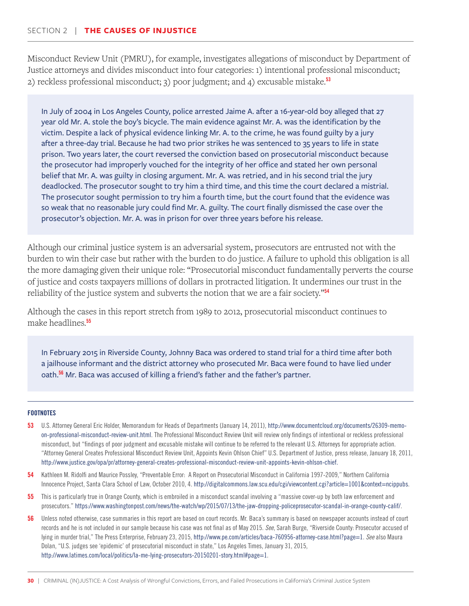Misconduct Review Unit (PMRU), for example, investigates allegations of misconduct by Department of Justice attorneys and divides misconduct into four categories: 1) intentional professional misconduct; 2) reckless professional misconduct; 3) poor judgment; and 4) excusable mistake.<sup>53</sup>

In July of 2004 in Los Angeles County, police arrested Jaime A. after a 16-year-old boy alleged that 27 year old Mr. A. stole the boy's bicycle. The main evidence against Mr. A. was the identification by the victim. Despite a lack of physical evidence linking Mr. A. to the crime, he was found guilty by a jury after a three-day trial. Because he had two prior strikes he was sentenced to 35 years to life in state prison. Two years later, the court reversed the conviction based on prosecutorial misconduct because the prosecutor had improperly vouched for the integrity of her office and stated her own personal belief that Mr. A. was guilty in closing argument. Mr. A. was retried, and in his second trial the jury deadlocked. The prosecutor sought to try him a third time, and this time the court declared a mistrial. The prosecutor sought permission to try him a fourth time, but the court found that the evidence was so weak that no reasonable jury could find Mr. A. guilty. The court finally dismissed the case over the prosecutor's objection. Mr. A. was in prison for over three years before his release.

Although our criminal justice system is an adversarial system, prosecutors are entrusted not with the burden to win their case but rather with the burden to do justice. A failure to uphold this obligation is all the more damaging given their unique role: "Prosecutorial misconduct fundamentally perverts the course of justice and costs taxpayers millions of dollars in protracted litigation. It undermines our trust in the reliability of the justice system and subverts the notion that we are a fair society."<sup>54</sup>

Although the cases in this report stretch from 1989 to 2012, prosecutorial misconduct continues to make headlines.<sup>55</sup>

In February 2015 in Riverside County, Johnny Baca was ordered to stand trial for a third time after both a jailhouse informant and the district attorney who prosecuted Mr. Baca were found to have lied under oath.<sup>56</sup> Mr. Baca was accused of killing a friend's father and the father's partner.

- 53 U.S. Attorney General Eric Holder, Memorandum for Heads of Departments (January 14, 2011), http://www.documentcloud.org/documents/26309-memoon-professional-misconduct-review-unit.html. The Professional Misconduct Review Unit will review only findings of intentional or reckless professional misconduct, but "findings of poor judgment and excusable mistake will continue to be referred to the relevant U.S. Attorneys for appropriate action. "Attorney General Creates Professional Misconduct Review Unit, Appoints Kevin Ohlson Chief" U.S. Department of Justice, press release, January 18, 2011, http://www.justice.gov/opa/pr/attorney-general-creates-professional-misconduct-review-unit-appoints-kevin-ohlson-chief.
- 54 Kathleen M. Ridolfi and Maurice Possley, "Preventable Error: A Report on Prosecutorial Misconduct in California 1997-2009," Northern California Innocence Project, Santa Clara School of Law, October 2010, 4. http://digitalcommons.law.scu.edu/cgi/viewcontent.cgi?article=1001&context=ncippubs.
- 55 This is particularly true in Orange County, which is embroiled in a misconduct scandal involving a "massive cover-up by both law enforcement and prosecutors." https://www.washingtonpost.com/news/the-watch/wp/2015/07/13/the-jaw-dropping-policeprosecutor-scandal-in-orange-county-calif/.
- 56 Unless noted otherwise, case summaries in this report are based on court records. Mr. Baca's summary is based on newspaper accounts instead of court records and he is not included in our sample because his case was not final as of May 2015. *See*, Sarah Burge, "Riverside County: Prosecutor accused of lying in murder trial," The Press Enterprise, February 23, 2015, http://www.pe.com/articles/baca-760956-attorney-case.html?page=1. *See* also Maura Dolan, "U.S. judges see 'epidemic' of prosecutorial misconduct in state," Los Angeles Times, January 31, 2015, http://www.latimes.com/local/politics/la-me-lying-prosecutors-20150201-story.html#page=1.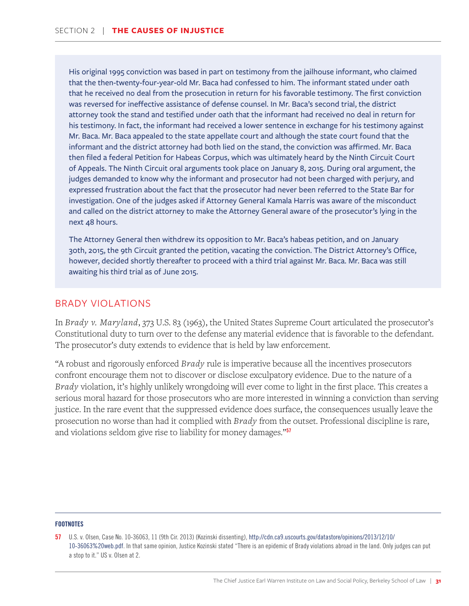His original 1995 conviction was based in part on testimony from the jailhouse informant, who claimed that the then-twenty-four-year-old Mr. Baca had confessed to him. The informant stated under oath that he received no deal from the prosecution in return for his favorable testimony. The first conviction was reversed for ineffective assistance of defense counsel. In Mr. Baca's second trial, the district attorney took the stand and testified under oath that the informant had received no deal in return for his testimony. In fact, the informant had received a lower sentence in exchange for his testimony against Mr. Baca. Mr. Baca appealed to the state appellate court and although the state court found that the informant and the district attorney had both lied on the stand, the conviction was affirmed. Mr. Baca then filed a federal Petition for Habeas Corpus, which was ultimately heard by the Ninth Circuit Court of Appeals. The Ninth Circuit oral arguments took place on January 8, 2015. During oral argument, the judges demanded to know why the informant and prosecutor had not been charged with perjury, and expressed frustration about the fact that the prosecutor had never been referred to the State Bar for investigation. One of the judges asked if Attorney General Kamala Harris was aware of the misconduct and called on the district attorney to make the Attorney General aware of the prosecutor's lying in the next 48 hours.

The Attorney General then withdrew its opposition to Mr. Baca's habeas petition, and on January 30th, 2015, the 9th Circuit granted the petition, vacating the conviction. The District Attorney's Office, however, decided shortly thereafter to proceed with a third trial against Mr. Baca. Mr. Baca was still awaiting his third trial as of June 2015.

#### BRADY VIOLATIONS

In *Brady v. Maryland*, 373 U.S. 83 (1963), the United States Supreme Court articulated the prosecutor's Constitutional duty to turn over to the defense any material evidence that is favorable to the defendant. The prosecutor's duty extends to evidence that is held by law enforcement.

"A robust and rigorously enforced *Brady* rule is imperative because all the incentives prosecutors confront encourage them not to discover or disclose exculpatory evidence. Due to the nature of a *Brady* violation, it's highly unlikely wrongdoing will ever come to light in the first place. This creates a serious moral hazard for those prosecutors who are more interested in winning a conviction than serving justice. In the rare event that the suppressed evidence does surface, the consequences usually leave the prosecution no worse than had it complied with *Brady* from the outset. Professional discipline is rare, and violations seldom give rise to liability for money damages."<sup>57</sup>

<sup>57</sup> U.S. v. Olsen, Case No. 10-36063, 11 (9th Cir. 2013) (Kozinski dissenting), http://cdn.ca9.uscourts.gov/datastore/opinions/2013/12/10/ 10-36063%20web.pdf. In that same opinion, Justice Kozinski stated "There is an epidemic of Brady violations abroad in the land. Only judges can put a stop to it." US v. Olsen at 2.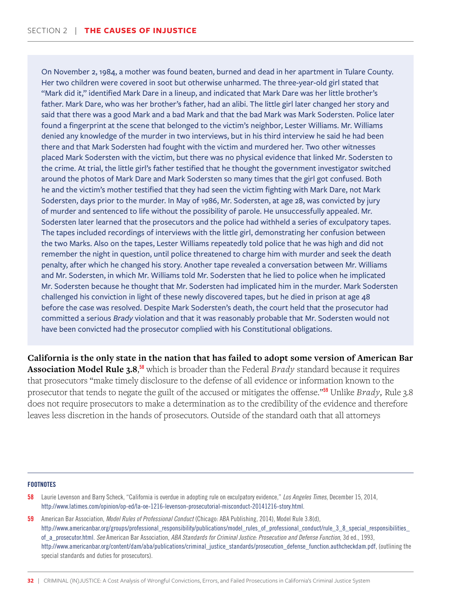On November 2, 1984, a mother was found beaten, burned and dead in her apartment in Tulare County. Her two children were covered in soot but otherwise unharmed. The three-year-old girl stated that "Mark did it," identified Mark Dare in a lineup, and indicated that Mark Dare was her little brother's father. Mark Dare, who was her brother's father, had an alibi. The little girl later changed her story and said that there was a good Mark and a bad Mark and that the bad Mark was Mark Sodersten. Police later found a fingerprint at the scene that belonged to the victim's neighbor, Lester Williams. Mr. Williams denied any knowledge of the murder in two interviews, but in his third interview he said he had been there and that Mark Sodersten had fought with the victim and murdered her. Two other witnesses placed Mark Sodersten with the victim, but there was no physical evidence that linked Mr. Sodersten to the crime. At trial, the little girl's father testified that he thought the government investigator switched around the photos of Mark Dare and Mark Sodersten so many times that the girl got confused. Both he and the victim's mother testified that they had seen the victim fighting with Mark Dare, not Mark Sodersten, days prior to the murder. In May of 1986, Mr. Sodersten, at age 28, was convicted by jury of murder and sentenced to life without the possibility of parole. He unsuccessfully appealed. Mr. Sodersten later learned that the prosecutors and the police had withheld a series of exculpatory tapes. The tapes included recordings of interviews with the little girl, demonstrating her confusion between the two Marks. Also on the tapes, Lester Williams repeatedly told police that he was high and did not remember the night in question, until police threatened to charge him with murder and seek the death penalty, after which he changed his story. Another tape revealed a conversation between Mr. Williams and Mr. Sodersten, in which Mr. Williams told Mr. Sodersten that he lied to police when he implicated Mr. Sodersten because he thought that Mr. Sodersten had implicated him in the murder. Mark Sodersten challenged his conviction in light of these newly discovered tapes, but he died in prison at age 48 before the case was resolved. Despite Mark Sodersten's death, the court held that the prosecutor had committed a serious *Brady* violation and that it was reasonably probable that Mr. Sodersten would not have been convicted had the prosecutor complied with his Constitutional obligations.

**California is the only state in the nation that has failed to adopt some version of American Bar Association Model Rule 3.8**, <sup>58</sup> which is broader than the Federal *Brady* standard because it requires that prosecutors "make timely disclosure to the defense of all evidence or information known to the prosecutor that tends to negate the guilt of the accused or mitigates the offense."<sup>59</sup> Unlike *Brady,* Rule 3.8 does not require prosecutors to make a determination as to the credibility of the evidence and therefore leaves less discretion in the hands of prosecutors. Outside of the standard oath that all attorneys

- 58 Laurie Levenson and Barry Scheck, "California is overdue in adopting rule on exculpatory evidence," *Los Angeles Times*, December 15, 2014, http://www.latimes.com/opinion/op-ed/la-oe-1216-levenson-prosecutorial-misconduct-20141216-story.html.
- 59 American Bar Association, *Model Rules of Professional Conduct* (Chicago: ABA Publishing, 2014), Model Rule 3.8(d), http://www.americanbar.org/groups/professional\_responsibility/publications/model\_rules\_of\_professional\_conduct/rule\_3\_8\_special\_responsibilities\_ of\_a\_prosecutor.html. *See* American Bar Association, *ABA Standards for Criminal Justice: Prosecution and Defense Function*, 3d ed., 1993, http://www.americanbar.org/content/dam/aba/publications/criminal\_justice\_standards/prosecution\_defense\_function.authcheckdam.pdf, (outlining the special standards and duties for prosecutors).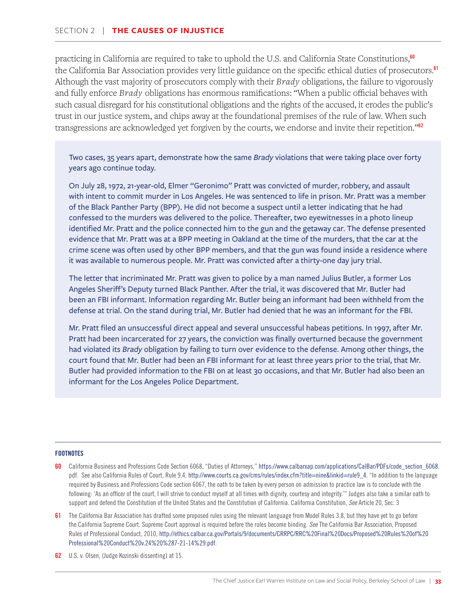practicing in California are required to take to uphold the U.S. and California State Constitutions,<sup>60</sup> the California Bar Association provides very little guidance on the specific ethical duties of prosecutors.<sup>61</sup> Although the vast majority of prosecutors comply with their *Brady* obligations, the failure to vigorously and fully enforce *Brady* obligations has enormous ramifications: "When a public official behaves with such casual disregard for his constitutional obligations and the rights of the accused, it erodes the public's trust in our justice system, and chips away at the foundational premises of the rule of law. When such transgressions are acknowledged yet forgiven by the courts, we endorse and invite their repetition."<sup>62</sup>

Two cases, 35 years apart, demonstrate how the same *Brady* violations that were taking place over forty years ago continue today.

On July 28, 1972, 21-year-old, Elmer "Geronimo" Pratt was convicted of murder, robbery, and assault with intent to commit murder in Los Angeles. He was sentenced to life in prison. Mr. Pratt was a member of the Black Panther Party (BPP). He did not become a suspect until a letter indicating that he had confessed to the murders was delivered to the police. Thereafter, two eyewitnesses in a photo lineup identified Mr. Pratt and the police connected him to the gun and the getaway car. The defense presented evidence that Mr. Pratt was at a BPP meeting in Oakland at the time of the murders, that the car at the crime scene was often used by other BPP members, and that the gun was found inside a residence where it was available to numerous people. Mr. Pratt was convicted after a thirty-one day jury trial.

The letter that incriminated Mr. Pratt was given to police by a man named Julius Butler, a former Los Angeles Sheriff's Deputy turned Black Panther. After the trial, it was discovered that Mr. Butler had been an FBI informant. Information regarding Mr. Butler being an informant had been withheld from the defense at trial. On the stand during trial, Mr. Butler had denied that he was an informant for the FBI.

Mr. Pratt filed an unsuccessful direct appeal and several unsuccessful habeas petitions. In 1997, after Mr. Pratt had been incarcerated for 27 years, the conviction was finally overturned because the government had violated its *Brady* obligation by failing to turn over evidence to the defense. Among other things, the court found that Mr. Butler had been an FBI informant for at least three years prior to the trial, that Mr. Butler had provided information to the FBI on at least 30 occasions, and that Mr. Butler had also been an informant for the Los Angeles Police Department.

- 60 California Business and Professions Code Section 6068, "Duties of Attorneys," https://www.calbarxap.com/applications/CalBar/PDFs/code\_section\_6068. pdf. See also California Rules of Court, Rule 9.4, http://www.courts.ca.gov/cms/rules/index.cfm?title=nine&linkid=rule9\_4. "In addition to the language required by Business and Professions Code section 6067, the oath to be taken by every person on admission to practice law is to conclude with the following: 'As an officer of the court, I will strive to conduct myself at all times with dignity, courtesy and integrity.'" Judges also take a similar oath to support and defend the Constitution of the United States and the Constitution of California. California Constitution, *See* Article 20, Sec. 3
- 61 The California Bar Association has drafted some proposed rules using the relevant language from Model Rules 3.8, but they have yet to go before the California Supreme Court. Supreme Court approval is required before the rules become binding. *See* The California Bar Association, Proposed Rules of Professional Conduct, 2010, http://ethics.calbar.ca.gov/Portals/9/documents/CRRPC/RRC%20Final%20Docs/Proposed%20Rules%20of%20 Professional%20Conduct%20v.24%20%287-21-14%29.pdf.
- 62 U.S. v. Olsen, (Judge Kozinski dissenting) at 15.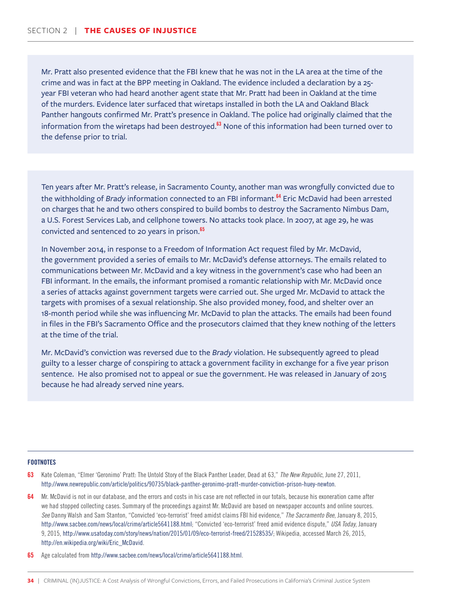Mr. Pratt also presented evidence that the FBI knew that he was not in the LA area at the time of the crime and was in fact at the BPP meeting in Oakland. The evidence included a declaration by a 25 year FBI veteran who had heard another agent state that Mr. Pratt had been in Oakland at the time of the murders. Evidence later surfaced that wiretaps installed in both the LA and Oakland Black Panther hangouts confirmed Mr. Pratt's presence in Oakland. The police had originally claimed that the information from the wiretaps had been destroyed. $63$  None of this information had been turned over to the defense prior to trial.

Ten years after Mr. Pratt's release, in Sacramento County, another man was wrongfully convicted due to the withholding of *Brady* information connected to an FBI informant.<sup>64</sup> Eric McDavid had been arrested on charges that he and two others conspired to build bombs to destroy the Sacramento Nimbus Dam, a U.S. Forest Services Lab, and cellphone towers. No attacks took place. In 2007, at age 29, he was convicted and sentenced to 20 years in prison.<sup>65</sup>

In November 2014, in response to a Freedom of Information Act request filed by Mr. McDavid, the government provided a series of emails to Mr. McDavid's defense attorneys. The emails related to communications between Mr. McDavid and a key witness in the government's case who had been an FBI informant. In the emails, the informant promised a romantic relationship with Mr. McDavid once a series of attacks against government targets were carried out. She urged Mr. McDavid to attack the targets with promises of a sexual relationship. She also provided money, food, and shelter over an 18-month period while she was influencing Mr. McDavid to plan the attacks. The emails had been found in files in the FBI's Sacramento Office and the prosecutors claimed that they knew nothing of the letters at the time of the trial.

Mr. McDavid's conviction was reversed due to the *Brady* violation. He subsequently agreed to plead guilty to a lesser charge of conspiring to attack a government facility in exchange for a five year prison sentence. He also promised not to appeal or sue the government. He was released in January of 2015 because he had already served nine years.

- 63 Kate Coleman, "Elmer 'Geronimo' Pratt: The Untold Story of the Black Panther Leader, Dead at 63," *The New Republic*, June 27, 2011, http://www.newrepublic.com/article/politics/90735/black-panther-geronimo-pratt-murder-conviction-prison-huey-newton.
- Mr. McDavid is not in our database, and the errors and costs in his case are not reflected in our totals, because his exoneration came after we had stopped collecting cases. Summary of the proceedings against Mr. McDavid are based on newspaper accounts and online sources. *See* Danny Walsh and Sam Stanton, "Convicted 'eco-terrorist' freed amidst claims FBI hid evidence," *The Sacramento Bee*, January 8, 2015, http://www.sacbee.com/news/local/crime/article5641188.html; "Convicted 'eco-terrorist' freed amid evidence dispute," *USA Today*, January 9, 2015, http://www.usatoday.com/story/news/nation/2015/01/09/eco-terrorist-freed/21528535/; Wikipedia, accessed March 26, 2015, http://en.wikipedia.org/wiki/Eric\_McDavid.
- 65 Age calculated from http://www.sacbee.com/news/local/crime/article5641188.html.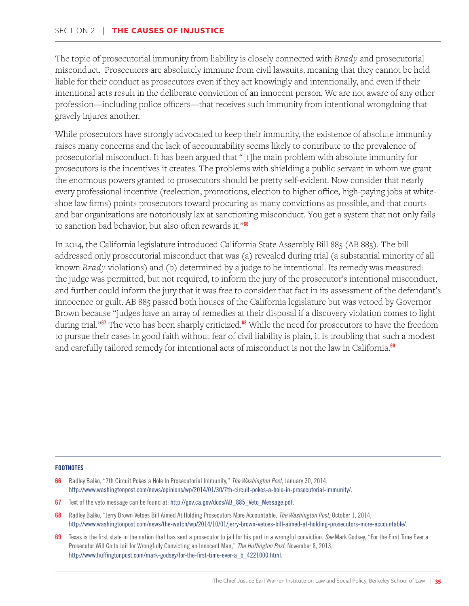The topic of prosecutorial immunity from liability is closely connected with *Brady* and prosecutorial misconduct. Prosecutors are absolutely immune from civil lawsuits, meaning that they cannot be held liable for their conduct as prosecutors even if they act knowingly and intentionally, and even if their intentional acts result in the deliberate conviction of an innocent person. We are not aware of any other profession—including police officers—that receives such immunity from intentional wrongdoing that gravely injures another.

While prosecutors have strongly advocated to keep their immunity, the existence of absolute immunity raises many concerns and the lack of accountability seems likely to contribute to the prevalence of prosecutorial misconduct. It has been argued that "[t]he main problem with absolute immunity for prosecutors is the incentives it creates. The problems with shielding a public servant in whom we grant the enormous powers granted to prosecutors should be pretty self-evident. Now consider that nearly every professional incentive (reelection, promotions, election to higher office, high-paying jobs at whiteshoe law firms) points prosecutors toward procuring as many convictions as possible, and that courts and bar organizations are notoriously lax at sanctioning misconduct. You get a system that not only fails to sanction bad behavior, but also often rewards it."<sup>66</sup>

In 2014, the California legislature introduced California State Assembly Bill 885 (AB 885). The bill addressed only prosecutorial misconduct that was (a) revealed during trial (a substantial minority of all known *Brady* violations) and (b) determined by a judge to be intentional. Its remedy was measured: the judge was permitted, but not required, to inform the jury of the prosecutor's intentional misconduct, and further could inform the jury that it was free to consider that fact in its assessment of the defendant's innocence or guilt. AB 885 passed both houses of the California legislature but was vetoed by Governor Brown because "judges have an array of remedies at their disposal if a discovery violation comes to light during trial."<sup>67</sup> The veto has been sharply criticized.<sup>68</sup> While the need for prosecutors to have the freedom to pursue their cases in good faith without fear of civil liability is plain, it is troubling that such a modest and carefully tailored remedy for intentional acts of misconduct is not the law in California.<sup>69</sup>

- 66 Radley Balko, "7th Circuit Pokes a Hole In Prosecutorial Immunity," *The Washington Post*, January 30, 2014, http://www.washingtonpost.com/news/opinions/wp/2014/01/30/7th-circuit-pokes-a-hole-in-prosecutorial-immunity/.
- 67 Text of the veto message can be found at: http://gov.ca.gov/docs/AB\_885\_Veto\_Message.pdf.
- 68 Radley Balko, "Jerry Brown Vetoes Bill Aimed At Holding Prosecutors More Accountable, *The Washington Post,* October 1, 2014, http://www.washingtonpost.com/news/the-watch/wp/2014/10/01/jerry-brown-vetoes-bill-aimed-at-holding-prosecutors-more-accountable/.
- 69 Texas is the first state in the nation that has sent a prosecutor to jail for his part in a wrongful conviction. *See* Mark Godsey, "For the First Time Ever a Prosecutor Will Go to Jail for Wrongfully Convicting an Innocent Man," *The Huffington Post,* November 8, 2013, http://www.huffingtonpost.com/mark-godsey/for-the-first-time-ever-a\_b\_4221000.html.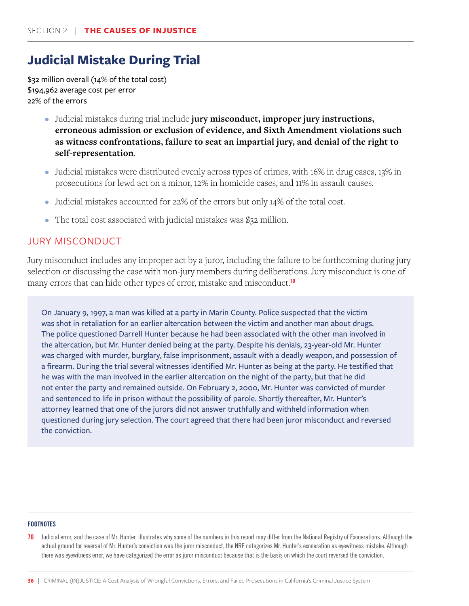# **Judicial Mistake During Trial**

\$32 million overall (14% of the total cost) \$194,962 average cost per error 22% of the errors

- Judicial mistakes during trial include **jury misconduct, improper jury instructions, erroneous admission or exclusion of evidence, and Sixth Amendment violations such as witness confrontations, failure to seat an impartial jury, and denial of the right to self-representation**.
- Judicial mistakes were distributed evenly across types of crimes, with 16% in drug cases, 13% in prosecutions for lewd act on a minor, 12% in homicide cases, and 11% in assault causes.
- Judicial mistakes accounted for 22% of the errors but only 14% of the total cost.
- The total cost associated with judicial mistakes was \$32 million.

### JURY MISCONDUCT

Jury misconduct includes any improper act by a juror, including the failure to be forthcoming during jury selection or discussing the case with non-jury members during deliberations. Jury misconduct is one of many errors that can hide other types of error, mistake and misconduct.<sup>70</sup>

On January 9, 1997, a man was killed at a party in Marin County. Police suspected that the victim was shot in retaliation for an earlier altercation between the victim and another man about drugs. The police questioned Darrell Hunter because he had been associated with the other man involved in the altercation, but Mr. Hunter denied being at the party. Despite his denials, 23-year-old Mr. Hunter was charged with murder, burglary, false imprisonment, assault with a deadly weapon, and possession of a firearm. During the trial several witnesses identified Mr. Hunter as being at the party. He testified that he was with the man involved in the earlier altercation on the night of the party, but that he did not enter the party and remained outside. On February 2, 2000, Mr. Hunter was convicted of murder and sentenced to life in prison without the possibility of parole. Shortly thereafter, Mr. Hunter's attorney learned that one of the jurors did not answer truthfully and withheld information when questioned during jury selection. The court agreed that there had been juror misconduct and reversed the conviction.

### **FOOTNOTES**

70 Judicial error, and the case of Mr. Hunter, illustrates why some of the numbers in this report may differ from the National Registry of Exonerations. Although the actual ground for reversal of Mr. Hunter's conviction was the juror misconduct, the NRE categorizes Mr. Hunter's exoneration as eyewitness mistake. Although there was eyewitness error, we have categorized the error as juror misconduct because that is the basis on which the court reversed the conviction.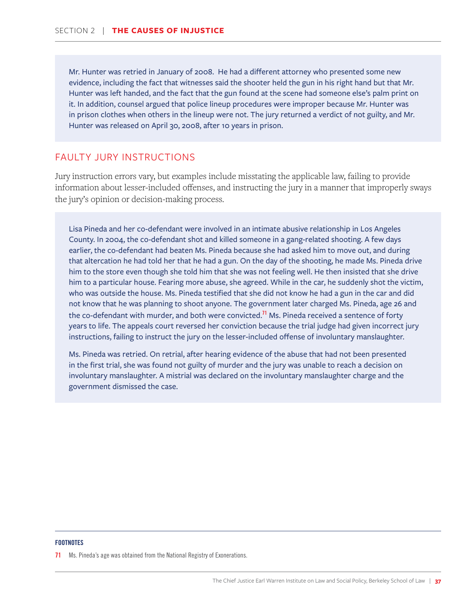Mr. Hunter was retried in January of 2008. He had a different attorney who presented some new evidence, including the fact that witnesses said the shooter held the gun in his right hand but that Mr. Hunter was left handed, and the fact that the gun found at the scene had someone else's palm print on it. In addition, counsel argued that police lineup procedures were improper because Mr. Hunter was in prison clothes when others in the lineup were not. The jury returned a verdict of not guilty, and Mr. Hunter was released on April 30, 2008, after 10 years in prison.

### FAULTY JURY INSTRUCTIONS

Jury instruction errors vary, but examples include misstating the applicable law, failing to provide information about lesser-included offenses, and instructing the jury in a manner that improperly sways the jury's opinion or decision-making process.

Lisa Pineda and her co-defendant were involved in an intimate abusive relationship in Los Angeles County. In 2004, the co-defendant shot and killed someone in a gang-related shooting. A few days earlier, the co-defendant had beaten Ms. Pineda because she had asked him to move out, and during that altercation he had told her that he had a gun. On the day of the shooting, he made Ms. Pineda drive him to the store even though she told him that she was not feeling well. He then insisted that she drive him to a particular house. Fearing more abuse, she agreed. While in the car, he suddenly shot the victim, who was outside the house. Ms. Pineda testified that she did not know he had a gun in the car and did not know that he was planning to shoot anyone. The government later charged Ms. Pineda, age 26 and the co-defendant with murder, and both were convicted.<sup>71</sup> Ms. Pineda received a sentence of forty years to life. The appeals court reversed her conviction because the trial judge had given incorrect jury instructions, failing to instruct the jury on the lesser-included offense of involuntary manslaughter.

Ms. Pineda was retried. On retrial, after hearing evidence of the abuse that had not been presented in the first trial, she was found not guilty of murder and the jury was unable to reach a decision on involuntary manslaughter. A mistrial was declared on the involuntary manslaughter charge and the government dismissed the case.

#### **FOOTNOTES**

71 Ms. Pineda's age was obtained from the National Registry of Exonerations.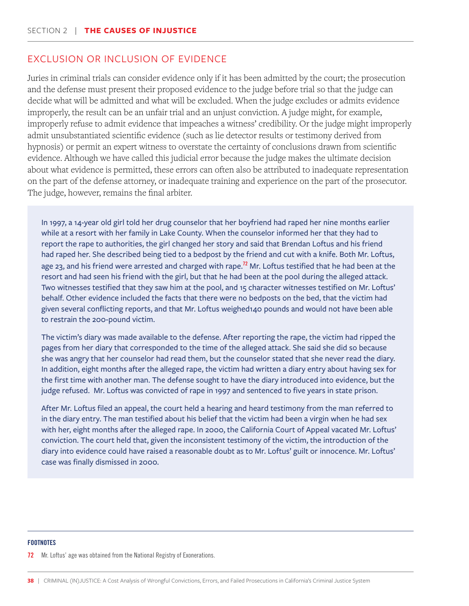### EXCLUSION OR INCLUSION OF EVIDENCE

Juries in criminal trials can consider evidence only if it has been admitted by the court; the prosecution and the defense must present their proposed evidence to the judge before trial so that the judge can decide what will be admitted and what will be excluded. When the judge excludes or admits evidence improperly, the result can be an unfair trial and an unjust conviction. A judge might, for example, improperly refuse to admit evidence that impeaches a witness' credibility. Or the judge might improperly admit unsubstantiated scientific evidence (such as lie detector results or testimony derived from hypnosis) or permit an expert witness to overstate the certainty of conclusions drawn from scientific evidence. Although we have called this judicial error because the judge makes the ultimate decision about what evidence is permitted, these errors can often also be attributed to inadequate representation on the part of the defense attorney, or inadequate training and experience on the part of the prosecutor. The judge, however, remains the final arbiter.

In 1997, a 14-year old girl told her drug counselor that her boyfriend had raped her nine months earlier while at a resort with her family in Lake County. When the counselor informed her that they had to report the rape to authorities, the girl changed her story and said that Brendan Loftus and his friend had raped her. She described being tied to a bedpost by the friend and cut with a knife. Both Mr. Loftus, age 23, and his friend were arrested and charged with rape.<sup>72</sup> Mr. Loftus testified that he had been at the resort and had seen his friend with the girl, but that he had been at the pool during the alleged attack. Two witnesses testified that they saw him at the pool, and 15 character witnesses testified on Mr. Loftus' behalf. Other evidence included the facts that there were no bedposts on the bed, that the victim had given several conflicting reports, and that Mr. Loftus weighed140 pounds and would not have been able to restrain the 200-pound victim.

The victim's diary was made available to the defense. After reporting the rape, the victim had ripped the pages from her diary that corresponded to the time of the alleged attack. She said she did so because she was angry that her counselor had read them, but the counselor stated that she never read the diary. In addition, eight months after the alleged rape, the victim had written a diary entry about having sex for the first time with another man. The defense sought to have the diary introduced into evidence, but the judge refused. Mr. Loftus was convicted of rape in 1997 and sentenced to five years in state prison.

After Mr. Loftus filed an appeal, the court held a hearing and heard testimony from the man referred to in the diary entry. The man testified about his belief that the victim had been a virgin when he had sex with her, eight months after the alleged rape. In 2000, the California Court of Appeal vacated Mr. Loftus' conviction. The court held that, given the inconsistent testimony of the victim, the introduction of the diary into evidence could have raised a reasonable doubt as to Mr. Loftus' guilt or innocence. Mr. Loftus' case was finally dismissed in 2000.

#### **FOOTNOTES**

#### 72 Mr. Loftus' age was obtained from the National Registry of Exonerations.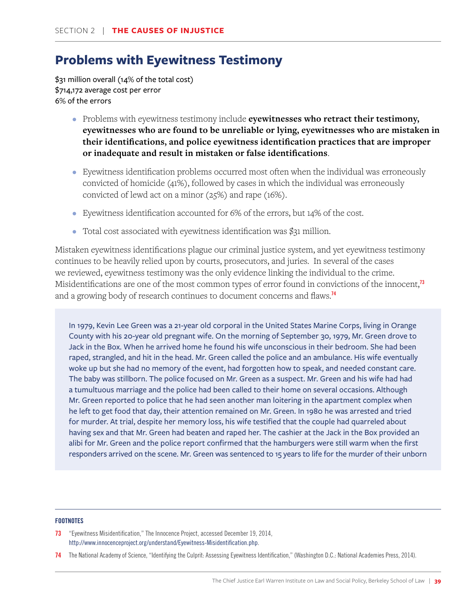# **Problems with Eyewitness Testimony**

\$31 million overall (14% of the total cost) \$714,172 average cost per error 6% of the errors

- Problems with eyewitness testimony include **eyewitnesses who retract their testimony, eyewitnesses who are found to be unreliable or lying, eyewitnesses who are mistaken in their identifications, and police eyewitness identification practices that are improper or inadequate and result in mistaken or false identifications**.
- Eyewitness identification problems occurred most often when the individual was erroneously convicted of homicide (41%), followed by cases in which the individual was erroneously convicted of lewd act on a minor (25%) and rape (16%).
- Eyewitness identification accounted for 6% of the errors, but 14% of the cost.
- Total cost associated with eyewitness identification was \$31 million.

Mistaken eyewitness identifications plague our criminal justice system, and yet eyewitness testimony continues to be heavily relied upon by courts, prosecutors, and juries. In several of the cases we reviewed, eyewitness testimony was the only evidence linking the individual to the crime. Misidentifications are one of the most common types of error found in convictions of the innocent, $^{\text{73}}$ and a growing body of research continues to document concerns and flaws.<sup>74</sup>

In 1979, Kevin Lee Green was a 21-year old corporal in the United States Marine Corps, living in Orange County with his 20-year old pregnant wife. On the morning of September 30, 1979, Mr. Green drove to Jack in the Box. When he arrived home he found his wife unconscious in their bedroom. She had been raped, strangled, and hit in the head. Mr. Green called the police and an ambulance. His wife eventually woke up but she had no memory of the event, had forgotten how to speak, and needed constant care. The baby was stillborn. The police focused on Mr. Green as a suspect. Mr. Green and his wife had had a tumultuous marriage and the police had been called to their home on several occasions. Although Mr. Green reported to police that he had seen another man loitering in the apartment complex when he left to get food that day, their attention remained on Mr. Green. In 1980 he was arrested and tried for murder. At trial, despite her memory loss, his wife testified that the couple had quarreled about having sex and that Mr. Green had beaten and raped her. The cashier at the Jack in the Box provided an alibi for Mr. Green and the police report confirmed that the hamburgers were still warm when the first responders arrived on the scene. Mr. Green was sentenced to 15 years to life for the murder of their unborn

### **FOOTNOTES**

73 "Eyewitness Misidentification," The Innocence Project, accessed December 19, 2014, http://www.innocenceproject.org/understand/Eyewitness-Misidentification.php.

74 The National Academy of Science, "Identifying the Culprit: Assessing Eyewitness Identification," (Washington D.C.: National Academies Press, 2014).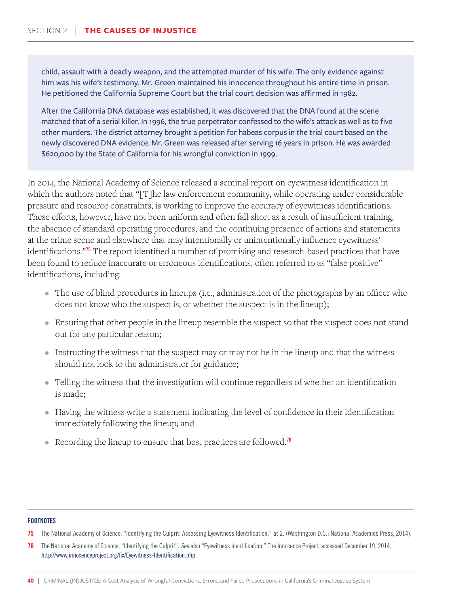child, assault with a deadly weapon, and the attempted murder of his wife. The only evidence against him was his wife's testimony. Mr. Green maintained his innocence throughout his entire time in prison. He petitioned the California Supreme Court but the trial court decision was affirmed in 1982.

After the California DNA database was established, it was discovered that the DNA found at the scene matched that of a serial killer. In 1996, the true perpetrator confessed to the wife's attack as well as to five other murders. The district attorney brought a petition for habeas corpus in the trial court based on the newly discovered DNA evidence. Mr. Green was released after serving 16 years in prison. He was awarded \$620,000 by the State of California for his wrongful conviction in 1999.

In 2014, the National Academy of Science released a seminal report on eyewitness identification in which the authors noted that "[T]he law enforcement community, while operating under considerable pressure and resource constraints, is working to improve the accuracy of eyewitness identifications. These efforts, however, have not been uniform and often fall short as a result of insufficient training, the absence of standard operating procedures, and the continuing presence of actions and statements at the crime scene and elsewhere that may intentionally or unintentionally influence eyewitness' identifications."<sup>75</sup> The report identified a number of promising and research-based practices that have been found to reduce inaccurate or erroneous identifications, often referred to as "false positive" identifications, including:

- The use of blind procedures in lineups (i.e., administration of the photographs by an officer who does not know who the suspect is, or whether the suspect is in the lineup);
- Ensuring that other people in the lineup resemble the suspect so that the suspect does not stand out for any particular reason;
- Instructing the witness that the suspect may or may not be in the lineup and that the witness should not look to the administrator for guidance;
- Telling the witness that the investigation will continue regardless of whether an identification is made;
- Having the witness write a statement indicating the level of confidence in their identification immediately following the lineup; and
- Recording the lineup to ensure that best practices are followed.<sup>76</sup>

<sup>75</sup> The National Academy of Science, "Identifying the Culprit: Assessing Eyewitness Identification," at 2. (Washington D.C.: National Academies Press, 2014).

<sup>76</sup> The National Academy of Science, "Identifying the Culprit". *See* also "Eyewitness Identification," The Innocence Project, accessed December 19, 2014, http://www.innocenceproject.org/fix/Eyewitness-Identification.php.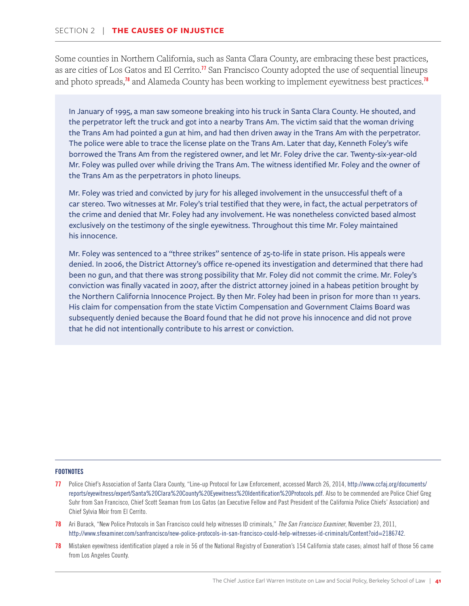Some counties in Northern California, such as Santa Clara County, are embracing these best practices, as are cities of Los Gatos and El Cerrito.<sup>17</sup> San Francisco County adopted the use of sequential lineups and photo spreads,<sup>78</sup> and Alameda County has been working to implement eyewitness best practices.<sup>78</sup>

In January of 1995, a man saw someone breaking into his truck in Santa Clara County. He shouted, and the perpetrator left the truck and got into a nearby Trans Am. The victim said that the woman driving the Trans Am had pointed a gun at him, and had then driven away in the Trans Am with the perpetrator. The police were able to trace the license plate on the Trans Am. Later that day, Kenneth Foley's wife borrowed the Trans Am from the registered owner, and let Mr. Foley drive the car. Twenty-six-year-old Mr. Foley was pulled over while driving the Trans Am. The witness identified Mr. Foley and the owner of the Trans Am as the perpetrators in photo lineups.

Mr. Foley was tried and convicted by jury for his alleged involvement in the unsuccessful theft of a car stereo. Two witnesses at Mr. Foley's trial testified that they were, in fact, the actual perpetrators of the crime and denied that Mr. Foley had any involvement. He was nonetheless convicted based almost exclusively on the testimony of the single eyewitness. Throughout this time Mr. Foley maintained his innocence.

Mr. Foley was sentenced to a "three strikes" sentence of 25-to-life in state prison. His appeals were denied. In 2006, the District Attorney's office re-opened its investigation and determined that there had been no gun, and that there was strong possibility that Mr. Foley did not commit the crime. Mr. Foley's conviction was finally vacated in 2007, after the district attorney joined in a habeas petition brought by the Northern California Innocence Project. By then Mr. Foley had been in prison for more than 11 years. His claim for compensation from the state Victim Compensation and Government Claims Board was subsequently denied because the Board found that he did not prove his innocence and did not prove that he did not intentionally contribute to his arrest or conviction.

- 77 Police Chief's Association of Santa Clara County, "Line-up Protocol for Law Enforcement, accessed March 26, 2014, http://www.ccfaj.org/documents/ reports/eyewitness/expert/Santa%20Clara%20County%20Eyewitness%20Identification%20Protocols.pdf. Also to be commended are Police Chief Greg Suhr from San Francisco, Chief Scott Seaman from Los Gatos (an Executive Fellow and Past President of the California Police Chiefs' Association) and Chief Sylvia Moir from El Cerrito.
- 78 Ari Burack, "New Police Protocols in San Francisco could help witnesses ID criminals," *The San Francisco Examiner*, November 23, 2011, http://www.sfexaminer.com/sanfrancisco/new-police-protocols-in-san-francisco-could-help-witnesses-id-criminals/Content?oid=2186742.
- 78 Mistaken eyewitness identification played a role in 56 of the National Registry of Exoneration's 154 California state cases; almost half of those 56 came from Los Angeles County.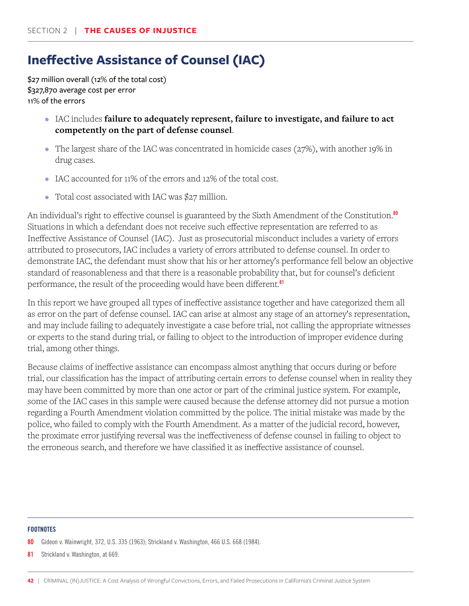# **Ineffective Assistance of Counsel (IAC)**

\$27 million overall (12% of the total cost) \$327,870 average cost per error 11% of the errors

- IAC includes **failure to adequately represent, failure to investigate, and failure to act competently on the part of defense counsel**.
- The largest share of the IAC was concentrated in homicide cases (27%), with another 19% in drug cases.
- IAC accounted for 11% of the errors and 12% of the total cost.
- Total cost associated with IAC was \$27 million.

An individual's right to effective counsel is guaranteed by the Sixth Amendment of the Constitution.<sup>80</sup> Situations in which a defendant does not receive such effective representation are referred to as Ineffective Assistance of Counsel (IAC). Just as prosecutorial misconduct includes a variety of errors attributed to prosecutors, IAC includes a variety of errors attributed to defense counsel. In order to demonstrate IAC, the defendant must show that his or her attorney's performance fell below an objective standard of reasonableness and that there is a reasonable probability that, but for counsel's deficient performance, the result of the proceeding would have been different.<sup>81</sup>

In this report we have grouped all types of ineffective assistance together and have categorized them all as error on the part of defense counsel. IAC can arise at almost any stage of an attorney's representation, and may include failing to adequately investigate a case before trial, not calling the appropriate witnesses or experts to the stand during trial, or failing to object to the introduction of improper evidence during trial, among other things.

Because claims of ineffective assistance can encompass almost anything that occurs during or before trial, our classification has the impact of attributing certain errors to defense counsel when in reality they may have been committed by more than one actor or part of the criminal justice system. For example, some of the IAC cases in this sample were caused because the defense attorney did not pursue a motion regarding a Fourth Amendment violation committed by the police. The initial mistake was made by the police, who failed to comply with the Fourth Amendment. As a matter of the judicial record, however, the proximate error justifying reversal was the ineffectiveness of defense counsel in failing to object to the erroneous search, and therefore we have classified it as ineffective assistance of counsel.

### **FOOTNOTES**

80 Gideon v. Wainwright, 372, U.S. 335 (1963); Strickland v. Washington, 466 U.S. 668 (1984).

81 Strickland v. Washington, at 669.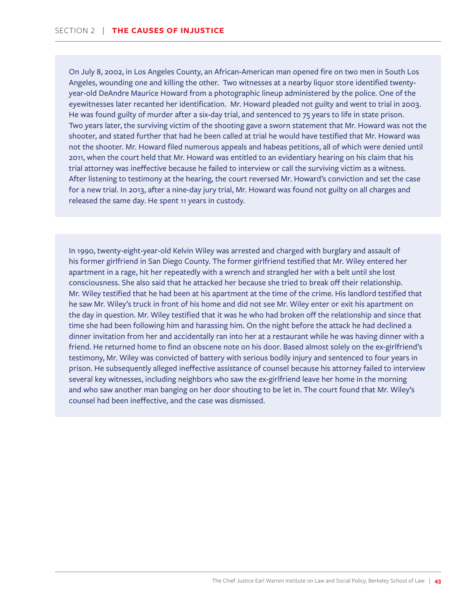On July 8, 2002, in Los Angeles County, an African-American man opened fire on two men in South Los Angeles, wounding one and killing the other. Two witnesses at a nearby liquor store identified twentyyear-old DeAndre Maurice Howard from a photographic lineup administered by the police. One of the eyewitnesses later recanted her identification. Mr. Howard pleaded not guilty and went to trial in 2003. He was found guilty of murder after a six-day trial, and sentenced to 75 years to life in state prison. Two years later, the surviving victim of the shooting gave a sworn statement that Mr. Howard was not the shooter, and stated further that had he been called at trial he would have testified that Mr. Howard was not the shooter. Mr. Howard filed numerous appeals and habeas petitions, all of which were denied until 2011, when the court held that Mr. Howard was entitled to an evidentiary hearing on his claim that his trial attorney was ineffective because he failed to interview or call the surviving victim as a witness. After listening to testimony at the hearing, the court reversed Mr. Howard's conviction and set the case for a new trial. In 2013, after a nine-day jury trial, Mr. Howard was found not guilty on all charges and released the same day. He spent 11 years in custody.

In 1990, twenty-eight-year-old Kelvin Wiley was arrested and charged with burglary and assault of his former girlfriend in San Diego County. The former girlfriend testified that Mr. Wiley entered her apartment in a rage, hit her repeatedly with a wrench and strangled her with a belt until she lost consciousness. She also said that he attacked her because she tried to break off their relationship. Mr. Wiley testified that he had been at his apartment at the time of the crime. His landlord testified that he saw Mr. Wiley's truck in front of his home and did not see Mr. Wiley enter or exit his apartment on the day in question. Mr. Wiley testified that it was he who had broken off the relationship and since that time she had been following him and harassing him. On the night before the attack he had declined a dinner invitation from her and accidentally ran into her at a restaurant while he was having dinner with a friend. He returned home to find an obscene note on his door. Based almost solely on the ex-girlfriend's testimony, Mr. Wiley was convicted of battery with serious bodily injury and sentenced to four years in prison. He subsequently alleged ineffective assistance of counsel because his attorney failed to interview several key witnesses, including neighbors who saw the ex-girlfriend leave her home in the morning and who saw another man banging on her door shouting to be let in. The court found that Mr. Wiley's counsel had been ineffective, and the case was dismissed.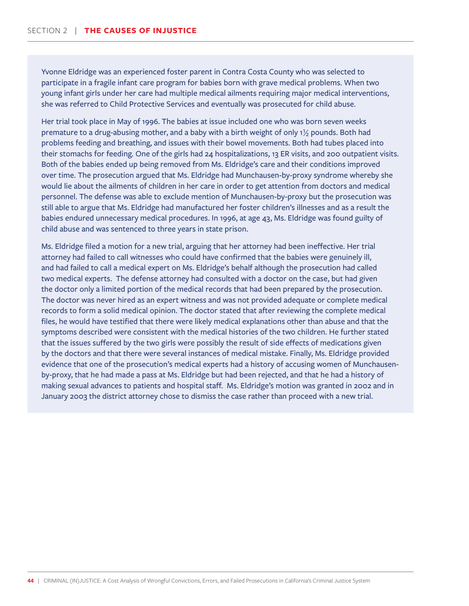Yvonne Eldridge was an experienced foster parent in Contra Costa County who was selected to participate in a fragile infant care program for babies born with grave medical problems. When two young infant girls under her care had multiple medical ailments requiring major medical interventions, she was referred to Child Protective Services and eventually was prosecuted for child abuse.

Her trial took place in May of 1996. The babies at issue included one who was born seven weeks premature to a drug-abusing mother, and a baby with a birth weight of only 1½ pounds. Both had problems feeding and breathing, and issues with their bowel movements. Both had tubes placed into their stomachs for feeding. One of the girls had 24 hospitalizations, 13 ER visits, and 200 outpatient visits. Both of the babies ended up being removed from Ms. Eldridge's care and their conditions improved over time. The prosecution argued that Ms. Eldridge had Munchausen-by-proxy syndrome whereby she would lie about the ailments of children in her care in order to get attention from doctors and medical personnel. The defense was able to exclude mention of Munchausen-by-proxy but the prosecution was still able to argue that Ms. Eldridge had manufactured her foster children's illnesses and as a result the babies endured unnecessary medical procedures. In 1996, at age 43, Ms. Eldridge was found guilty of child abuse and was sentenced to three years in state prison.

Ms. Eldridge filed a motion for a new trial, arguing that her attorney had been ineffective. Her trial attorney had failed to call witnesses who could have confirmed that the babies were genuinely ill, and had failed to call a medical expert on Ms. Eldridge's behalf although the prosecution had called two medical experts. The defense attorney had consulted with a doctor on the case, but had given the doctor only a limited portion of the medical records that had been prepared by the prosecution. The doctor was never hired as an expert witness and was not provided adequate or complete medical records to form a solid medical opinion. The doctor stated that after reviewing the complete medical files, he would have testified that there were likely medical explanations other than abuse and that the symptoms described were consistent with the medical histories of the two children. He further stated that the issues suffered by the two girls were possibly the result of side effects of medications given by the doctors and that there were several instances of medical mistake. Finally, Ms. Eldridge provided evidence that one of the prosecution's medical experts had a history of accusing women of Munchausenby-proxy, that he had made a pass at Ms. Eldridge but had been rejected, and that he had a history of making sexual advances to patients and hospital staff. Ms. Eldridge's motion was granted in 2002 and in January 2003 the district attorney chose to dismiss the case rather than proceed with a new trial.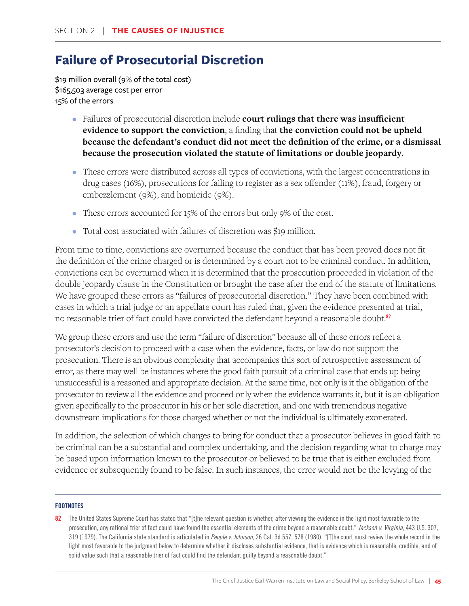# **Failure of Prosecutorial Discretion**

\$19 million overall (9% of the total cost) \$165,503 average cost per error 15% of the errors

- Failures of prosecutorial discretion include **court rulings that there was insufficient evidence to support the conviction**, a finding that **the conviction could not be upheld because the defendant's conduct did not meet the definition of the crime, or a dismissal because the prosecution violated the statute of limitations or double jeopardy**.
- These errors were distributed across all types of convictions, with the largest concentrations in drug cases (16%), prosecutions for failing to register as a sex offender (11%), fraud, forgery or embezzlement (9%), and homicide (9%).
- These errors accounted for 15% of the errors but only 9% of the cost.
- Total cost associated with failures of discretion was \$19 million.

From time to time, convictions are overturned because the conduct that has been proved does not fit the definition of the crime charged or is determined by a court not to be criminal conduct. In addition, convictions can be overturned when it is determined that the prosecution proceeded in violation of the double jeopardy clause in the Constitution or brought the case after the end of the statute of limitations. We have grouped these errors as "failures of prosecutorial discretion." They have been combined with cases in which a trial judge or an appellate court has ruled that, given the evidence presented at trial, no reasonable trier of fact could have convicted the defendant beyond a reasonable doubt.<sup>82</sup>

We group these errors and use the term "failure of discretion" because all of these errors reflect a prosecutor's decision to proceed with a case when the evidence, facts, or law do not support the prosecution. There is an obvious complexity that accompanies this sort of retrospective assessment of error, as there may well be instances where the good faith pursuit of a criminal case that ends up being unsuccessful is a reasoned and appropriate decision. At the same time, not only is it the obligation of the prosecutor to review all the evidence and proceed only when the evidence warrants it, but it is an obligation given specifically to the prosecutor in his or her sole discretion, and one with tremendous negative downstream implications for those charged whether or not the individual is ultimately exonerated.

In addition, the selection of which charges to bring for conduct that a prosecutor believes in good faith to be criminal can be a substantial and complex undertaking, and the decision regarding what to charge may be based upon information known to the prosecutor or believed to be true that is either excluded from evidence or subsequently found to be false. In such instances, the error would not be the levying of the

### **FOOTNOTES**

82 The United States Supreme Court has stated that "[t]he relevant question is whether, after viewing the evidence in the light most favorable to the prosecution, any rational trier of fact could have found the essential elements of the crime beyond a reasonable doubt." *Jackson v. Virginia*, 443 U.S. 307, 319 (1979). The California state standard is articulated in *People v. Johnson*, 26 Cal. 3d 557, 578 (1980). "[T]he court must review the whole record in the light most favorable to the judgment below to determine whether it discloses substantial evidence, that is evidence which is reasonable, credible, and of solid value such that a reasonable trier of fact could find the defendant guilty beyond a reasonable doubt."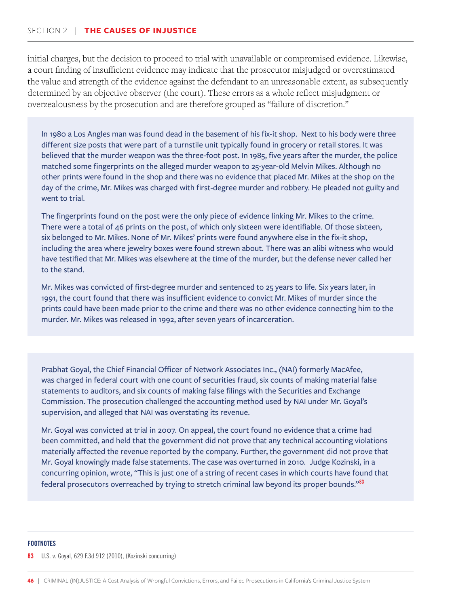### SECTION 2 | **THE CAUSES OF INJUSTICE**

initial charges, but the decision to proceed to trial with unavailable or compromised evidence. Likewise, a court finding of insufficient evidence may indicate that the prosecutor misjudged or overestimated the value and strength of the evidence against the defendant to an unreasonable extent, as subsequently determined by an objective observer (the court). These errors as a whole reflect misjudgment or overzealousness by the prosecution and are therefore grouped as "failure of discretion."

In 1980 a Los Angles man was found dead in the basement of his fix-it shop. Next to his body were three different size posts that were part of a turnstile unit typically found in grocery or retail stores. It was believed that the murder weapon was the three-foot post. In 1985, five years after the murder, the police matched some fingerprints on the alleged murder weapon to 25-year-old Melvin Mikes. Although no other prints were found in the shop and there was no evidence that placed Mr. Mikes at the shop on the day of the crime, Mr. Mikes was charged with first-degree murder and robbery. He pleaded not guilty and went to trial.

The fingerprints found on the post were the only piece of evidence linking Mr. Mikes to the crime. There were a total of 46 prints on the post, of which only sixteen were identifiable. Of those sixteen, six belonged to Mr. Mikes. None of Mr. Mikes' prints were found anywhere else in the fix-it shop, including the area where jewelry boxes were found strewn about. There was an alibi witness who would have testified that Mr. Mikes was elsewhere at the time of the murder, but the defense never called her to the stand.

Mr. Mikes was convicted of first-degree murder and sentenced to 25 years to life. Six years later, in 1991, the court found that there was insufficient evidence to convict Mr. Mikes of murder since the prints could have been made prior to the crime and there was no other evidence connecting him to the murder. Mr. Mikes was released in 1992, after seven years of incarceration.

Prabhat Goyal, the Chief Financial Officer of Network Associates Inc., (NAI) formerly MacAfee, was charged in federal court with one count of securities fraud, six counts of making material false statements to auditors, and six counts of making false filings with the Securities and Exchange Commission. The prosecution challenged the accounting method used by NAI under Mr. Goyal's supervision, and alleged that NAI was overstating its revenue.

Mr. Goyal was convicted at trial in 2007. On appeal, the court found no evidence that a crime had been committed, and held that the government did not prove that any technical accounting violations materially affected the revenue reported by the company. Further, the government did not prove that Mr. Goyal knowingly made false statements. The case was overturned in 2010. Judge Kozinski, in a concurring opinion, wrote, "This is just one of a string of recent cases in which courts have found that federal prosecutors overreached by trying to stretch criminal law beyond its proper bounds."<sup>83</sup>

#### **FOOTNOTES**

#### 83 U.S. v. Goyal, 629 F.3d 912 (2010), (Kozinski concurring)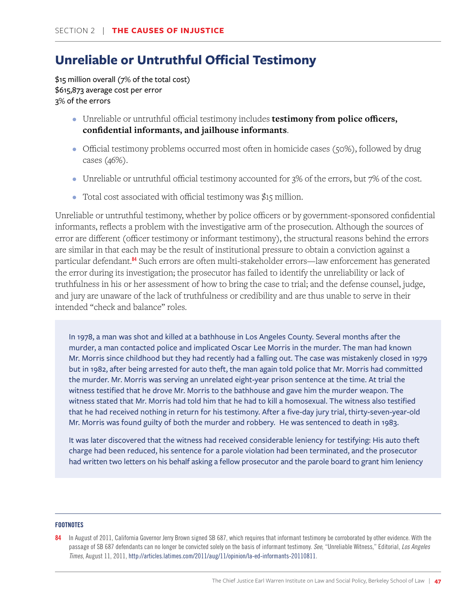# **Unreliable or Untruthful Official Testimony**

\$15 million overall (7% of the total cost) \$615,873 average cost per error 3% of the errors

- Unreliable or untruthful official testimony includes **testimony from police officers, confidential informants, and jailhouse informants**.
- Official testimony problems occurred most often in homicide cases (50%), followed by drug cases (46%).
- Unreliable or untruthful official testimony accounted for 3% of the errors, but 7% of the cost.
- Total cost associated with official testimony was \$15 million.

Unreliable or untruthful testimony, whether by police officers or by government-sponsored confidential informants, reflects a problem with the investigative arm of the prosecution. Although the sources of error are different (officer testimony or informant testimony), the structural reasons behind the errors are similar in that each may be the result of institutional pressure to obtain a conviction against a particular defendant.<sup>84</sup> Such errors are often multi-stakeholder errors—law enforcement has generated the error during its investigation; the prosecutor has failed to identify the unreliability or lack of truthfulness in his or her assessment of how to bring the case to trial; and the defense counsel, judge, and jury are unaware of the lack of truthfulness or credibility and are thus unable to serve in their intended "check and balance" roles.

In 1978, a man was shot and killed at a bathhouse in Los Angeles County. Several months after the murder, a man contacted police and implicated Oscar Lee Morris in the murder. The man had known Mr. Morris since childhood but they had recently had a falling out. The case was mistakenly closed in 1979 but in 1982, after being arrested for auto theft, the man again told police that Mr. Morris had committed the murder. Mr. Morris was serving an unrelated eight-year prison sentence at the time. At trial the witness testified that he drove Mr. Morris to the bathhouse and gave him the murder weapon. The witness stated that Mr. Morris had told him that he had to kill a homosexual. The witness also testified that he had received nothing in return for his testimony. After a five-day jury trial, thirty-seven-year-old Mr. Morris was found guilty of both the murder and robbery. He was sentenced to death in 1983.

It was later discovered that the witness had received considerable leniency for testifying: His auto theft charge had been reduced, his sentence for a parole violation had been terminated, and the prosecutor had written two letters on his behalf asking a fellow prosecutor and the parole board to grant him leniency

<sup>84</sup> In August of 2011, California Governor Jerry Brown signed SB 687, which requires that informant testimony be corroborated by other evidence. With the passage of SB 687 defendants can no longer be convicted solely on the basis of informant testimony. *See*, "Unreliable Witness," Editorial, *Los Angeles Times*, August 11, 2011, http://articles.latimes.com/2011/aug/11/opinion/la-ed-informants-20110811.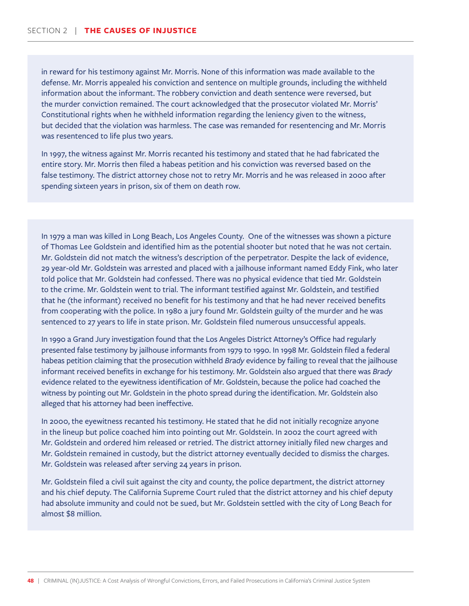in reward for his testimony against Mr. Morris. None of this information was made available to the defense. Mr. Morris appealed his conviction and sentence on multiple grounds, including the withheld information about the informant. The robbery conviction and death sentence were reversed, but the murder conviction remained. The court acknowledged that the prosecutor violated Mr. Morris' Constitutional rights when he withheld information regarding the leniency given to the witness, but decided that the violation was harmless. The case was remanded for resentencing and Mr. Morris was resentenced to life plus two years.

In 1997, the witness against Mr. Morris recanted his testimony and stated that he had fabricated the entire story. Mr. Morris then filed a habeas petition and his conviction was reversed based on the false testimony. The district attorney chose not to retry Mr. Morris and he was released in 2000 after spending sixteen years in prison, six of them on death row.

In 1979 a man was killed in Long Beach, Los Angeles County. One of the witnesses was shown a picture of Thomas Lee Goldstein and identified him as the potential shooter but noted that he was not certain. Mr. Goldstein did not match the witness's description of the perpetrator. Despite the lack of evidence, 29 year-old Mr. Goldstein was arrested and placed with a jailhouse informant named Eddy Fink, who later told police that Mr. Goldstein had confessed. There was no physical evidence that tied Mr. Goldstein to the crime. Mr. Goldstein went to trial. The informant testified against Mr. Goldstein, and testified that he (the informant) received no benefit for his testimony and that he had never received benefits from cooperating with the police. In 1980 a jury found Mr. Goldstein guilty of the murder and he was sentenced to 27 years to life in state prison. Mr. Goldstein filed numerous unsuccessful appeals.

In 1990 a Grand Jury investigation found that the Los Angeles District Attorney's Office had regularly presented false testimony by jailhouse informants from 1979 to 1990. In 1998 Mr. Goldstein filed a federal habeas petition claiming that the prosecution withheld *Brady* evidence by failing to reveal that the jailhouse informant received benefits in exchange for his testimony. Mr. Goldstein also argued that there was *Brady* evidence related to the eyewitness identification of Mr. Goldstein, because the police had coached the witness by pointing out Mr. Goldstein in the photo spread during the identification. Mr. Goldstein also alleged that his attorney had been ineffective.

In 2000, the eyewitness recanted his testimony. He stated that he did not initially recognize anyone in the lineup but police coached him into pointing out Mr. Goldstein. In 2002 the court agreed with Mr. Goldstein and ordered him released or retried. The district attorney initially filed new charges and Mr. Goldstein remained in custody, but the district attorney eventually decided to dismiss the charges. Mr. Goldstein was released after serving 24 years in prison.

Mr. Goldstein filed a civil suit against the city and county, the police department, the district attorney and his chief deputy. The California Supreme Court ruled that the district attorney and his chief deputy had absolute immunity and could not be sued, but Mr. Goldstein settled with the city of Long Beach for almost \$8 million.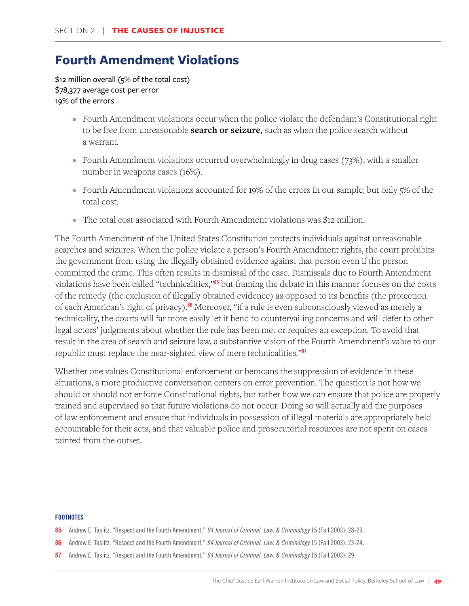# **Fourth Amendment Violations**

\$12 million overall (5% of the total cost) \$78,377 average cost per error 19% of the errors

- Fourth Amendment violations occur when the police violate the defendant's Constitutional right to be free from unreasonable **search or seizure**, such as when the police search without a warrant.
- Fourth Amendment violations occurred overwhelmingly in drug cases (73%), with a smaller number in weapons cases (16%).
- Fourth Amendment violations accounted for 19% of the errors in our sample, but only 5% of the total cost.
- The total cost associated with Fourth Amendment violations was \$12 million.

The Fourth Amendment of the United States Constitution protects individuals against unreasonable searches and seizures. When the police violate a person's Fourth Amendment rights, the court prohibits the government from using the illegally obtained evidence against that person even if the person committed the crime. This often results in dismissal of the case. Dismissals due to Fourth Amendment violations have been called "technicalities,"<sup>85</sup> but framing the debate in this manner focuses on the costs of the remedy (the exclusion of illegally obtained evidence) as opposed to its benefits (the protection of each American's right of privacy).<sup>86</sup> Moreover, "if a rule is even subconsciously viewed as merely a technicality, the courts will far more easily let it bend to countervailing concerns and will defer to other legal actors' judgments about whether the rule has been met or requires an exception. To avoid that result in the area of search and seizure law, a substantive vision of the Fourth Amendment's value to our republic must replace the near-sighted view of mere technicalities."<sup>87</sup>

Whether one values Constitutional enforcement or bemoans the suppression of evidence in these situations, a more productive conversation centers on error prevention. The question is not how we should or should not enforce Constitutional rights, but rather how we can ensure that police are properly trained and supervised so that future violations do not occur. Doing so will actually aid the purposes of law enforcement and ensure that individuals in possession of illegal materials are appropriately held accountable for their acts, and that valuable police and prosecutorial resources are not spent on cases tainted from the outset.

- 85 Andrew E. Taslitz, "Respect and the Fourth Amendment," *94 Journal of Criminal. Law. & Criminology* 15 (Fall 2003): 28-29.
- 86 Andrew E. Taslitz, "Respect and the Fourth Amendment," *94 Journal of Criminal. Law. & Criminology* 15 (Fall 2003): 23-24.
- 87 Andrew E. Taslitz, "Respect and the Fourth Amendment," *94 Journal of Criminal. Law. & Criminology* 15 (Fall 2003): 29.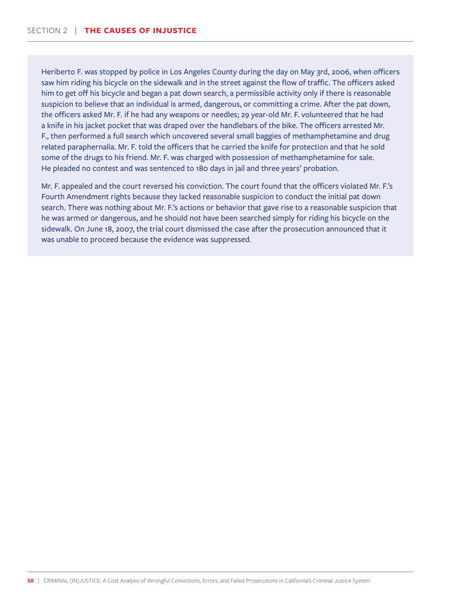Heriberto F. was stopped by police in Los Angeles County during the day on May 3rd, 2006, when officers saw him riding his bicycle on the sidewalk and in the street against the flow of traffic. The officers asked him to get off his bicycle and began a pat down search, a permissible activity only if there is reasonable suspicion to believe that an individual is armed, dangerous, or committing a crime. After the pat down, the officers asked Mr. F. if he had any weapons or needles; 29 year-old Mr. F. volunteered that he had a knife in his jacket pocket that was draped over the handlebars of the bike. The officers arrested Mr. F., then performed a full search which uncovered several small baggies of methamphetamine and drug related paraphernalia. Mr. F. told the officers that he carried the knife for protection and that he sold some of the drugs to his friend. Mr. F. was charged with possession of methamphetamine for sale. He pleaded no contest and was sentenced to 180 days in jail and three years' probation.

Mr. F. appealed and the court reversed his conviction. The court found that the officers violated Mr. F.'s Fourth Amendment rights because they lacked reasonable suspicion to conduct the initial pat down search. There was nothing about Mr. F.'s actions or behavior that gave rise to a reasonable suspicion that he was armed or dangerous, and he should not have been searched simply for riding his bicycle on the sidewalk. On June 18, 2007, the trial court dismissed the case after the prosecution announced that it was unable to proceed because the evidence was suppressed.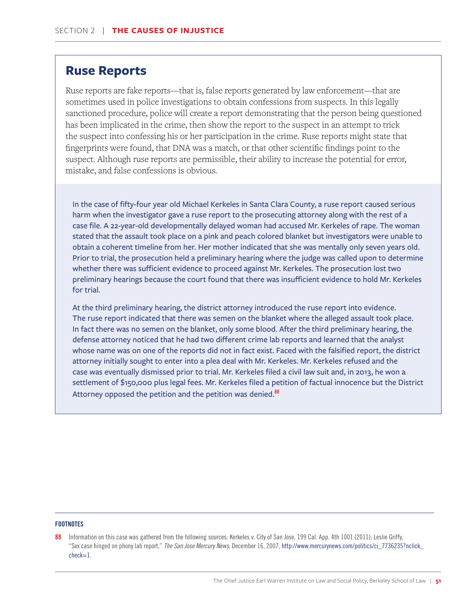### **Ruse Reports**

Ruse reports are fake reports—that is, false reports generated by law enforcement—that are sometimes used in police investigations to obtain confessions from suspects. In this legally sanctioned procedure, police will create a report demonstrating that the person being questioned has been implicated in the crime, then show the report to the suspect in an attempt to trick the suspect into confessing his or her participation in the crime. Ruse reports might state that fingerprints were found, that DNA was a match, or that other scientific findings point to the suspect. Although ruse reports are permissible, their ability to increase the potential for error, mistake, and false confessions is obvious.

In the case of fifty-four year old Michael Kerkeles in Santa Clara County, a ruse report caused serious harm when the investigator gave a ruse report to the prosecuting attorney along with the rest of a case file. A 22-year-old developmentally delayed woman had accused Mr. Kerkeles of rape. The woman stated that the assault took place on a pink and peach colored blanket but investigators were unable to obtain a coherent timeline from her. Her mother indicated that she was mentally only seven years old. Prior to trial, the prosecution held a preliminary hearing where the judge was called upon to determine whether there was sufficient evidence to proceed against Mr. Kerkeles. The prosecution lost two preliminary hearings because the court found that there was insufficient evidence to hold Mr. Kerkeles for trial.

At the third preliminary hearing, the district attorney introduced the ruse report into evidence. The ruse report indicated that there was semen on the blanket where the alleged assault took place. In fact there was no semen on the blanket, only some blood. After the third preliminary hearing, the defense attorney noticed that he had two different crime lab reports and learned that the analyst whose name was on one of the reports did not in fact exist. Faced with the falsified report, the district attorney initially sought to enter into a plea deal with Mr. Kerkeles. Mr. Kerkeles refused and the case was eventually dismissed prior to trial. Mr. Kerkeles filed a civil law suit and, in 2013, he won a settlement of \$150,000 plus legal fees. Mr. Kerkeles filed a petition of factual innocence but the District Attorney opposed the petition and the petition was denied.<sup>88</sup>

### **FOOTNOTES**

88 Information on this case was gathered from the following sources: Kerkeles v. City of San Jose, 199 Cal. App. 4th 1001 (2011); Leslie Griffy, "Sex case hinged on phony lab report," *The San Jose Mercury News*, December 16, 2007, http://www.mercurynews.com/politics/ci\_7736235?nclick\_ check=1.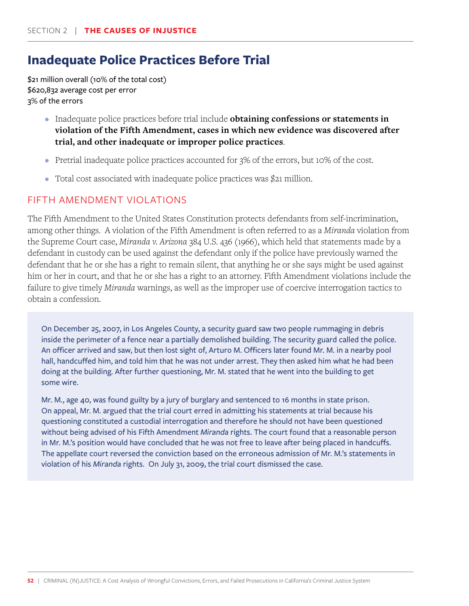# **Inadequate Police Practices Before Trial**

\$21 million overall (10% of the total cost) \$620,832 average cost per error 3% of the errors

- Inadequate police practices before trial include **obtaining confessions or statements in violation of the Fifth Amendment, cases in which new evidence was discovered after trial, and other inadequate or improper police practices**.
- Pretrial inadequate police practices accounted for  $3\%$  of the errors, but 10% of the cost.
- Total cost associated with inadequate police practices was \$21 million.

### FIFTH AMENDMENT VIOLATIONS

The Fifth Amendment to the United States Constitution protects defendants from self-incrimination, among other things. A violation of the Fifth Amendment is often referred to as a *Miranda* violation from the Supreme Court case, *Miranda v. Arizona* 384 U.S. 436 (1966), which held that statements made by a defendant in custody can be used against the defendant only if the police have previously warned the defendant that he or she has a right to remain silent, that anything he or she says might be used against him or her in court, and that he or she has a right to an attorney. Fifth Amendment violations include the failure to give timely *Miranda* warnings, as well as the improper use of coercive interrogation tactics to obtain a confession.

On December 25, 2007, in Los Angeles County, a security guard saw two people rummaging in debris inside the perimeter of a fence near a partially demolished building. The security guard called the police. An officer arrived and saw, but then lost sight of, Arturo M. Officers later found Mr. M. in a nearby pool hall, handcuffed him, and told him that he was not under arrest. They then asked him what he had been doing at the building. After further questioning, Mr. M. stated that he went into the building to get some wire.

Mr. M., age 40, was found guilty by a jury of burglary and sentenced to 16 months in state prison. On appeal, Mr. M. argued that the trial court erred in admitting his statements at trial because his questioning constituted a custodial interrogation and therefore he should not have been questioned without being advised of his Fifth Amendment *Miranda* rights. The court found that a reasonable person in Mr. M.'s position would have concluded that he was not free to leave after being placed in handcuffs. The appellate court reversed the conviction based on the erroneous admission of Mr. M.'s statements in violation of his *Miranda* rights. On July 31, 2009, the trial court dismissed the case.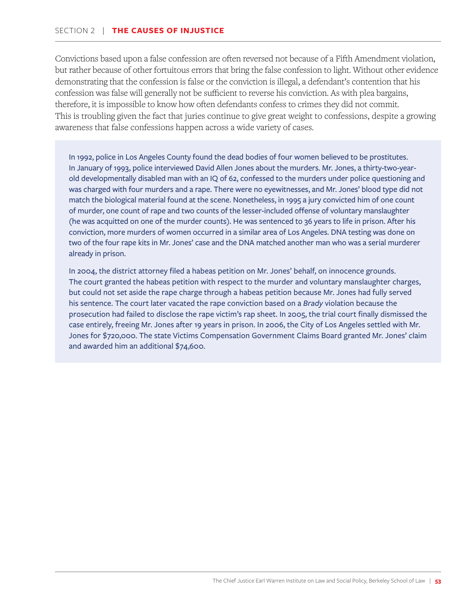Convictions based upon a false confession are often reversed not because of a Fifth Amendment violation, but rather because of other fortuitous errors that bring the false confession to light. Without other evidence demonstrating that the confession is false or the conviction is illegal, a defendant's contention that his confession was false will generally not be sufficient to reverse his conviction. As with plea bargains, therefore, it is impossible to know how often defendants confess to crimes they did not commit. This is troubling given the fact that juries continue to give great weight to confessions, despite a growing awareness that false confessions happen across a wide variety of cases.

In 1992, police in Los Angeles County found the dead bodies of four women believed to be prostitutes. In January of 1993, police interviewed David Allen Jones about the murders. Mr. Jones, a thirty-two-yearold developmentally disabled man with an IQ of 62, confessed to the murders under police questioning and was charged with four murders and a rape. There were no eyewitnesses, and Mr. Jones' blood type did not match the biological material found at the scene. Nonetheless, in 1995 a jury convicted him of one count of murder, one count of rape and two counts of the lesser-included offense of voluntary manslaughter (he was acquitted on one of the murder counts). He was sentenced to 36 years to life in prison. After his conviction, more murders of women occurred in a similar area of Los Angeles. DNA testing was done on two of the four rape kits in Mr. Jones' case and the DNA matched another man who was a serial murderer already in prison.

In 2004, the district attorney filed a habeas petition on Mr. Jones' behalf, on innocence grounds. The court granted the habeas petition with respect to the murder and voluntary manslaughter charges, but could not set aside the rape charge through a habeas petition because Mr. Jones had fully served his sentence. The court later vacated the rape conviction based on a *Brady* violation because the prosecution had failed to disclose the rape victim's rap sheet. In 2005, the trial court finally dismissed the case entirely, freeing Mr. Jones after 19 years in prison. In 2006, the City of Los Angeles settled with Mr. Jones for \$720,000. The state Victims Compensation Government Claims Board granted Mr. Jones' claim and awarded him an additional \$74,600.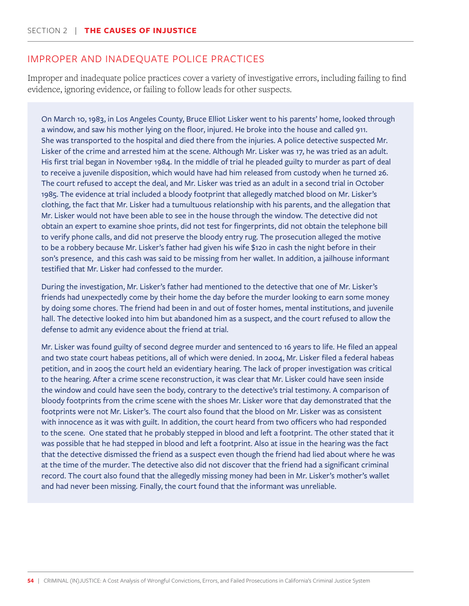### IMPROPER AND INADEQUATE POLICE PRACTICES

Improper and inadequate police practices cover a variety of investigative errors, including failing to find evidence, ignoring evidence, or failing to follow leads for other suspects.

On March 10, 1983, in Los Angeles County, Bruce Elliot Lisker went to his parents' home, looked through a window, and saw his mother lying on the floor, injured. He broke into the house and called 911. She was transported to the hospital and died there from the injuries. A police detective suspected Mr. Lisker of the crime and arrested him at the scene. Although Mr. Lisker was 17, he was tried as an adult. His first trial began in November 1984. In the middle of trial he pleaded guilty to murder as part of deal to receive a juvenile disposition, which would have had him released from custody when he turned 26. The court refused to accept the deal, and Mr. Lisker was tried as an adult in a second trial in October 1985. The evidence at trial included a bloody footprint that allegedly matched blood on Mr. Lisker's clothing, the fact that Mr. Lisker had a tumultuous relationship with his parents, and the allegation that Mr. Lisker would not have been able to see in the house through the window. The detective did not obtain an expert to examine shoe prints, did not test for fingerprints, did not obtain the telephone bill to verify phone calls, and did not preserve the bloody entry rug. The prosecution alleged the motive to be a robbery because Mr. Lisker's father had given his wife \$120 in cash the night before in their son's presence, and this cash was said to be missing from her wallet. In addition, a jailhouse informant testified that Mr. Lisker had confessed to the murder.

During the investigation, Mr. Lisker's father had mentioned to the detective that one of Mr. Lisker's friends had unexpectedly come by their home the day before the murder looking to earn some money by doing some chores. The friend had been in and out of foster homes, mental institutions, and juvenile hall. The detective looked into him but abandoned him as a suspect, and the court refused to allow the defense to admit any evidence about the friend at trial.

Mr. Lisker was found guilty of second degree murder and sentenced to 16 years to life. He filed an appeal and two state court habeas petitions, all of which were denied. In 2004, Mr. Lisker filed a federal habeas petition, and in 2005 the court held an evidentiary hearing. The lack of proper investigation was critical to the hearing. After a crime scene reconstruction, it was clear that Mr. Lisker could have seen inside the window and could have seen the body, contrary to the detective's trial testimony. A comparison of bloody footprints from the crime scene with the shoes Mr. Lisker wore that day demonstrated that the footprints were not Mr. Lisker's. The court also found that the blood on Mr. Lisker was as consistent with innocence as it was with guilt. In addition, the court heard from two officers who had responded to the scene. One stated that he probably stepped in blood and left a footprint. The other stated that it was possible that he had stepped in blood and left a footprint. Also at issue in the hearing was the fact that the detective dismissed the friend as a suspect even though the friend had lied about where he was at the time of the murder. The detective also did not discover that the friend had a significant criminal record. The court also found that the allegedly missing money had been in Mr. Lisker's mother's wallet and had never been missing. Finally, the court found that the informant was unreliable.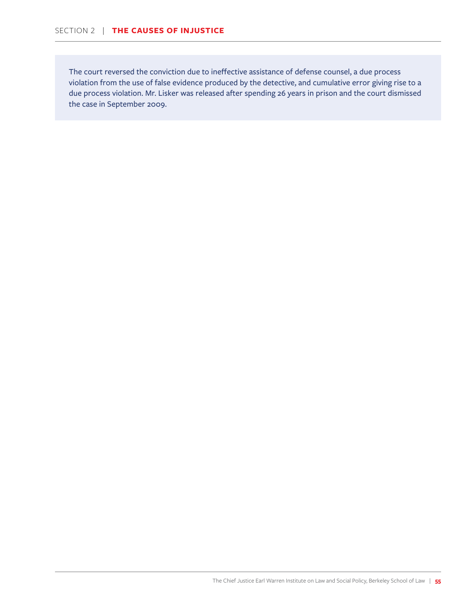The court reversed the conviction due to ineffective assistance of defense counsel, a due process violation from the use of false evidence produced by the detective, and cumulative error giving rise to a due process violation. Mr. Lisker was released after spending 26 years in prison and the court dismissed the case in September 2009.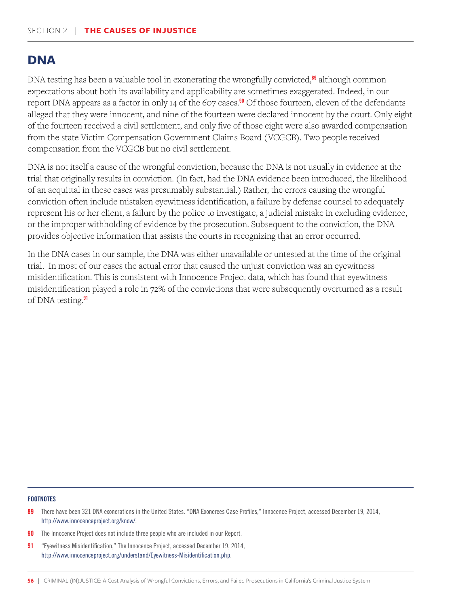### **DNA**

DNA testing has been a valuable tool in exonerating the wrongfully convicted, $\frac{89}{1}$  although common expectations about both its availability and applicability are sometimes exaggerated. Indeed, in our report DNA appears as a factor in only 14 of the 607 cases.<sup>90</sup> Of those fourteen, eleven of the defendants alleged that they were innocent, and nine of the fourteen were declared innocent by the court. Only eight of the fourteen received a civil settlement, and only five of those eight were also awarded compensation from the state Victim Compensation Government Claims Board (VCGCB). Two people received compensation from the VCGCB but no civil settlement.

DNA is not itself a cause of the wrongful conviction, because the DNA is not usually in evidence at the trial that originally results in conviction. (In fact, had the DNA evidence been introduced, the likelihood of an acquittal in these cases was presumably substantial.) Rather, the errors causing the wrongful conviction often include mistaken eyewitness identification, a failure by defense counsel to adequately represent his or her client, a failure by the police to investigate, a judicial mistake in excluding evidence, or the improper withholding of evidence by the prosecution. Subsequent to the conviction, the DNA provides objective information that assists the courts in recognizing that an error occurred.

In the DNA cases in our sample, the DNA was either unavailable or untested at the time of the original trial. In most of our cases the actual error that caused the unjust conviction was an eyewitness misidentification. This is consistent with Innocence Project data, which has found that eyewitness misidentification played a role in 72% of the convictions that were subsequently overturned as a result of DNA testing.<sup>91</sup>

- 89 There have been 321 DNA exonerations in the United States. "DNA Exonerees Case Profiles," Innocence Project, accessed December 19, 2014, http://www.innocenceproject.org/know/.
- **90** The Innocence Project does not include three people who are included in our Report.
- 91 "Eyewitness Misidentification," The Innocence Project, accessed December 19, 2014, http://www.innocenceproject.org/understand/Eyewitness-Misidentification.php.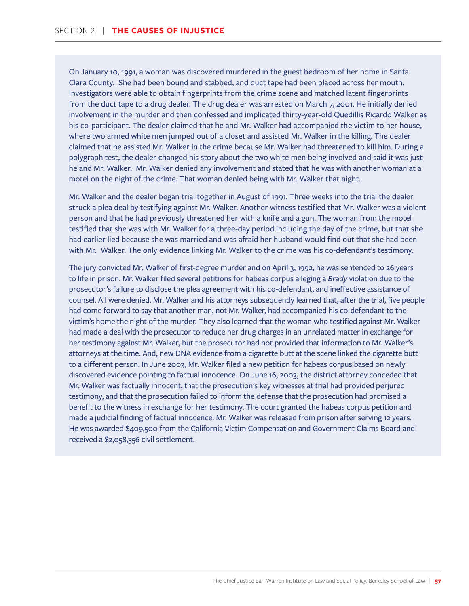On January 10, 1991, a woman was discovered murdered in the guest bedroom of her home in Santa Clara County. She had been bound and stabbed, and duct tape had been placed across her mouth. Investigators were able to obtain fingerprints from the crime scene and matched latent fingerprints from the duct tape to a drug dealer. The drug dealer was arrested on March 7, 2001. He initially denied involvement in the murder and then confessed and implicated thirty-year-old Quedillis Ricardo Walker as his co-participant. The dealer claimed that he and Mr. Walker had accompanied the victim to her house, where two armed white men jumped out of a closet and assisted Mr. Walker in the killing. The dealer claimed that he assisted Mr. Walker in the crime because Mr. Walker had threatened to kill him. During a polygraph test, the dealer changed his story about the two white men being involved and said it was just he and Mr. Walker. Mr. Walker denied any involvement and stated that he was with another woman at a motel on the night of the crime. That woman denied being with Mr. Walker that night.

Mr. Walker and the dealer began trial together in August of 1991. Three weeks into the trial the dealer struck a plea deal by testifying against Mr. Walker. Another witness testified that Mr. Walker was a violent person and that he had previously threatened her with a knife and a gun. The woman from the motel testified that she was with Mr. Walker for a three-day period including the day of the crime, but that she had earlier lied because she was married and was afraid her husband would find out that she had been with Mr. Walker. The only evidence linking Mr. Walker to the crime was his co-defendant's testimony.

The jury convicted Mr. Walker of first-degree murder and on April 3, 1992, he was sentenced to 26 years to life in prison. Mr. Walker filed several petitions for habeas corpus alleging a *Brady* violation due to the prosecutor's failure to disclose the plea agreement with his co-defendant, and ineffective assistance of counsel. All were denied. Mr. Walker and his attorneys subsequently learned that, after the trial, five people had come forward to say that another man, not Mr. Walker, had accompanied his co-defendant to the victim's home the night of the murder. They also learned that the woman who testified against Mr. Walker had made a deal with the prosecutor to reduce her drug charges in an unrelated matter in exchange for her testimony against Mr. Walker, but the prosecutor had not provided that information to Mr. Walker's attorneys at the time. And, new DNA evidence from a cigarette butt at the scene linked the cigarette butt to a different person. In June 2003, Mr. Walker filed a new petition for habeas corpus based on newly discovered evidence pointing to factual innocence. On June 16, 2003, the district attorney conceded that Mr. Walker was factually innocent, that the prosecution's key witnesses at trial had provided perjured testimony, and that the prosecution failed to inform the defense that the prosecution had promised a benefit to the witness in exchange for her testimony. The court granted the habeas corpus petition and made a judicial finding of factual innocence. Mr. Walker was released from prison after serving 12 years. He was awarded \$409,500 from the California Victim Compensation and Government Claims Board and received a \$2,058,356 civil settlement.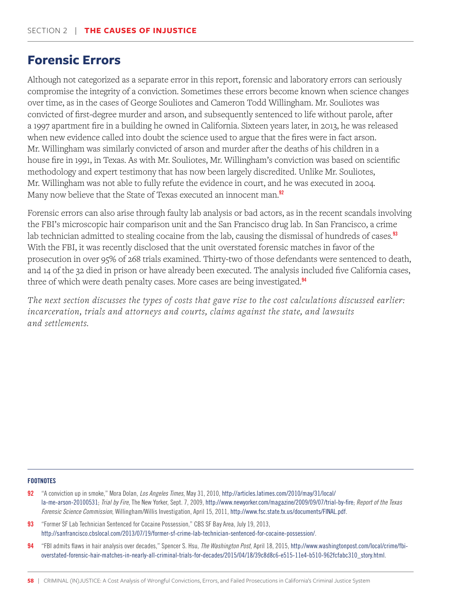## **Forensic Errors**

Although not categorized as a separate error in this report, forensic and laboratory errors can seriously compromise the integrity of a conviction. Sometimes these errors become known when science changes over time, as in the cases of George Souliotes and Cameron Todd Willingham. Mr. Souliotes was convicted of first-degree murder and arson, and subsequently sentenced to life without parole, after a 1997 apartment fire in a building he owned in California. Sixteen years later, in 2013, he was released when new evidence called into doubt the science used to argue that the fires were in fact arson. Mr. Willingham was similarly convicted of arson and murder after the deaths of his children in a house fire in 1991, in Texas. As with Mr. Souliotes, Mr. Willingham's conviction was based on scientific methodology and expert testimony that has now been largely discredited. Unlike Mr. Souliotes, Mr. Willingham was not able to fully refute the evidence in court, and he was executed in 2004. Many now believe that the State of Texas executed an innocent man.<sup>92</sup>

Forensic errors can also arise through faulty lab analysis or bad actors, as in the recent scandals involving the FBI's microscopic hair comparison unit and the San Francisco drug lab. In San Francisco, a crime lab technician admitted to stealing cocaine from the lab, causing the dismissal of hundreds of cases.<sup>93</sup> With the FBI, it was recently disclosed that the unit overstated forensic matches in favor of the prosecution in over 95% of 268 trials examined. Thirty-two of those defendants were sentenced to death, and 14 of the 32 died in prison or have already been executed. The analysis included five California cases, three of which were death penalty cases. More cases are being investigated.<sup>94</sup>

*The next section discusses the types of costs that gave rise to the cost calculations discussed earlier: incarceration, trials and attorneys and courts, claims against the state, and lawsuits and settlements.* 

- 92 "A conviction up in smoke," Mora Dolan, *Los Angeles Times*, May 31, 2010, http://articles.latimes.com/2010/may/31/local/ la-me-arson-20100531; *Trial by Fire*, The New Yorker, Sept. 7, 2009, http://www.newyorker.com/magazine/2009/09/07/trial-by-fire; *Report of the Texas Forensic Science Commission*, Willingham/Willis Investigation, April 15, 2011, http://www.fsc.state.tx.us/documents/FINAL.pdf.
- 93 "Former SF Lab Technician Sentenced for Cocaine Possession," CBS SF Bay Area, July 19, 2013, http://sanfrancisco.cbslocal.com/2013/07/19/former-sf-crime-lab-technician-sentenced-for-cocaine-possession/.
- 94 "FBI admits flaws in hair analysis over decades," Spencer S. Hsu, *The Washington Post*, April 18, 2015, http://www.washingtonpost.com/local/crime/fbioverstated-forensic-hair-matches-in-nearly-all-criminal-trials-for-decades/2015/04/18/39c8d8c6-e515-11e4-b510-962fcfabc310\_story.html.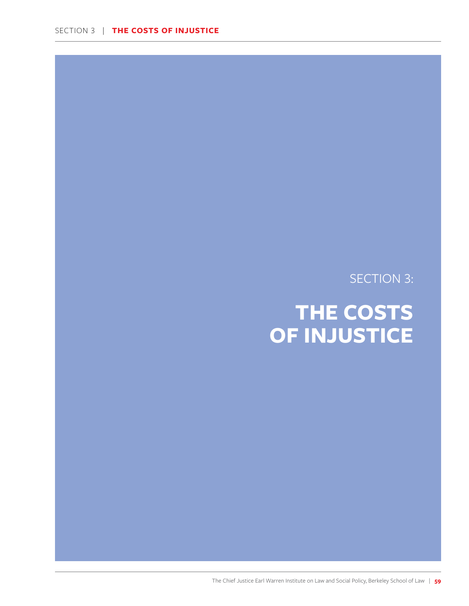SECTION 3:

# **THE COSTS OF INJUSTICE**

The Chief Justice Earl Warren Institute on Law and Social Policy, Berkeley School of Law | **59**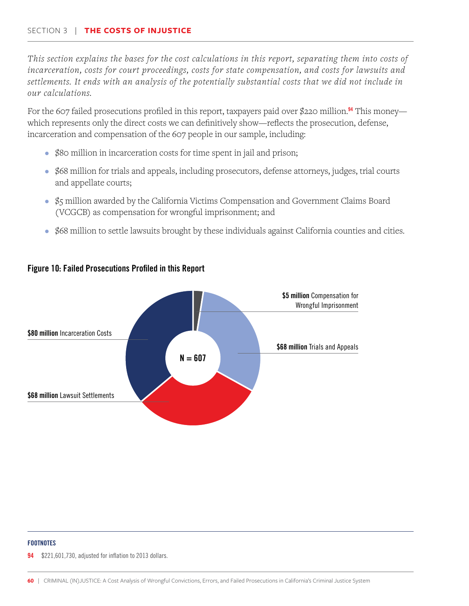*This section explains the bases for the cost calculations in this report, separating them into costs of incarceration, costs for court proceedings, costs for state compensation, and costs for lawsuits and settlements. It ends with an analysis of the potentially substantial costs that we did not include in our calculations.*

For the 607 failed prosecutions profiled in this report, taxpayers paid over \$220 million.<sup>94</sup> This money which represents only the direct costs we can definitively show—reflects the prosecution, defense, incarceration and compensation of the 607 people in our sample, including:

- \$80 million in incarceration costs for time spent in jail and prison;
- \$68 million for trials and appeals, including prosecutors, defense attorneys, judges, trial courts and appellate courts;
- \$5 million awarded by the California Victims Compensation and Government Claims Board (VCGCB) as compensation for wrongful imprisonment; and
- \$68 million to settle lawsuits brought by these individuals against California counties and cities.



### Figure 10: Failed Prosecutions Profiled in this Report

### **FOOTNOTES**

\$221,601,730, adjusted for inflation to 2013 dollars.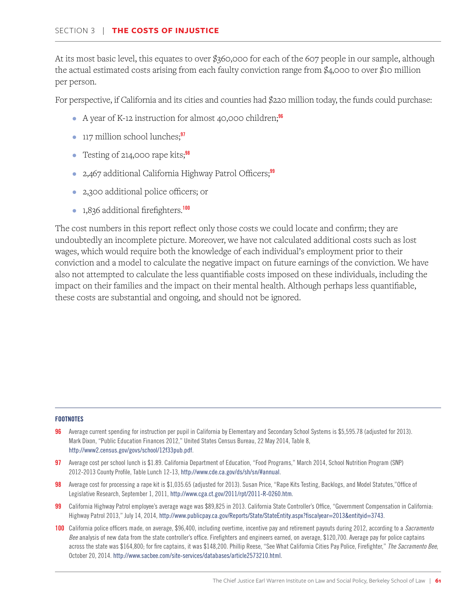At its most basic level, this equates to over \$360,000 for each of the 607 people in our sample, although the actual estimated costs arising from each faulty conviction range from \$4,000 to over \$10 million per person.

For perspective, if California and its cities and counties had \$220 million today, the funds could purchase:

- A year of K-12 instruction for almost 40,000 children;<sup>96</sup>
- 117 million school lunches;<sup>97</sup>
- Testing of 214,000 rape kits; $98$
- 2,467 additional California Highway Patrol Officers;<sup>99</sup>
- 2,300 additional police officers; or
- 1,836 additional firefighters.<sup>100</sup>

The cost numbers in this report reflect only those costs we could locate and confirm; they are undoubtedly an incomplete picture. Moreover, we have not calculated additional costs such as lost wages, which would require both the knowledge of each individual's employment prior to their conviction and a model to calculate the negative impact on future earnings of the conviction. We have also not attempted to calculate the less quantifiable costs imposed on these individuals, including the impact on their families and the impact on their mental health. Although perhaps less quantifiable, these costs are substantial and ongoing, and should not be ignored.

- 96 Average current spending for instruction per pupil in California by Elementary and Secondary School Systems is \$5,595.78 (adjusted for 2013). Mark Dixon, "Public Education Finances 2012," United States Census Bureau, 22 May 2014, Table 8, http://www2.census.gov/govs/school/12f33pub.pdf.
- 97 Average cost per school lunch is \$1.89. California Department of Education, "Food Programs," March 2014, School Nutrition Program (SNP) 2012-2013 County Profile, Table Lunch 12-13, http://www.cde.ca.gov/ds/sh/sn/#annual.
- 98 Average cost for processing a rape kit is \$1,035.65 (adjusted for 2013). Susan Price, "Rape Kits Testing, Backlogs, and Model Statutes," Office of Legislative Research, September 1, 2011, http://www.cga.ct.gov/2011/rpt/2011-R-0260.htm.
- 99 California Highway Patrol employee's average wage was \$89,825 in 2013. California State Controller's Office, "Government Compensation in California: Highway Patrol 2013," July 14, 2014, http://www.publicpay.ca.gov/Reports/State/StateEntity.aspx?fiscalyear=2013&entityid=3743.
- 100 California police officers made, on average, \$96,400, including overtime, incentive pay and retirement payouts during 2012, according to a *Sacramento Bee* analysis of new data from the state controller's office. Firefighters and engineers earned, on average, \$120,700. Average pay for police captains across the state was \$164,800; for fire captains, it was \$148,200. Phillip Reese, "See What California Cities Pay Police, Firefighter," *The Sacramento Bee*, October 20, 2014. http://www.sacbee.com/site-services/databases/article2573210.html.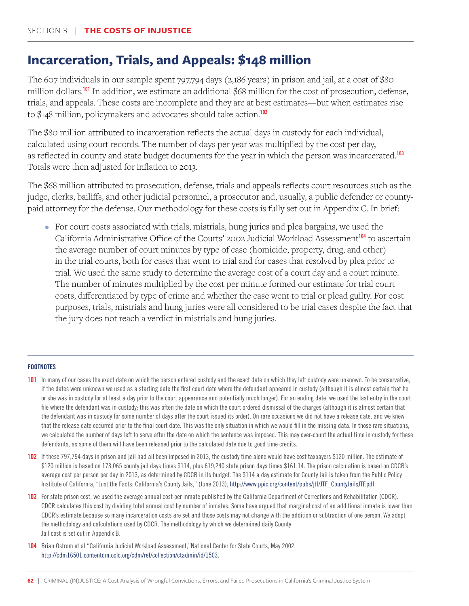# **Incarceration, Trials, and Appeals: \$148 million**

The 607 individuals in our sample spent 797,794 days (2,186 years) in prison and jail, at a cost of \$80 million dollars.<sup>101</sup> In addition, we estimate an additional \$68 million for the cost of prosecution, defense, trials, and appeals. These costs are incomplete and they are at best estimates—but when estimates rise to \$148 million, policymakers and advocates should take action.<sup>102</sup>

The \$80 million attributed to incarceration reflects the actual days in custody for each individual, calculated using court records. The number of days per year was multiplied by the cost per day, as reflected in county and state budget documents for the year in which the person was incarcerated.<sup>103</sup> Totals were then adjusted for inflation to 2013.

The \$68 million attributed to prosecution, defense, trials and appeals reflects court resources such as the judge, clerks, bailiffs, and other judicial personnel, a prosecutor and, usually, a public defender or countypaid attorney for the defense. Our methodology for these costs is fully set out in Appendix C. In brief:

• For court costs associated with trials, mistrials, hung juries and plea bargains, we used the California Administrative Office of the Courts' 2002 Judicial Workload Assessment<sup>104</sup> to ascertain the average number of court minutes by type of case (homicide, property, drug, and other) in the trial courts, both for cases that went to trial and for cases that resolved by plea prior to trial. We used the same study to determine the average cost of a court day and a court minute. The number of minutes multiplied by the cost per minute formed our estimate for trial court costs, differentiated by type of crime and whether the case went to trial or plead guilty. For cost purposes, trials, mistrials and hung juries were all considered to be trial cases despite the fact that the jury does not reach a verdict in mistrials and hung juries.

### **FOOTNOTES**

101 In many of our cases the exact date on which the person entered custody and the exact date on which they left custody were unknown. To be conservative, if the dates were unknown we used as a starting date the first court date where the defendant appeared in custody (although it is almost certain that he or she was in custody for at least a day prior to the court appearance and potentially much longer). For an ending date, we used the last entry in the court file where the defendant was in custody; this was often the date on which the court ordered dismissal of the charges (although it is almost certain that the defendant was in custody for some number of days after the court issued its order). On rare occasions we did not have a release date, and we knew that the release date occurred prior to the final court date. This was the only situation in which we would fill in the missing data. In those rare situations, we calculated the number of days left to serve after the date on which the sentence was imposed. This may over-count the actual time in custody for these defendants, as some of them will have been released prior to the calculated date due to good time credits.

102 If these 797,794 days in prison and jail had all been imposed in 2013, the custody time alone would have cost taxpayers \$120 million. The estimate of \$120 million is based on 173,065 county jail days times \$114, plus 619,240 state prison days times \$161.14. The prison calculation is based on CDCR's average cost per person per day in 2013, as determined by CDCR in its budget. The \$114 a day estimate for County Jail is taken from the Public Policy Institute of California, "Just the Facts: California's County Jails," (June 2013), http://www.ppic.org/content/pubs/jtf/JTF\_CountyJailsJTF.pdf.

103 For state prison cost, we used the average annual cost per inmate published by the California Department of Corrections and Rehabilitation (CDCR). CDCR calculates this cost by dividing total annual cost by number of inmates. Some have argued that marginal cost of an additional inmate is lower than CDCR's estimate because so many incarceration costs are set and those costs may not change with the addition or subtraction of one person. We adopt the methodology and calculations used by CDCR. The methodology by which we determined daily County Jail cost is set out in Appendix B.

104 Brian Ostrom et al "California Judicial Workload Assessment,"National Center for State Courts, May 2002, http://cdm16501.contentdm.oclc.org/cdm/ref/collection/ctadmin/id/1503.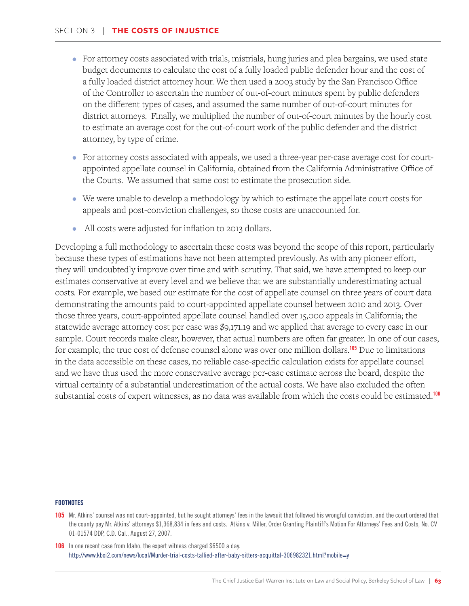- For attorney costs associated with trials, mistrials, hung juries and plea bargains, we used state budget documents to calculate the cost of a fully loaded public defender hour and the cost of a fully loaded district attorney hour. We then used a 2003 study by the San Francisco Office of the Controller to ascertain the number of out-of-court minutes spent by public defenders on the different types of cases, and assumed the same number of out-of-court minutes for district attorneys. Finally, we multiplied the number of out-of-court minutes by the hourly cost to estimate an average cost for the out-of-court work of the public defender and the district attorney, by type of crime.
- For attorney costs associated with appeals, we used a three-year per-case average cost for courtappointed appellate counsel in California, obtained from the California Administrative Office of the Courts. We assumed that same cost to estimate the prosecution side.
- We were unable to develop a methodology by which to estimate the appellate court costs for appeals and post-conviction challenges, so those costs are unaccounted for.
- All costs were adjusted for inflation to 2013 dollars.

Developing a full methodology to ascertain these costs was beyond the scope of this report, particularly because these types of estimations have not been attempted previously. As with any pioneer effort, they will undoubtedly improve over time and with scrutiny. That said, we have attempted to keep our estimates conservative at every level and we believe that we are substantially underestimating actual costs. For example, we based our estimate for the cost of appellate counsel on three years of court data demonstrating the amounts paid to court-appointed appellate counsel between 2010 and 2013. Over those three years, court-appointed appellate counsel handled over 15,000 appeals in California; the statewide average attorney cost per case was \$9,171.19 and we applied that average to every case in our sample. Court records make clear, however, that actual numbers are often far greater. In one of our cases, for example, the true cost of defense counsel alone was over one million dollars.<sup>105</sup> Due to limitations in the data accessible on these cases, no reliable case-specific calculation exists for appellate counsel and we have thus used the more conservative average per-case estimate across the board, despite the virtual certainty of a substantial underestimation of the actual costs. We have also excluded the often substantial costs of expert witnesses, as no data was available from which the costs could be estimated.<sup>106</sup>

### **FOOTNOTES**

106 In one recent case from Idaho, the expert witness charged \$6500 a day. http://www.kboi2.com/news/local/Murder-trial-costs-tallied-after-baby-sitters-acquittal-306982321.html?mobile=y

<sup>105</sup> Mr. Atkins' counsel was not court-appointed, but he sought attorneys' fees in the lawsuit that followed his wrongful conviction, and the court ordered that the county pay Mr. Atkins' attorneys \$1,368,834 in fees and costs. Atkins v. Miller, Order Granting Plaintiff's Motion For Attorneys' Fees and Costs, No. CV 01-01574 DDP, C.D. Cal., August 27, 2007.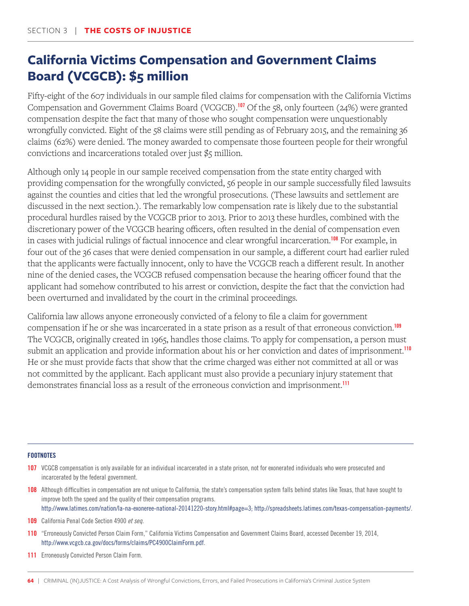# **California Victims Compensation and Government Claims Board (VCGCB): \$5 million**

Fifty-eight of the 607 individuals in our sample filed claims for compensation with the California Victims Compensation and Government Claims Board (VCGCB).<sup>107</sup> Of the 58, only fourteen (24%) were granted compensation despite the fact that many of those who sought compensation were unquestionably wrongfully convicted. Eight of the 58 claims were still pending as of February 2015, and the remaining 36 claims (62%) were denied. The money awarded to compensate those fourteen people for their wrongful convictions and incarcerations totaled over just \$5 million.

Although only 14 people in our sample received compensation from the state entity charged with providing compensation for the wrongfully convicted, 56 people in our sample successfully filed lawsuits against the counties and cities that led the wrongful prosecutions. (These lawsuits and settlement are discussed in the next section.). The remarkably low compensation rate is likely due to the substantial procedural hurdles raised by the VCGCB prior to 2013. Prior to 2013 these hurdles, combined with the discretionary power of the VCGCB hearing officers, often resulted in the denial of compensation even in cases with judicial rulings of factual innocence and clear wrongful incarceration.<sup>108</sup> For example, in four out of the 36 cases that were denied compensation in our sample, a different court had earlier ruled that the applicants were factually innocent, only to have the VCGCB reach a different result. In another nine of the denied cases, the VCGCB refused compensation because the hearing officer found that the applicant had somehow contributed to his arrest or conviction, despite the fact that the conviction had been overturned and invalidated by the court in the criminal proceedings.

California law allows anyone erroneously convicted of a felony to file a claim for government compensation if he or she was incarcerated in a state prison as a result of that erroneous conviction.<sup>109</sup> The VCGCB, originally created in 1965, handles those claims. To apply for compensation, a person must submit an application and provide information about his or her conviction and dates of imprisonment.<sup>110</sup> He or she must provide facts that show that the crime charged was either not committed at all or was not committed by the applicant. Each applicant must also provide a pecuniary injury statement that demonstrates financial loss as a result of the erroneous conviction and imprisonment.<sup>111</sup>

### **FOOTNOTES**

- 107 VCGCB compensation is only available for an individual incarcerated in a state prison, not for exonerated individuals who were prosecuted and incarcerated by the federal government.
- 108 Although difficulties in compensation are not unique to California, the state's compensation system falls behind states like Texas, that have sought to improve both the speed and the quality of their compensation programs. http://www.latimes.com/nation/la-na-exoneree-national-20141220-story.html#page=3; http://spreadsheets.latimes.com/texas-compensation-payments/.

109 California Penal Code Section 4900 *et seq.*

- 110 "Erroneously Convicted Person Claim Form," California Victims Compensation and Government Claims Board, accessed December 19, 2014, http://www.vcgcb.ca.gov/docs/forms/claims/PC4900ClaimForm.pdf.
- 111 Erroneously Convicted Person Claim Form.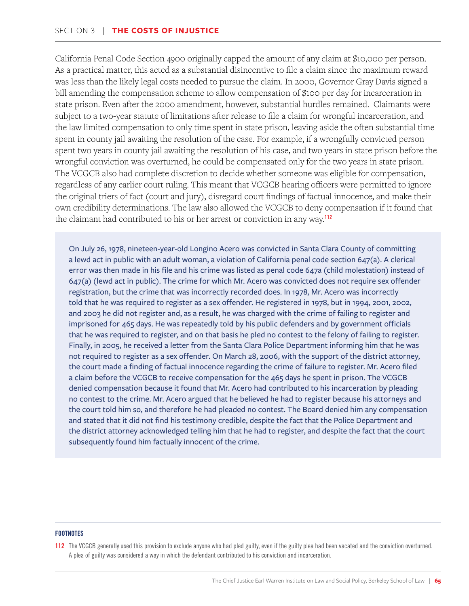California Penal Code Section 4900 originally capped the amount of any claim at \$10,000 per person. As a practical matter, this acted as a substantial disincentive to file a claim since the maximum reward was less than the likely legal costs needed to pursue the claim. In 2000, Governor Gray Davis signed a bill amending the compensation scheme to allow compensation of \$100 per day for incarceration in state prison. Even after the 2000 amendment, however, substantial hurdles remained. Claimants were subject to a two-year statute of limitations after release to file a claim for wrongful incarceration, and the law limited compensation to only time spent in state prison, leaving aside the often substantial time spent in county jail awaiting the resolution of the case. For example, if a wrongfully convicted person spent two years in county jail awaiting the resolution of his case, and two years in state prison before the wrongful conviction was overturned, he could be compensated only for the two years in state prison. The VCGCB also had complete discretion to decide whether someone was eligible for compensation, regardless of any earlier court ruling. This meant that VCGCB hearing officers were permitted to ignore the original triers of fact (court and jury), disregard court findings of factual innocence, and make their own credibility determinations. The law also allowed the VCGCB to deny compensation if it found that the claimant had contributed to his or her arrest or conviction in any way.<sup>112</sup>

On July 26, 1978, nineteen-year-old Longino Acero was convicted in Santa Clara County of committing a lewd act in public with an adult woman, a violation of California penal code section 647(a). A clerical error was then made in his file and his crime was listed as penal code 647a (child molestation) instead of 647(a) (lewd act in public). The crime for which Mr. Acero was convicted does not require sex offender registration, but the crime that was incorrectly recorded does. In 1978, Mr. Acero was incorrectly told that he was required to register as a sex offender. He registered in 1978, but in 1994, 2001, 2002, and 2003 he did not register and, as a result, he was charged with the crime of failing to register and imprisoned for 465 days. He was repeatedly told by his public defenders and by government officials that he was required to register, and on that basis he pled no contest to the felony of failing to register. Finally, in 2005, he received a letter from the Santa Clara Police Department informing him that he was not required to register as a sex offender. On March 28, 2006, with the support of the district attorney, the court made a finding of factual innocence regarding the crime of failure to register. Mr. Acero filed a claim before the VCGCB to receive compensation for the 465 days he spent in prison. The VCGCB denied compensation because it found that Mr. Acero had contributed to his incarceration by pleading no contest to the crime. Mr. Acero argued that he believed he had to register because his attorneys and the court told him so, and therefore he had pleaded no contest. The Board denied him any compensation and stated that it did not find his testimony credible, despite the fact that the Police Department and the district attorney acknowledged telling him that he had to register, and despite the fact that the court subsequently found him factually innocent of the crime.

### **FOOTNOTES**

112 The VCGCB generally used this provision to exclude anyone who had pled guilty, even if the guilty plea had been vacated and the conviction overturned. A plea of guilty was considered a way in which the defendant contributed to his conviction and incarceration.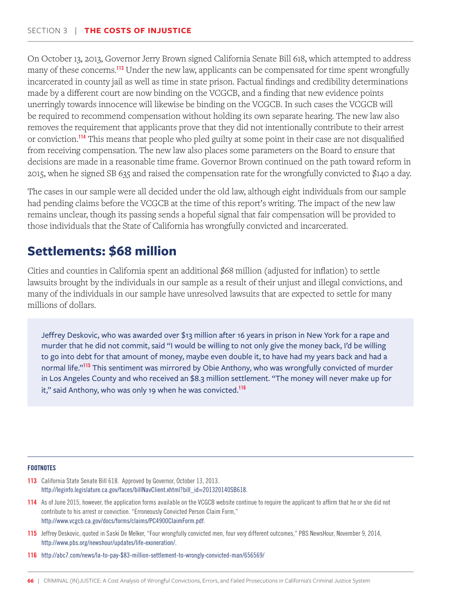On October 13, 2013, Governor Jerry Brown signed California Senate Bill 618, which attempted to address many of these concerns.<sup>113</sup> Under the new law, applicants can be compensated for time spent wrongfully incarcerated in county jail as well as time in state prison. Factual findings and credibility determinations made by a different court are now binding on the VCGCB, and a finding that new evidence points unerringly towards innocence will likewise be binding on the VCGCB. In such cases the VCGCB will be required to recommend compensation without holding its own separate hearing. The new law also removes the requirement that applicants prove that they did not intentionally contribute to their arrest or conviction.<sup>114</sup> This means that people who pled guilty at some point in their case are not disqualified from receiving compensation. The new law also places some parameters on the Board to ensure that decisions are made in a reasonable time frame. Governor Brown continued on the path toward reform in 2015, when he signed SB 635 and raised the compensation rate for the wrongfully convicted to \$140 a day.

The cases in our sample were all decided under the old law, although eight individuals from our sample had pending claims before the VCGCB at the time of this report's writing. The impact of the new law remains unclear, though its passing sends a hopeful signal that fair compensation will be provided to those individuals that the State of California has wrongfully convicted and incarcerated.

# **Settlements: \$68 million**

Cities and counties in California spent an additional \$68 million (adjusted for inflation) to settle lawsuits brought by the individuals in our sample as a result of their unjust and illegal convictions, and many of the individuals in our sample have unresolved lawsuits that are expected to settle for many millions of dollars.

Jeffrey Deskovic, who was awarded over \$13 million after 16 years in prison in New York for a rape and murder that he did not commit, said "I would be willing to not only give the money back, I'd be willing to go into debt for that amount of money, maybe even double it, to have had my years back and had a normal life."<sup>115</sup> This sentiment was mirrored by Obie Anthony, who was wrongfully convicted of murder in Los Angeles County and who received an \$8.3 million settlement. "The money will never make up for it," said Anthony, who was only 19 when he was convicted.<sup>116</sup>

- 113 California State Senate Bill 618. Approved by Governor, October 13, 2013. http://leginfo.legislature.ca.gov/faces/billNavClient.xhtml?bill\_id=201320140SB618.
- 114 As of June 2015, however, the application forms available on the VCGCB website continue to require the applicant to affirm that he or she did not contribute to his arrest or conviction. "Erroneously Convicted Person Claim Form," http://www.vcgcb.ca.gov/docs/forms/claims/PC4900ClaimForm.pdf.
- 115 Jeffrey Deskovic, quoted in Saski De Melker, "Four wrongfully convicted men, four very different outcomes," PBS NewsHour, November 9, 2014, http://www.pbs.org/newshour/updates/life-exoneration/.
- 116 http://abc7.com/news/la-to-pay-\$83-million-settlement-to-wrongly-convicted-man/656569/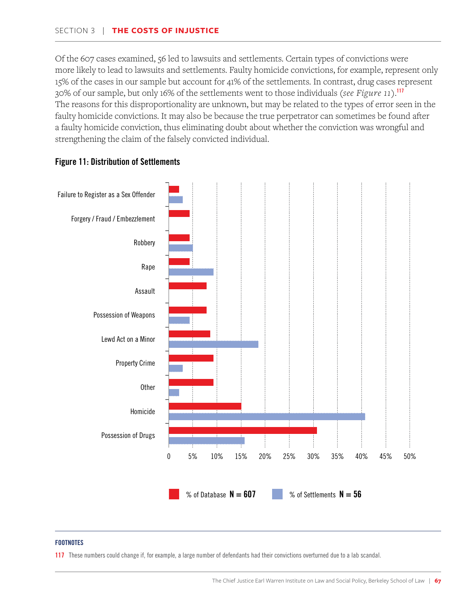Of the 607 cases examined, 56 led to lawsuits and settlements. Certain types of convictions were more likely to lead to lawsuits and settlements. Faulty homicide convictions, for example, represent only 15% of the cases in our sample but account for 41% of the settlements. In contrast, drug cases represent 30% of our sample, but only 16% of the settlements went to those individuals (*see Figure 11*).<sup>117</sup> The reasons for this disproportionality are unknown, but may be related to the types of error seen in the faulty homicide convictions. It may also be because the true perpetrator can sometimes be found after a faulty homicide conviction, thus eliminating doubt about whether the conviction was wrongful and strengthening the claim of the falsely convicted individual.



### Figure 11: Distribution of Settlements

### **FOOTNOTES**

117 These numbers could change if, for example, a large number of defendants had their convictions overturned due to a lab scandal.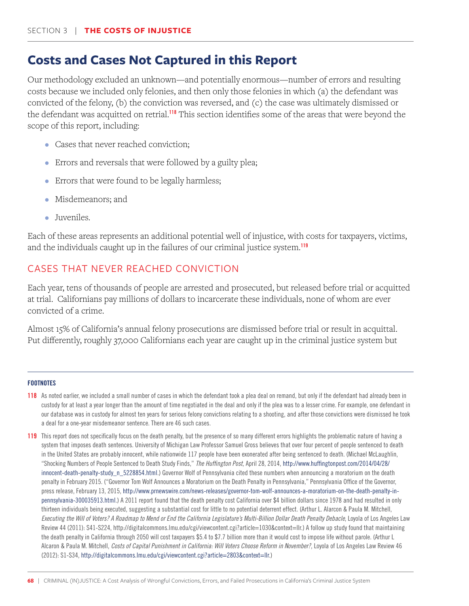# **Costs and Cases Not Captured in this Report**

Our methodology excluded an unknown—and potentially enormous—number of errors and resulting costs because we included only felonies, and then only those felonies in which (a) the defendant was convicted of the felony, (b) the conviction was reversed, and (c) the case was ultimately dismissed or the defendant was acquitted on retrial.<sup>118</sup> This section identifies some of the areas that were beyond the scope of this report, including:

- Cases that never reached conviction;
- Errors and reversals that were followed by a guilty plea;
- Errors that were found to be legally harmless;
- Misdemeanors; and
- Juveniles.

Each of these areas represents an additional potential well of injustice, with costs for taxpayers, victims, and the individuals caught up in the failures of our criminal justice system.<sup>119</sup>

### CASES THAT NEVER REACHED CONVICTION

Each year, tens of thousands of people are arrested and prosecuted, but released before trial or acquitted at trial. Californians pay millions of dollars to incarcerate these individuals, none of whom are ever convicted of a crime.

Almost 15% of California's annual felony prosecutions are dismissed before trial or result in acquittal. Put differently, roughly 37,000 Californians each year are caught up in the criminal justice system but

- 118 As noted earlier, we included a small number of cases in which the defendant took a plea deal on remand, but only if the defendant had already been in custody for at least a year longer than the amount of time negotiated in the deal and only if the plea was to a lesser crime. For example, one defendant in our database was in custody for almost ten years for serious felony convictions relating to a shooting, and after those convictions were dismissed he took a deal for a one-year misdemeanor sentence. There are 46 such cases.
- 119 This report does not specifically focus on the death penalty, but the presence of so many different errors highlights the problematic nature of having a system that imposes death sentences. University of Michigan Law Professor Samuel Gross believes that over four percent of people sentenced to death in the United States are probably innocent, while nationwide 117 people have been exonerated after being sentenced to death. (Michael McLaughlin, "Shocking Numbers of People Sentenced to Death Study Finds," *The Huffington Post*, April 28, 2014, http://www.huffingtonpost.com/2014/04/28/ innocent-death-penalty-study\_n\_5228854.html.) Governor Wolf of Pennsylvania cited these numbers when announcing a moratorium on the death penalty in February 2015. ("Governor Tom Wolf Announces a Moratorium on the Death Penalty in Pennsylvania," Pennsylvania Office of the Governor, press release, February 13, 2015, http://www.prnewswire.com/news-releases/governor-tom-wolf-announces-a-moratorium-on-the-death-penalty-inpennsylvania-300035913.html.) A 2011 report found that the death penalty cost California over \$4 billion dollars since 1978 and had resulted in only thirteen individuals being executed, suggesting a substantial cost for little to no potential deterrent effect. (Arthur L. Alarcon & Paula M. Mitchell, *Executing the Will of Voters? A Roadmap to Mend or End the California Legislature's Multi-Billion Dollar Death Penalty Debacle*, Loyola of Los Angeles Law Review 44 (2011): S41-S224, http://digitalcommons.lmu.edu/cgi/viewcontent.cgi?article=1030&context=llr.) A follow up study found that maintaining the death penalty in California through 2050 will cost taxpayers \$5.4 to \$7.7 billion more than it would cost to impose life without parole. (Arthur L Alcaron & Paula M. Mitchell, *Costs of Capital Punishment in California: Will Voters Choose Reform in November?*, Loyola of Los Angeles Law Review 46 (2012): S1-S34, http://digitalcommons.lmu.edu/cgi/viewcontent.cgi?article=2803&context=llr.)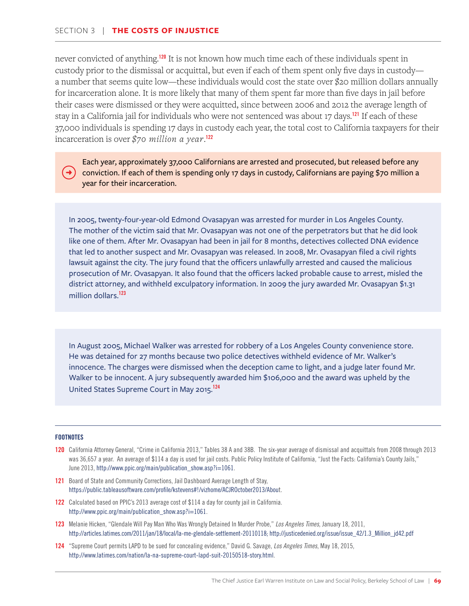never convicted of anything.<sup>120</sup> It is not known how much time each of these individuals spent in custody prior to the dismissal or acquittal, but even if each of them spent only five days in custody a number that seems quite low—these individuals would cost the state over \$20 million dollars annually for incarceration alone. It is more likely that many of them spent far more than five days in jail before their cases were dismissed or they were acquitted, since between 2006 and 2012 the average length of stay in a California jail for individuals who were not sentenced was about 17 days.<sup>121</sup> If each of these 37,000 individuals is spending 17 days in custody each year, the total cost to California taxpayers for their incarceration is over *\$70 million a year*. 122

Each year, approximately 37,000 Californians are arrested and prosecuted, but released before any conviction. If each of them is spending only 17 days in custody, Californians are paying \$70 million a year for their incarceration.

In 2005, twenty-four-year-old Edmond Ovasapyan was arrested for murder in Los Angeles County. The mother of the victim said that Mr. Ovasapyan was not one of the perpetrators but that he did look like one of them. After Mr. Ovasapyan had been in jail for 8 months, detectives collected DNA evidence that led to another suspect and Mr. Ovasapyan was released. In 2008, Mr. Ovasapyan filed a civil rights lawsuit against the city. The jury found that the officers unlawfully arrested and caused the malicious prosecution of Mr. Ovasapyan. It also found that the officers lacked probable cause to arrest, misled the district attorney, and withheld exculpatory information. In 2009 the jury awarded Mr. Ovasapyan \$1.31 million dollars.<sup>123</sup>

In August 2005, Michael Walker was arrested for robbery of a Los Angeles County convenience store. He was detained for 27 months because two police detectives withheld evidence of Mr. Walker's innocence. The charges were dismissed when the deception came to light, and a judge later found Mr. Walker to be innocent. A jury subsequently awarded him \$106,000 and the award was upheld by the United States Supreme Court in May 2015.124

- 120 California Attorney General, "Crime in California 2013," Tables 38 A and 38B. The six-year average of dismissal and acquittals from 2008 through 2013 was 36,657 a year. An average of \$114 a day is used for jail costs. Public Policy Institute of California, "Just the Facts: California's County Jails," June 2013, http://www.ppic.org/main/publication\_show.asp?i=1061.
- 121 Board of State and Community Corrections, Jail Dashboard Average Length of Stay, https://public.tableausoftware.com/profile/kstevens#!/vizhome/ACJROctober2013/About.
- 122 Calculated based on PPIC's 2013 average cost of \$114 a day for county jail in California. http://www.ppic.org/main/publication\_show.asp?i=1061.
- 123 Melanie Hicken, "Glendale Will Pay Man Who Was Wrongly Detained In Murder Probe," *Los Angeles Times*, January 18, 2011, http://articles.latimes.com/2011/jan/18/local/la-me-glendale-settlement-20110118; http://justicedenied.org/issue/issue\_42/1.3\_Million\_jd42.pdf
- 124 "Supreme Court permits LAPD to be sued for concealing evidence," David G. Savage, *Los Angeles Times*, May 18, 2015, http://www.latimes.com/nation/la-na-supreme-court-lapd-suit-20150518-story.html.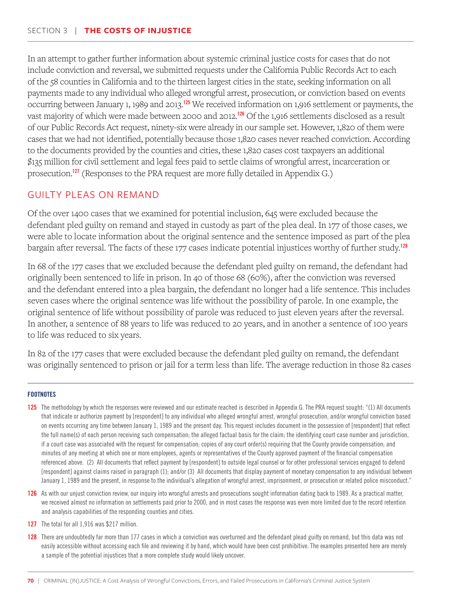In an attempt to gather further information about systemic criminal justice costs for cases that do not include conviction and reversal, we submitted requests under the California Public Records Act to each of the 58 counties in California and to the thirteen largest cities in the state, seeking information on all payments made to any individual who alleged wrongful arrest, prosecution, or conviction based on events occurring between January 1, 1989 and 2013.<sup>125</sup> We received information on 1,916 settlement or payments, the vast majority of which were made between 2000 and 2012.<sup>126</sup> Of the 1,916 settlements disclosed as a result of our Public Records Act request, ninety-six were already in our sample set. However, 1,820 of them were cases that we had not identified, potentially because those 1,820 cases never reached conviction. According to the documents provided by the counties and cities, these 1,820 cases cost taxpayers an additional \$135 million for civil settlement and legal fees paid to settle claims of wrongful arrest, incarceration or prosecution.<sup>127</sup> (Responses to the PRA request are more fully detailed in Appendix G.)

### GUILTY PLEAS ON REMAND

Of the over 1400 cases that we examined for potential inclusion, 645 were excluded because the defendant pled guilty on remand and stayed in custody as part of the plea deal. In 177 of those cases, we were able to locate information about the original sentence and the sentence imposed as part of the plea bargain after reversal. The facts of these 177 cases indicate potential injustices worthy of further study.<sup>128</sup>

In 68 of the 177 cases that we excluded because the defendant pled guilty on remand, the defendant had originally been sentenced to life in prison. In 40 of those 68 (60%), after the conviction was reversed and the defendant entered into a plea bargain, the defendant no longer had a life sentence. This includes seven cases where the original sentence was life without the possibility of parole. In one example, the original sentence of life without possibility of parole was reduced to just eleven years after the reversal. In another, a sentence of 88 years to life was reduced to 20 years, and in another a sentence of 100 years to life was reduced to six years.

In 82 of the 177 cases that were excluded because the defendant pled guilty on remand, the defendant was originally sentenced to prison or jail for a term less than life. The average reduction in those 82 cases

- 125 The methodology by which the responses were reviewed and our estimate reached is described in Appendix G. The PRA request sought: "(1) All documents that indicate or authorize payment by [respondent] to any individual who alleged wrongful arrest, wrongful prosecution, and/or wrongful conviction based on events occurring any time between January 1, 1989 and the present day. This request includes document in the possession of [respondent] that reflect the full name(s) of each person receiving such compensation; the alleged factual basis for the claim; the identifying court case number and jurisdiction, if a court case was associated with the request for compensation; copies of any court order(s) requiring that the County provide compensation; and minutes of any meeting at which one or more employees, agents or representatives of the County approved payment of the financial compensation referenced above. (2) All documents that reflect payment by [respondent] to outside legal counsel or for other professional services engaged to defend [respondent] against claims raised in paragraph (1); and/or (3) All documents that display payment of monetary compensation to any individual between January 1, 1989 and the present, in response to the individual's allegation of wrongful arrest, imprisonment, or prosecution or related police misconduct."
- 126 As with our unjust conviction review, our inquiry into wrongful arrests and prosecutions sought information dating back to 1989. As a practical matter, we received almost no information on settlements paid prior to 2000, and in most cases the response was even more limited due to the record retention and analysis capabilities of the responding counties and cities.
- 127 The total for all 1,916 was \$217 million.
- 128 There are undoubtedly far more than 177 cases in which a conviction was overturned and the defendant plead guilty on remand, but this data was not easily accessible without accessing each file and reviewing it by hand, which would have been cost prohibitive. The examples presented here are merely a sample of the potential injustices that a more complete study would likely uncover.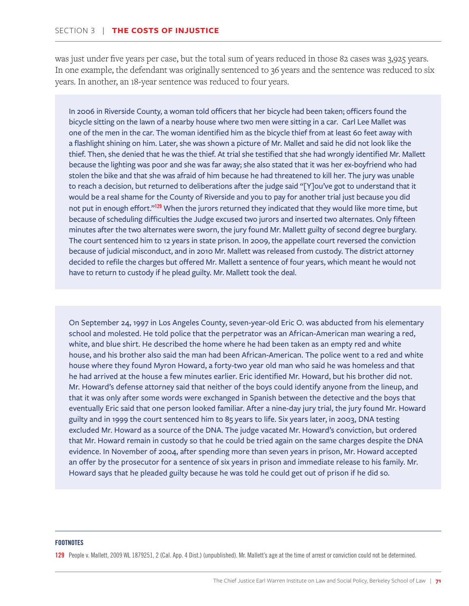was just under five years per case, but the total sum of years reduced in those 82 cases was 3,925 years. In one example, the defendant was originally sentenced to 36 years and the sentence was reduced to six years. In another, an 18-year sentence was reduced to four years.

In 2006 in Riverside County, a woman told officers that her bicycle had been taken; officers found the bicycle sitting on the lawn of a nearby house where two men were sitting in a car. Carl Lee Mallet was one of the men in the car. The woman identified him as the bicycle thief from at least 60 feet away with a flashlight shining on him. Later, she was shown a picture of Mr. Mallet and said he did not look like the thief. Then, she denied that he was the thief. At trial she testified that she had wrongly identified Mr. Mallett because the lighting was poor and she was far away; she also stated that it was her ex-boyfriend who had stolen the bike and that she was afraid of him because he had threatened to kill her. The jury was unable to reach a decision, but returned to deliberations after the judge said "[Y]ou've got to understand that it would be a real shame for the County of Riverside and you to pay for another trial just because you did not put in enough effort."<sup>129</sup> When the jurors returned they indicated that they would like more time, but because of scheduling difficulties the Judge excused two jurors and inserted two alternates. Only fifteen minutes after the two alternates were sworn, the jury found Mr. Mallett guilty of second degree burglary. The court sentenced him to 12 years in state prison. In 2009, the appellate court reversed the conviction because of judicial misconduct, and in 2010 Mr. Mallett was released from custody. The district attorney decided to refile the charges but offered Mr. Mallett a sentence of four years, which meant he would not have to return to custody if he plead guilty. Mr. Mallett took the deal.

On September 24, 1997 in Los Angeles County, seven-year-old Eric O. was abducted from his elementary school and molested. He told police that the perpetrator was an African-American man wearing a red, white, and blue shirt. He described the home where he had been taken as an empty red and white house, and his brother also said the man had been African-American. The police went to a red and white house where they found Myron Howard, a forty-two year old man who said he was homeless and that he had arrived at the house a few minutes earlier. Eric identified Mr. Howard, but his brother did not. Mr. Howard's defense attorney said that neither of the boys could identify anyone from the lineup, and that it was only after some words were exchanged in Spanish between the detective and the boys that eventually Eric said that one person looked familiar. After a nine-day jury trial, the jury found Mr. Howard guilty and in 1999 the court sentenced him to 85 years to life. Six years later, in 2003, DNA testing excluded Mr. Howard as a source of the DNA. The judge vacated Mr. Howard's conviction, but ordered that Mr. Howard remain in custody so that he could be tried again on the same charges despite the DNA evidence. In November of 2004, after spending more than seven years in prison, Mr. Howard accepted an offer by the prosecutor for a sentence of six years in prison and immediate release to his family. Mr. Howard says that he pleaded guilty because he was told he could get out of prison if he did so.

#### **FOOTNOTES**

129 People v. Mallett, 2009 WL 1879251, 2 (Cal. App. 4 Dist.) (unpublished). Mr. Mallett's age at the time of arrest or conviction could not be determined.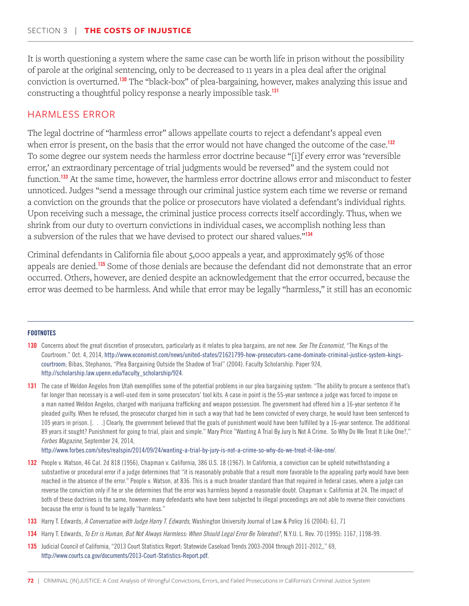It is worth questioning a system where the same case can be worth life in prison without the possibility of parole at the original sentencing, only to be decreased to 11 years in a plea deal after the original conviction is overturned.<sup>130</sup> The "black-box" of plea-bargaining, however, makes analyzing this issue and constructing a thoughtful policy response a nearly impossible task.<sup>131</sup>

## HARMLESS ERROR

The legal doctrine of "harmless error" allows appellate courts to reject a defendant's appeal even when error is present, on the basis that the error would not have changed the outcome of the case.<sup>132</sup> To some degree our system needs the harmless error doctrine because "[i]f every error was 'reversible error,' an extraordinary percentage of trial judgments would be reversed" and the system could not function.<sup>133</sup> At the same time, however, the harmless error doctrine allows error and misconduct to fester unnoticed. Judges "send a message through our criminal justice system each time we reverse or remand a conviction on the grounds that the police or prosecutors have violated a defendant's individual rights. Upon receiving such a message, the criminal justice process corrects itself accordingly. Thus, when we shrink from our duty to overturn convictions in individual cases, we accomplish nothing less than a subversion of the rules that we have devised to protect our shared values."<sup>134</sup>

Criminal defendants in California file about 5,000 appeals a year, and approximately 95% of those appeals are denied.<sup>135</sup> Some of those denials are because the defendant did not demonstrate that an error occurred. Others, however, are denied despite an acknowledgement that the error occurred, because the error was deemed to be harmless. And while that error may be legally "harmless," it still has an economic

#### **FOOTNOTES**

- 130 Concerns about the great discretion of prosecutors, particularly as it relates to plea bargains, are not new. *See The Economist*, "The Kings of the Courtroom." Oct. 4, 2014, http://www.economist.com/news/united-states/21621799-how-prosecutors-came-dominate-criminal-justice-system-kingscourtroom; Bibas, Stephanos, "Plea Bargaining Outside the Shadow of Trial" (2004). Faculty Scholarship. Paper 924, http://scholarship.law.upenn.edu/faculty\_scholarship/924.
- 131 The case of Weldon Angelos from Utah exemplifies some of the potential problems in our plea bargaining system: "The ability to procure a sentence that's far longer than necessary is a well-used item in some prosecutors' tool kits. A case in point is the 55-year sentence a judge was forced to impose on a man named Weldon Angelos, charged with marijuana trafficking and weapon possession. The government had offered him a 16-year sentence if he pleaded guilty. When he refused, the prosecutor charged him in such a way that had he been convicted of every charge, he would have been sentenced to 105 years in prison. [. . .] Clearly, the government believed that the goals of punishment would have been fulfilled by a 16-year sentence. The additional 89 years it sought? Punishment for going to trial, plain and simple." Mary Price "Wanting A Trial By Jury Is Not A Crime. So Why Do We Treat It Like One?," *Forbes Magazine*, September 24, 2014,

http://www.forbes.com/sites/realspin/2014/09/24/wanting-a-trial-by-jury-is-not-a-crime-so-why-do-we-treat-it-like-one/.

- 132 People v. Watson, 46 Cal. 2d 818 (1956), Chapman v. California, 386 U.S. 18 (1967). In California, a conviction can be upheld notwithstanding a substantive or procedural error if a judge determines that "it is reasonably probable that a result more favorable to the appealing party would have been reached in the absence of the error." People v. Watson, at 836. This is a much broader standard than that required in federal cases, where a judge can reverse the conviction only if he or she determines that the error was harmless beyond a reasonable doubt. Chapman v. California at 24. The impact of both of these doctrines is the same, however: many defendants who have been subjected to illegal proceedings are not able to reverse their convictions because the error is found to be legally "harmless."
- 133 Harry T. Edwards, *A Conversation with Judge Harry T. Edwards*, Washington University Journal of Law & Policy 16 (2004): 61, 71
- 134 Harry T. Edwards, *To Err is Human, But Not Always Harmless: When Should Legal Error Be Tolerated?*, N.Y.U. L. Rev. 70 (1995): 1167, 1198-99.
- 135 Judicial Council of California, "2013 Court Statistics Report: Statewide Caseload Trends 2003-2004 through 2011-2012,," 69, http://www.courts.ca.gov/documents/2013-Court-Statistics-Report.pdf.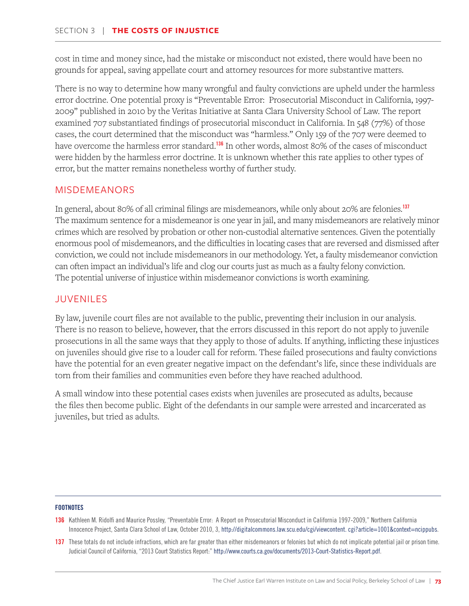cost in time and money since, had the mistake or misconduct not existed, there would have been no grounds for appeal, saving appellate court and attorney resources for more substantive matters.

There is no way to determine how many wrongful and faulty convictions are upheld under the harmless error doctrine. One potential proxy is "Preventable Error: Prosecutorial Misconduct in California, 1997- 2009" published in 2010 by the Veritas Initiative at Santa Clara University School of Law. The report examined 707 substantiated findings of prosecutorial misconduct in California. In 548 (77%) of those cases, the court determined that the misconduct was "harmless." Only 159 of the 707 were deemed to have overcome the harmless error standard.<sup>136</sup> In other words, almost 80% of the cases of misconduct were hidden by the harmless error doctrine. It is unknown whether this rate applies to other types of error, but the matter remains nonetheless worthy of further study.

# MISDEMEANORS

In general, about 80% of all criminal filings are misdemeanors, while only about 20% are felonies.<sup>137</sup> The maximum sentence for a misdemeanor is one year in jail, and many misdemeanors are relatively minor crimes which are resolved by probation or other non-custodial alternative sentences. Given the potentially enormous pool of misdemeanors, and the difficulties in locating cases that are reversed and dismissed after conviction, we could not include misdemeanors in our methodology. Yet, a faulty misdemeanor conviction can often impact an individual's life and clog our courts just as much as a faulty felony conviction. The potential universe of injustice within misdemeanor convictions is worth examining.

# JUVENILES

By law, juvenile court files are not available to the public, preventing their inclusion in our analysis. There is no reason to believe, however, that the errors discussed in this report do not apply to juvenile prosecutions in all the same ways that they apply to those of adults. If anything, inflicting these injustices on juveniles should give rise to a louder call for reform. These failed prosecutions and faulty convictions have the potential for an even greater negative impact on the defendant's life, since these individuals are torn from their families and communities even before they have reached adulthood.

A small window into these potential cases exists when juveniles are prosecuted as adults, because the files then become public. Eight of the defendants in our sample were arrested and incarcerated as juveniles, but tried as adults.

- 136 Kathleen M. Ridolfi and Maurice Possley, "Preventable Error: A Report on Prosecutorial Misconduct in California 1997-2009," Northern California Innocence Project, Santa Clara School of Law, October 2010, 3, http://digitalcommons.law.scu.edu/cgi/viewcontent. cgi?article=1001&context=ncippubs.
- 137 These totals do not include infractions, which are far greater than either misdemeanors or felonies but which do not implicate potential jail or prison time. Judicial Council of California, "2013 Court Statistics Report:" http://www.courts.ca.gov/documents/2013-Court-Statistics-Report.pdf.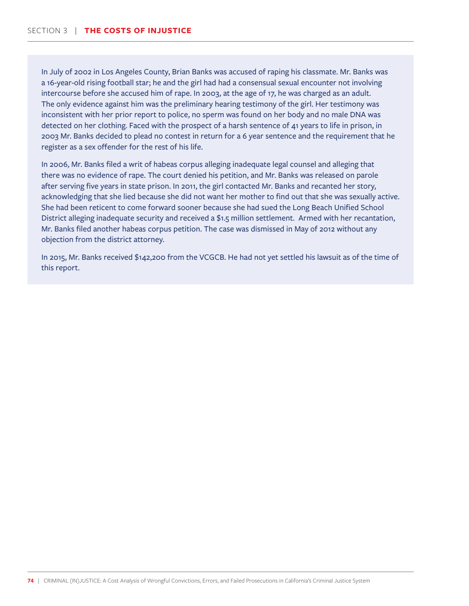In July of 2002 in Los Angeles County, Brian Banks was accused of raping his classmate. Mr. Banks was a 16-year-old rising football star; he and the girl had had a consensual sexual encounter not involving intercourse before she accused him of rape. In 2003, at the age of 17, he was charged as an adult. The only evidence against him was the preliminary hearing testimony of the girl. Her testimony was inconsistent with her prior report to police, no sperm was found on her body and no male DNA was detected on her clothing. Faced with the prospect of a harsh sentence of 41 years to life in prison, in 2003 Mr. Banks decided to plead no contest in return for a 6 year sentence and the requirement that he register as a sex offender for the rest of his life.

In 2006, Mr. Banks filed a writ of habeas corpus alleging inadequate legal counsel and alleging that there was no evidence of rape. The court denied his petition, and Mr. Banks was released on parole after serving five years in state prison. In 2011, the girl contacted Mr. Banks and recanted her story, acknowledging that she lied because she did not want her mother to find out that she was sexually active. She had been reticent to come forward sooner because she had sued the Long Beach Unified School District alleging inadequate security and received a \$1.5 million settlement. Armed with her recantation, Mr. Banks filed another habeas corpus petition. The case was dismissed in May of 2012 without any objection from the district attorney.

In 2015, Mr. Banks received \$142,200 from the VCGCB. He had not yet settled his lawsuit as of the time of this report.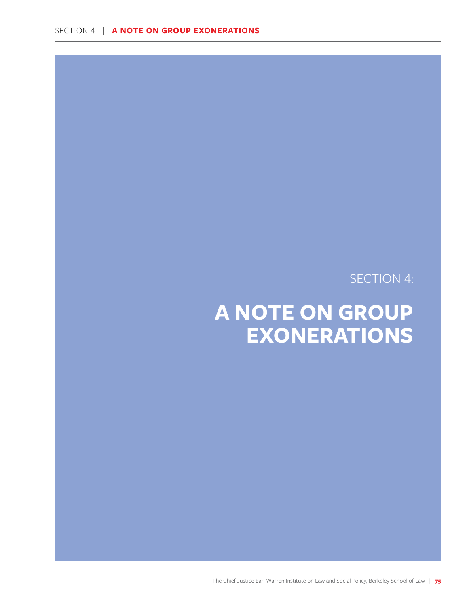SECTION 4:

# **A NOTE ON GROUP EXONERATIONS**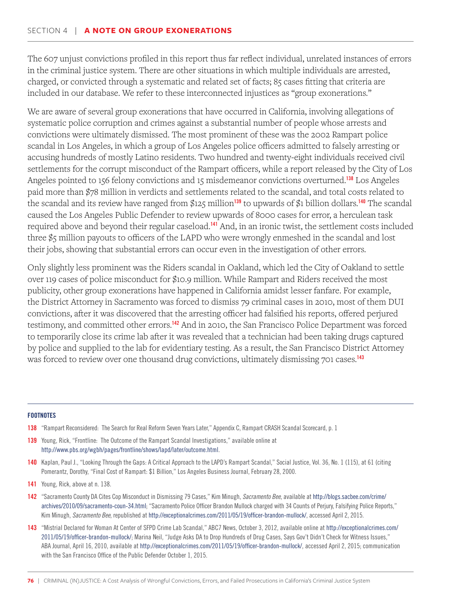The 607 unjust convictions profiled in this report thus far reflect individual, unrelated instances of errors in the criminal justice system. There are other situations in which multiple individuals are arrested, charged, or convicted through a systematic and related set of facts; 85 cases fitting that criteria are included in our database. We refer to these interconnected injustices as "group exonerations."

We are aware of several group exonerations that have occurred in California, involving allegations of systematic police corruption and crimes against a substantial number of people whose arrests and convictions were ultimately dismissed. The most prominent of these was the 2002 Rampart police scandal in Los Angeles, in which a group of Los Angeles police officers admitted to falsely arresting or accusing hundreds of mostly Latino residents. Two hundred and twenty-eight individuals received civil settlements for the corrupt misconduct of the Rampart officers, while a report released by the City of Los Angeles pointed to 156 felony convictions and 15 misdemeanor convictions overturned.<sup>138</sup> Los Angeles paid more than \$78 million in verdicts and settlements related to the scandal, and total costs related to the scandal and its review have ranged from \$125 million<sup>139</sup> to upwards of \$1 billion dollars.<sup>140</sup> The scandal caused the Los Angeles Public Defender to review upwards of 8000 cases for error, a herculean task required above and beyond their regular caseload.<sup>141</sup> And, in an ironic twist, the settlement costs included three \$5 million payouts to officers of the LAPD who were wrongly enmeshed in the scandal and lost their jobs, showing that substantial errors can occur even in the investigation of other errors.

Only slightly less prominent was the Riders scandal in Oakland, which led the City of Oakland to settle over 119 cases of police misconduct for \$10.9 million. While Rampart and Riders received the most publicity, other group exonerations have happened in California amidst lesser fanfare. For example, the District Attorney in Sacramento was forced to dismiss 79 criminal cases in 2010, most of them DUI convictions, after it was discovered that the arresting officer had falsified his reports, offered perjured testimony, and committed other errors.<sup>142</sup> And in 2010, the San Francisco Police Department was forced to temporarily close its crime lab after it was revealed that a technician had been taking drugs captured by police and supplied to the lab for evidentiary testing. As a result, the San Francisco District Attorney was forced to review over one thousand drug convictions, ultimately dismissing 701 cases.<sup>143</sup>

- 138 "Rampart Reconsidered: The Search for Real Reform Seven Years Later," Appendix C, Rampart CRASH Scandal Scorecard, p. 1
- 139 Young, Rick, "Frontline: The Outcome of the Rampart Scandal Investigations," available online at http://www.pbs.org/wgbh/pages/frontline/shows/lapd/later/outcome.html.
- 140 Kaplan, Paul J., "Looking Through the Gaps: A Critical Approach to the LAPD's Rampart Scandal," Social Justice, Vol. 36, No. 1 (115), at 61 (citing Pomerantz, Dorothy, "Final Cost of Rampart: \$1 Billion," Los Angeles Business Journal, February 28, 2000.
- 141 Young, Rick, above at n. 138.
- 142 "Sacramento County DA Cites Cop Misconduct in Dismissing 79 Cases," Kim Minugh, *Sacramento Bee*, available at http://blogs.sacbee.com/crime/ archives/2010/09/sacramento-coun-34.html; "Sacramento Police Officer Brandon Mullock charged with 34 Counts of Perjury, Falsifying Police Reports," Kim Minugh, *Sacramento Bee*, republished at http://exceptionalcrimes.com/2011/05/19/officer-brandon-mullock/, accessed April 2, 2015.
- 143 "Mistrial Declared for Woman At Center of SFPD Crime Lab Scandal," ABC7 News, October 3, 2012, available online at http://exceptionalcrimes.com/ 2011/05/19/officer-brandon-mullock/; Marina Neil, "Judge Asks DA to Drop Hundreds of Drug Cases, Says Gov't Didn't Check for Witness Issues," ABA Journal, April 16, 2010, available at http://exceptionalcrimes.com/2011/05/19/officer-brandon-mullock/, accessed April 2, 2015; communication with the San Francisco Office of the Public Defender October 1, 2015.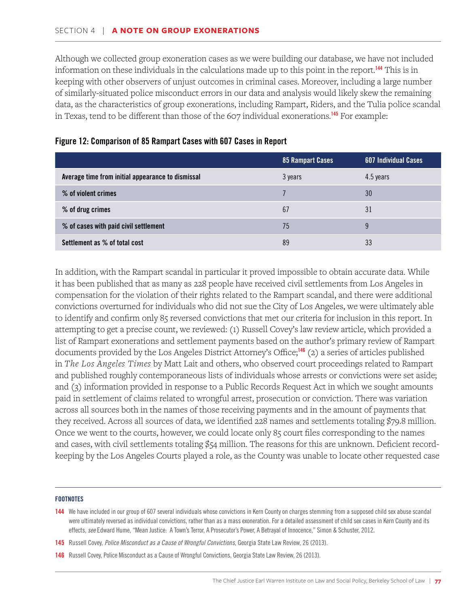Although we collected group exoneration cases as we were building our database, we have not included information on these individuals in the calculations made up to this point in the report.<sup>144</sup> This is in keeping with other observers of unjust outcomes in criminal cases. Moreover, including a large number of similarly-situated police misconduct errors in our data and analysis would likely skew the remaining data, as the characteristics of group exonerations, including Rampart, Riders, and the Tulia police scandal in Texas, tend to be different than those of the 607 individual exonerations.<sup>145</sup> For example:

|                                                   | 85 Rampart Cases | <b>607 Individual Cases</b> |
|---------------------------------------------------|------------------|-----------------------------|
| Average time from initial appearance to dismissal | 3 years          | 4.5 years                   |
| % of violent crimes                               |                  | 30                          |
| % of drug crimes                                  | 67               | 31                          |
| % of cases with paid civil settlement             | 75               | 9                           |
| Settlement as % of total cost                     | 89               | 33                          |

### Figure 12: Comparison of 85 Rampart Cases with 607 Cases in Report

In addition, with the Rampart scandal in particular it proved impossible to obtain accurate data. While it has been published that as many as 228 people have received civil settlements from Los Angeles in compensation for the violation of their rights related to the Rampart scandal, and there were additional convictions overturned for individuals who did not sue the City of Los Angeles, we were ultimately able to identify and confirm only 85 reversed convictions that met our criteria for inclusion in this report. In attempting to get a precise count, we reviewed: (1) Russell Covey's law review article, which provided a list of Rampart exonerations and settlement payments based on the author's primary review of Rampart documents provided by the Los Angeles District Attorney's Office;<sup>146</sup> (2) a series of articles published in *The Los Angeles Times* by Matt Lait and others, who observed court proceedings related to Rampart and published roughly contemporaneous lists of individuals whose arrests or convictions were set aside; and (3) information provided in response to a Public Records Request Act in which we sought amounts paid in settlement of claims related to wrongful arrest, prosecution or conviction. There was variation across all sources both in the names of those receiving payments and in the amount of payments that they received. Across all sources of data, we identified 228 names and settlements totaling \$79.8 million. Once we went to the courts, however, we could locate only 85 court files corresponding to the names and cases, with civil settlements totaling \$54 million. The reasons for this are unknown. Deficient recordkeeping by the Los Angeles Courts played a role, as the County was unable to locate other requested case

#### **FOOTNOTES**

145 Russell Covey, *Police Misconduct as a Cause of Wrongful Convictions*, Georgia State Law Review, 26 (2013).

<sup>144</sup> We have included in our group of 607 several individuals whose convictions in Kern County on charges stemming from a supposed child sex abuse scandal were ultimately reversed as individual convictions, rather than as a mass exoneration. For a detailed assessment of child sex cases in Kern County and its effects, *see* Edward Hume, "Mean Justice: A Town's Terror, A Prosecutor's Power, A Betrayal of Innocence," Simon & Schuster, 2012.

<sup>146</sup> Russell Covey, Police Misconduct as a Cause of Wrongful Convictions, Georgia State Law Review, 26 (2013).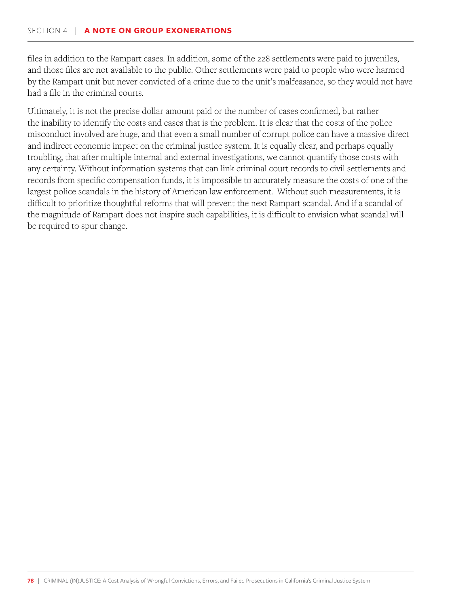files in addition to the Rampart cases. In addition, some of the 228 settlements were paid to juveniles, and those files are not available to the public. Other settlements were paid to people who were harmed by the Rampart unit but never convicted of a crime due to the unit's malfeasance, so they would not have had a file in the criminal courts.

Ultimately, it is not the precise dollar amount paid or the number of cases confirmed, but rather the inability to identify the costs and cases that is the problem. It is clear that the costs of the police misconduct involved are huge, and that even a small number of corrupt police can have a massive direct and indirect economic impact on the criminal justice system. It is equally clear, and perhaps equally troubling, that after multiple internal and external investigations, we cannot quantify those costs with any certainty. Without information systems that can link criminal court records to civil settlements and records from specific compensation funds, it is impossible to accurately measure the costs of one of the largest police scandals in the history of American law enforcement. Without such measurements, it is difficult to prioritize thoughtful reforms that will prevent the next Rampart scandal. And if a scandal of the magnitude of Rampart does not inspire such capabilities, it is difficult to envision what scandal will be required to spur change.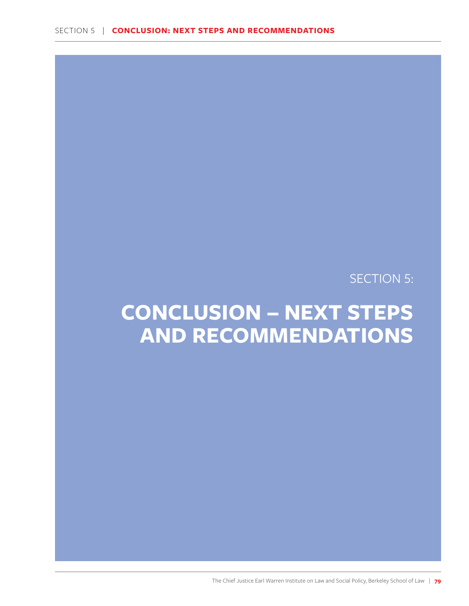SECTION 5:

# **CONCLUSION – NEXT STEPS AND RECOMMENDATIONS**

The Chief Justice Earl Warren Institute on Law and Social Policy, Berkeley School of Law | **79**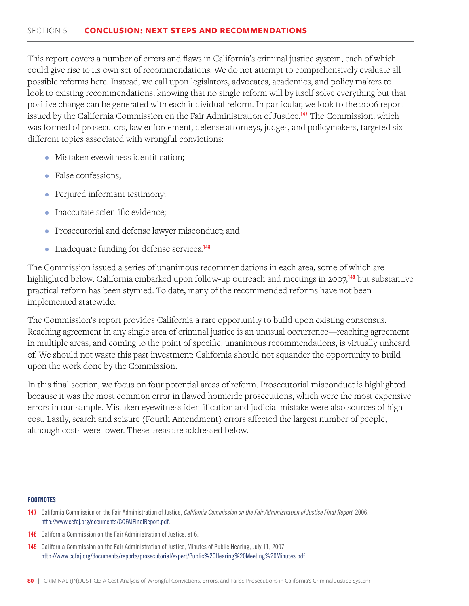This report covers a number of errors and flaws in California's criminal justice system, each of which could give rise to its own set of recommendations. We do not attempt to comprehensively evaluate all possible reforms here. Instead, we call upon legislators, advocates, academics, and policy makers to look to existing recommendations, knowing that no single reform will by itself solve everything but that positive change can be generated with each individual reform. In particular, we look to the 2006 report issued by the California Commission on the Fair Administration of Justice.<sup>147</sup> The Commission, which was formed of prosecutors, law enforcement, defense attorneys, judges, and policymakers, targeted six different topics associated with wrongful convictions:

- Mistaken eyewitness identification;
- False confessions;
- Perjured informant testimony;
- Inaccurate scientific evidence;
- Prosecutorial and defense lawyer misconduct; and
- Inadequate funding for defense services.<sup>148</sup>

The Commission issued a series of unanimous recommendations in each area, some of which are highlighted below. California embarked upon follow-up outreach and meetings in 2007,<sup>149</sup> but substantive practical reform has been stymied. To date, many of the recommended reforms have not been implemented statewide.

The Commission's report provides California a rare opportunity to build upon existing consensus. Reaching agreement in any single area of criminal justice is an unusual occurrence—reaching agreement in multiple areas, and coming to the point of specific, unanimous recommendations, is virtually unheard of. We should not waste this past investment: California should not squander the opportunity to build upon the work done by the Commission.

In this final section, we focus on four potential areas of reform. Prosecutorial misconduct is highlighted because it was the most common error in flawed homicide prosecutions, which were the most expensive errors in our sample. Mistaken eyewitness identification and judicial mistake were also sources of high cost. Lastly, search and seizure (Fourth Amendment) errors affected the largest number of people, although costs were lower. These areas are addressed below.

- 148 California Commission on the Fair Administration of Justice, at 6.
- 149 California Commission on the Fair Administration of Justice, Minutes of Public Hearing, July 11, 2007, http://www.ccfaj.org/documents/reports/prosecutorial/expert/Public%20Hearing%20Meeting%20Minutes.pdf.

<sup>147</sup> California Commission on the Fair Administration of Justice, *California Commission on the Fair Administration of Justice Final Report*, 2006, http://www.ccfaj.org/documents/CCFAJFinalReport.pdf.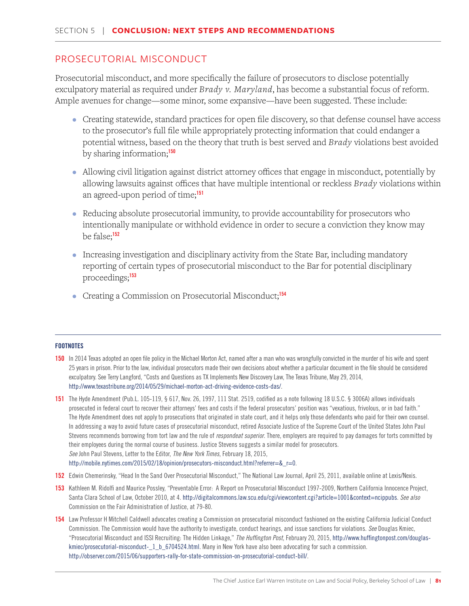# PROSECUTORIAL MISCONDUCT

Prosecutorial misconduct, and more specifically the failure of prosecutors to disclose potentially exculpatory material as required under *Brady v. Maryland*, has become a substantial focus of reform. Ample avenues for change—some minor, some expansive—have been suggested. These include:

- Creating statewide, standard practices for open file discovery, so that defense counsel have access to the prosecutor's full file while appropriately protecting information that could endanger a potential witness, based on the theory that truth is best served and *Brady* violations best avoided by sharing information;<sup>150</sup>
- Allowing civil litigation against district attorney offices that engage in misconduct, potentially by allowing lawsuits against offices that have multiple intentional or reckless *Brady* violations within an agreed-upon period of time;<sup>151</sup>
- Reducing absolute prosecutorial immunity, to provide accountability for prosecutors who intentionally manipulate or withhold evidence in order to secure a conviction they know may be false;<sup>152</sup>
- Increasing investigation and disciplinary activity from the State Bar, including mandatory reporting of certain types of prosecutorial misconduct to the Bar for potential disciplinary proceedings;<sup>153</sup>
- Creating a Commission on Prosecutorial Misconduct;<sup>154</sup>

- 150 In 2014 Texas adopted an open file policy in the Michael Morton Act, named after a man who was wrongfully convicted in the murder of his wife and spent 25 years in prison. Prior to the law, individual prosecutors made their own decisions about whether a particular document in the file should be considered exculpatory. See Terry Langford, "Costs and Questions as TX Implements New Discovery Law, The Texas Tribune, May 29, 2014, http://www.texastribune.org/2014/05/29/michael-morton-act-driving-evidence-costs-das/.
- 151 The Hyde Amendment (Pub.L. 105-119, § 617, Nov. 26, 1997, 111 Stat. 2519, codified as a note following 18 U.S.C. § 3006A) allows individuals prosecuted in federal court to recover their attorneys' fees and costs if the federal prosecutors' position was "vexatious, frivolous, or in bad faith." The Hyde Amendment does not apply to prosecutions that originated in state court, and it helps only those defendants who paid for their own counsel. In addressing a way to avoid future cases of prosecutorial misconduct, retired Associate Justice of the Supreme Court of the United States John Paul Stevens recommends borrowing from tort law and the rule of *respondeat superior*. There, employers are required to pay damages for torts committed by their employees during the normal course of business. Justice Stevens suggests a similar model for prosecutors. *See* John Paul Stevens, Letter to the Editor, *The New York Times*, February 18, 2015, http://mobile.nytimes.com/2015/02/18/opinion/prosecutors-misconduct.html?referrer=&\_r=0.
- 152 Edwin Chemerinsky, "Head In the Sand Over Prosecutorial Misconduct," The National Law Journal, April 25, 2011, available online at Lexis/Nexis.
- 153 Kathleen M. Ridolfi and Maurice Possley, "Preventable Error: A Report on Prosecutorial Misconduct 1997-2009, Northern California Innocence Project, Santa Clara School of Law, October 2010, at 4. http://digitalcommons.law.scu.edu/cgi/viewcontent.cgi?article=1001&context=ncippubs. *See also* Commission on the Fair Administration of Justice, at 79-80.
- 154 Law Professor H Mitchell Caldwell advocates creating a Commission on prosecutorial misconduct fashioned on the existing California Judicial Conduct Commission. The Commission would have the authority to investigate, conduct hearings, and issue sanctions for violations. *See* Douglas Kmiec, "Prosecutorial Misconduct and ISSI Recruiting: The Hidden Linkage," *The Huffington Post*, February 20, 2015, http://www.huffingtonpost.com/douglaskmiec/prosecutorial-misconduct-1\_b\_6704524.html. Many in New York have also been advocating for such a commission. http://observer.com/2015/06/supporters-rally-for-state-commission-on-prosecutorial-conduct-bill/.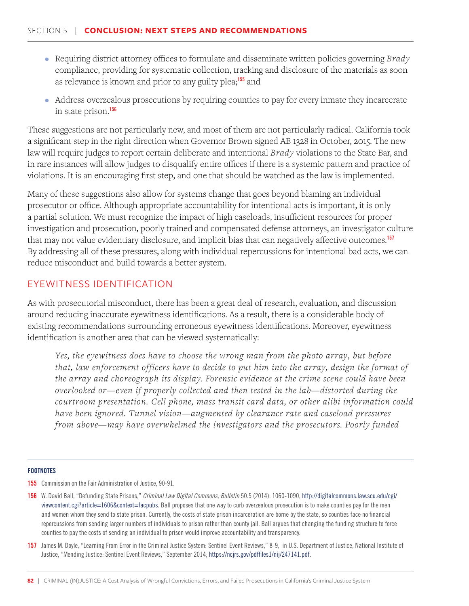- Requiring district attorney offices to formulate and disseminate written policies governing *Brady* compliance, providing for systematic collection, tracking and disclosure of the materials as soon as relevance is known and prior to any guilty plea;<sup>155</sup> and
- Address overzealous prosecutions by requiring counties to pay for every inmate they incarcerate in state prison.<sup>156</sup>

These suggestions are not particularly new, and most of them are not particularly radical. California took a significant step in the right direction when Governor Brown signed AB 1328 in October, 2015. The new law will require judges to report certain deliberate and intentional *Brady* violations to the State Bar, and in rare instances will allow judges to disqualify entire offices if there is a systemic pattern and practice of violations. It is an encouraging first step, and one that should be watched as the law is implemented.

Many of these suggestions also allow for systems change that goes beyond blaming an individual prosecutor or office. Although appropriate accountability for intentional acts is important, it is only a partial solution. We must recognize the impact of high caseloads, insufficient resources for proper investigation and prosecution, poorly trained and compensated defense attorneys, an investigator culture that may not value evidentiary disclosure, and implicit bias that can negatively affective outcomes.<sup>157</sup> By addressing all of these pressures, along with individual repercussions for intentional bad acts, we can reduce misconduct and build towards a better system.

# EYEWITNESS IDENTIFICATION

As with prosecutorial misconduct, there has been a great deal of research, evaluation, and discussion around reducing inaccurate eyewitness identifications. As a result, there is a considerable body of existing recommendations surrounding erroneous eyewitness identifications. Moreover, eyewitness identification is another area that can be viewed systematically:

*Yes, the eyewitness does have to choose the wrong man from the photo array, but before that, law enforcement officers have to decide to put him into the array, design the format of the array and choreograph its display. Forensic evidence at the crime scene could have been overlooked or—even if properly collected and then tested in the lab—distorted during the courtroom presentation. Cell phone, mass transit card data, or other alibi information could have been ignored. Tunnel vision—augmented by clearance rate and caseload pressures from above—may have overwhelmed the investigators and the prosecutors. Poorly funded* 

- **155** Commission on the Fair Administration of Justice, 90-91.
- 156 W. David Ball, "Defunding State Prisons," *Criminal Law Digital Commons, Bulletin* 50.5 (2014): 1060-1090, http://digitalcommons.law.scu.edu/cgi/ viewcontent.cgi?article=1606&context=facpubs. Ball proposes that one way to curb overzealous prosecution is to make counties pay for the men and women whom they send to state prison. Currently, the costs of state prison incarceration are borne by the state, so counties face no financial repercussions from sending larger numbers of individuals to prison rather than county jail. Ball argues that changing the funding structure to force counties to pay the costs of sending an individual to prison would improve accountability and transparency.
- 157 James M. Doyle, "Learning From Error in the Criminal Justice System: Sentinel Event Reviews," 8-9, in U.S. Department of Justice, National Institute of Justice, "Mending Justice: Sentinel Event Reviews," September 2014, https://ncjrs.gov/pdffiles1/nij/247141.pdf.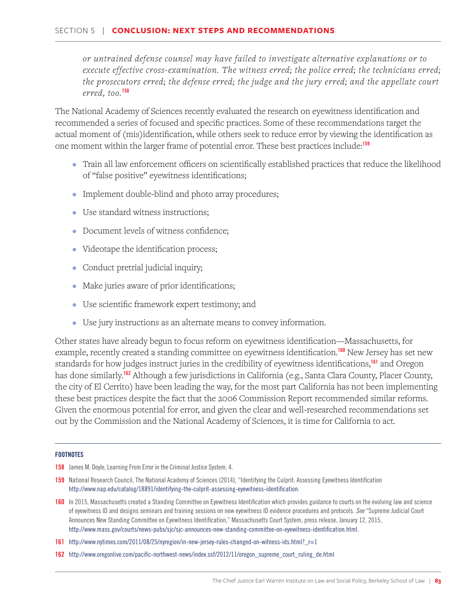#### SECTION 5 | **CONCLUSION: NEXT STEPS AND RECOMMENDATIONS**

*or untrained defense counsel may have failed to investigate alternative explanations or to execute effective cross-examination. The witness erred; the police erred; the technicians erred; the prosecutors erred; the defense erred; the judge and the jury erred; and the appellate court erred, too.*<sup>158</sup>

The National Academy of Sciences recently evaluated the research on eyewitness identification and recommended a series of focused and specific practices. Some of these recommendations target the actual moment of (mis)identification, while others seek to reduce error by viewing the identification as one moment within the larger frame of potential error. These best practices include:<sup>159</sup>

- Train all law enforcement officers on scientifically established practices that reduce the likelihood of "false positive" eyewitness identifications;
- Implement double-blind and photo array procedures;
- Use standard witness instructions;
- Document levels of witness confidence;
- Videotape the identification process;
- Conduct pretrial judicial inquiry;
- Make juries aware of prior identifications;
- Use scientific framework expert testimony; and
- Use jury instructions as an alternate means to convey information.

Other states have already begun to focus reform on eyewitness identification—Massachusetts, for example, recently created a standing committee on eyewitness identification.<sup>160</sup> New Jersey has set new standards for how judges instruct juries in the credibility of eyewitness identifications,<sup>161</sup> and Oregon has done similarly.<sup>162</sup> Although a few jurisdictions in California (e.g., Santa Clara County, Placer County, the city of El Cerrito) have been leading the way, for the most part California has not been implementing these best practices despite the fact that the 2006 Commission Report recommended similar reforms. Given the enormous potential for error, and given the clear and well-researched recommendations set out by the Commission and the National Academy of Sciences, it is time for California to act.

- 158 James M. Doyle, Learning From Error in the Criminal Justice System, 4.
- 159 National Research Council, The National Academy of Sciences (2014), "Identifying the Culprit: Assessing Eyewitness Identification http://www.nap.edu/catalog/18891/identifying-the-culprit-assessing-eyewitness-identification.
- 160 In 2015, Massachusetts created a Standing Committee on Eyewitness Identification which provides guidance to courts on the evolving law and science of eyewitness ID and designs seminars and training sessions on new eyewitness ID evidence procedures and protocols. *See* "Supreme Judicial Court Announces New Standing Committee on Eyewitness Identification," Massachusetts Court System, press release, January 12, 2015, http://www.mass.gov/courts/news-pubs/sjc/sjc-announces-new-standing-committee-on-eyewitness-identification.html.
- 161 http://www.nytimes.com/2011/08/25/nyregion/in-new-jersey-rules-changed-on-witness-ids.html?\_r=1
- 162 http://www.oregonlive.com/pacific-northwest-news/index.ssf/2012/11/oregon\_supreme\_court\_ruling\_de.html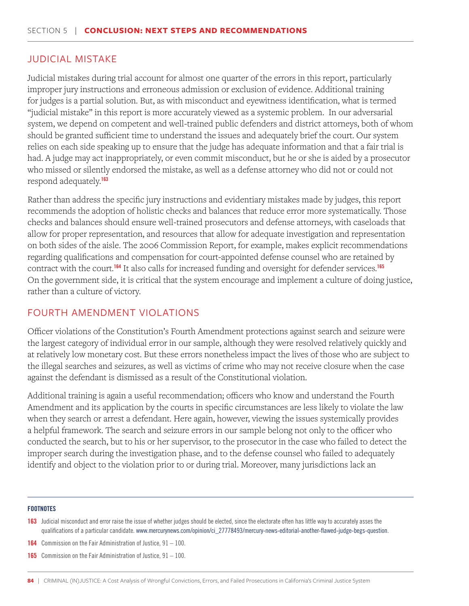### JUDICIAL MISTAKE

Judicial mistakes during trial account for almost one quarter of the errors in this report, particularly improper jury instructions and erroneous admission or exclusion of evidence. Additional training for judges is a partial solution. But, as with misconduct and eyewitness identification, what is termed "judicial mistake" in this report is more accurately viewed as a systemic problem. In our adversarial system, we depend on competent and well-trained public defenders and district attorneys, both of whom should be granted sufficient time to understand the issues and adequately brief the court. Our system relies on each side speaking up to ensure that the judge has adequate information and that a fair trial is had. A judge may act inappropriately, or even commit misconduct, but he or she is aided by a prosecutor who missed or silently endorsed the mistake, as well as a defense attorney who did not or could not respond adequately.<sup>163</sup>

Rather than address the specific jury instructions and evidentiary mistakes made by judges, this report recommends the adoption of holistic checks and balances that reduce error more systematically. Those checks and balances should ensure well-trained prosecutors and defense attorneys, with caseloads that allow for proper representation, and resources that allow for adequate investigation and representation on both sides of the aisle. The 2006 Commission Report, for example, makes explicit recommendations regarding qualifications and compensation for court-appointed defense counsel who are retained by contract with the court.<sup>164</sup> It also calls for increased funding and oversight for defender services.<sup>165</sup> On the government side, it is critical that the system encourage and implement a culture of doing justice, rather than a culture of victory.

## FOURTH AMENDMENT VIOLATIONS

Officer violations of the Constitution's Fourth Amendment protections against search and seizure were the largest category of individual error in our sample, although they were resolved relatively quickly and at relatively low monetary cost. But these errors nonetheless impact the lives of those who are subject to the illegal searches and seizures, as well as victims of crime who may not receive closure when the case against the defendant is dismissed as a result of the Constitutional violation.

Additional training is again a useful recommendation; officers who know and understand the Fourth Amendment and its application by the courts in specific circumstances are less likely to violate the law when they search or arrest a defendant. Here again, however, viewing the issues systemically provides a helpful framework. The search and seizure errors in our sample belong not only to the officer who conducted the search, but to his or her supervisor, to the prosecutor in the case who failed to detect the improper search during the investigation phase, and to the defense counsel who failed to adequately identify and object to the violation prior to or during trial. Moreover, many jurisdictions lack an

#### **FOOTNOTES**

163 Judicial misconduct and error raise the issue of whether judges should be elected, since the electorate often has little way to accurately asses the qualifications of a particular candidate. www.mercurynews.com/opinion/ci\_27778493/mercury-news-editorial-another-flawed-judge-begs-question.

- **164** Commission on the Fair Administration of Justice,  $91 100$ .
- **165** Commission on the Fair Administration of Justice,  $91 100$ .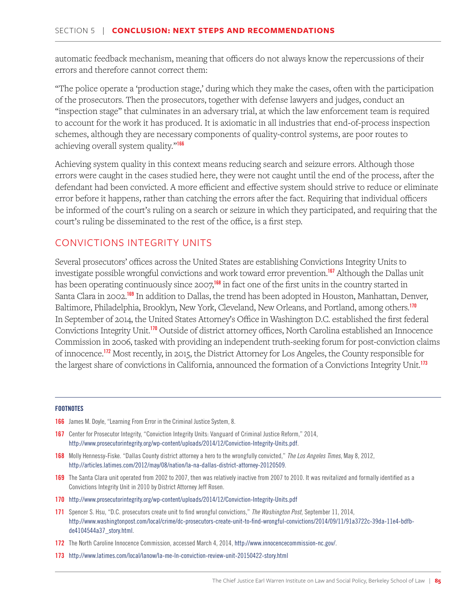automatic feedback mechanism, meaning that officers do not always know the repercussions of their errors and therefore cannot correct them:

"The police operate a 'production stage,' during which they make the cases, often with the participation of the prosecutors. Then the prosecutors, together with defense lawyers and judges, conduct an "inspection stage" that culminates in an adversary trial, at which the law enforcement team is required to account for the work it has produced. It is axiomatic in all industries that end-of-process inspection schemes, although they are necessary components of quality-control systems, are poor routes to achieving overall system quality."<sup>166</sup>

Achieving system quality in this context means reducing search and seizure errors. Although those errors were caught in the cases studied here, they were not caught until the end of the process, after the defendant had been convicted. A more efficient and effective system should strive to reduce or eliminate error before it happens, rather than catching the errors after the fact. Requiring that individual officers be informed of the court's ruling on a search or seizure in which they participated, and requiring that the court's ruling be disseminated to the rest of the office, is a first step.

# CONVICTIONS INTEGRITY UNITS

Several prosecutors' offices across the United States are establishing Convictions Integrity Units to investigate possible wrongful convictions and work toward error prevention.<sup>167</sup> Although the Dallas unit has been operating continuously since 2007,<sup>168</sup> in fact one of the first units in the country started in Santa Clara in 2002.<sup>169</sup> In addition to Dallas, the trend has been adopted in Houston, Manhattan, Denver, Baltimore, Philadelphia, Brooklyn, New York, Cleveland, New Orleans, and Portland, among others.<sup>170</sup> In September of 2014, the United States Attorney's Office in Washington D.C. established the first federal Convictions Integrity Unit.<sup>170</sup> Outside of district attorney offices, North Carolina established an Innocence Commission in 2006, tasked with providing an independent truth-seeking forum for post-conviction claims of innocence.<sup>172</sup> Most recently, in 2015, the District Attorney for Los Angeles, the County responsible for the largest share of convictions in California, announced the formation of a Convictions Integrity Unit.<sup>173</sup>

- **166** James M. Doyle, "Learning From Error in the Criminal Justice System, 8.
- 167 Center for Prosecutor Integrity, "Conviction Integrity Units: Vanguard of Criminal Justice Reform," 2014, http://www.prosecutorintegrity.org/wp-content/uploads/2014/12/Conviction-Integrity-Units.pdf.
- 168 Molly Hennessy-Fiske. "Dallas County district attorney a hero to the wrongfully convicted," *The Los Angeles Times*, May 8, 2012, http://articles.latimes.com/2012/may/08/nation/la-na-dallas-district-attorney-20120509.
- 169 The Santa Clara unit operated from 2002 to 2007, then was relatively inactive from 2007 to 2010. It was revitalized and formally identified as a Convictions Integrity Unit in 2010 by District Attorney Jeff Rosen.
- 170 http://www.prosecutorintegrity.org/wp-content/uploads/2014/12/Conviction-Integrity-Units.pdf
- 171 Spencer S. Hsu, "D.C. prosecutors create unit to find wrongful convictions," *The Washington Post*, September 11, 2014, http://www.washingtonpost.com/local/crime/dc-prosecutors-create-unit-to-find-wrongful-convictions/2014/09/11/91a3722c-39da-11e4-bdfbde4104544a37\_story.html.
- 172 The North Caroline Innocence Commission, accessed March 4, 2014, http://www.innocencecommission-nc.gov/.
- 173 http://www.latimes.com/local/lanow/la-me-ln-conviction-review-unit-20150422-story.html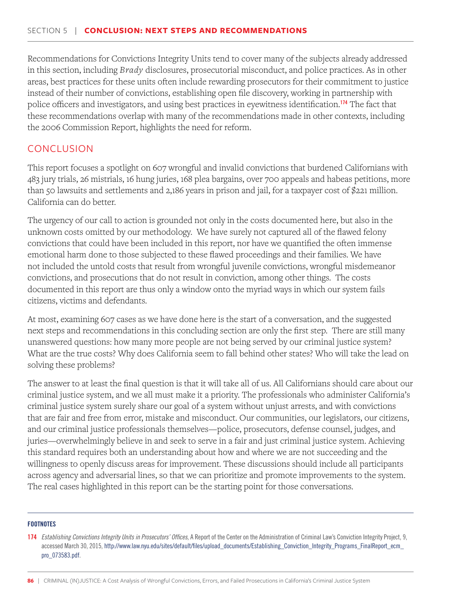Recommendations for Convictions Integrity Units tend to cover many of the subjects already addressed in this section, including *Brady* disclosures, prosecutorial misconduct, and police practices. As in other areas, best practices for these units often include rewarding prosecutors for their commitment to justice instead of their number of convictions, establishing open file discovery, working in partnership with police officers and investigators, and using best practices in eyewitness identification.<sup>174</sup> The fact that these recommendations overlap with many of the recommendations made in other contexts, including the 2006 Commission Report, highlights the need for reform.

# **CONCLUSION**

This report focuses a spotlight on 607 wrongful and invalid convictions that burdened Californians with 483 jury trials, 26 mistrials, 16 hung juries, 168 plea bargains, over 700 appeals and habeas petitions, more than 50 lawsuits and settlements and 2,186 years in prison and jail, for a taxpayer cost of \$221 million. California can do better.

The urgency of our call to action is grounded not only in the costs documented here, but also in the unknown costs omitted by our methodology. We have surely not captured all of the flawed felony convictions that could have been included in this report, nor have we quantified the often immense emotional harm done to those subjected to these flawed proceedings and their families. We have not included the untold costs that result from wrongful juvenile convictions, wrongful misdemeanor convictions, and prosecutions that do not result in conviction, among other things. The costs documented in this report are thus only a window onto the myriad ways in which our system fails citizens, victims and defendants.

At most, examining 607 cases as we have done here is the start of a conversation, and the suggested next steps and recommendations in this concluding section are only the first step. There are still many unanswered questions: how many more people are not being served by our criminal justice system? What are the true costs? Why does California seem to fall behind other states? Who will take the lead on solving these problems?

The answer to at least the final question is that it will take all of us. All Californians should care about our criminal justice system, and we all must make it a priority. The professionals who administer California's criminal justice system surely share our goal of a system without unjust arrests, and with convictions that are fair and free from error, mistake and misconduct. Our communities, our legislators, our citizens, and our criminal justice professionals themselves—police, prosecutors, defense counsel, judges, and juries—overwhelmingly believe in and seek to serve in a fair and just criminal justice system. Achieving this standard requires both an understanding about how and where we are not succeeding and the willingness to openly discuss areas for improvement. These discussions should include all participants across agency and adversarial lines, so that we can prioritize and promote improvements to the system. The real cases highlighted in this report can be the starting point for those conversations.

<sup>174</sup> *Establishing Convictions Integrity Units in Prosecutors' Offices*, A Report of the Center on the Administration of Criminal Law's Conviction Integrity Project, 9, accessed March 30, 2015, http://www.law.nyu.edu/sites/default/files/upload\_documents/Establishing\_Conviction\_Integrity\_Programs\_FinalReport\_ecm\_ pro\_073583.pdf.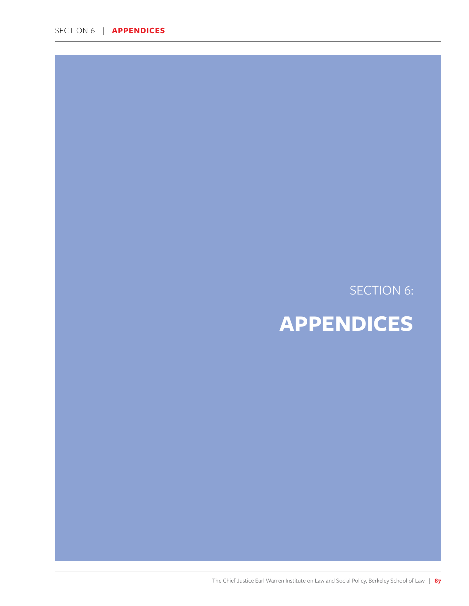SECTION 6 | **APPENDICES**

# SECTION 6:

# **APPENDICES**

The Chief Justice Earl Warren Institute on Law and Social Policy, Berkeley School of Law | **87**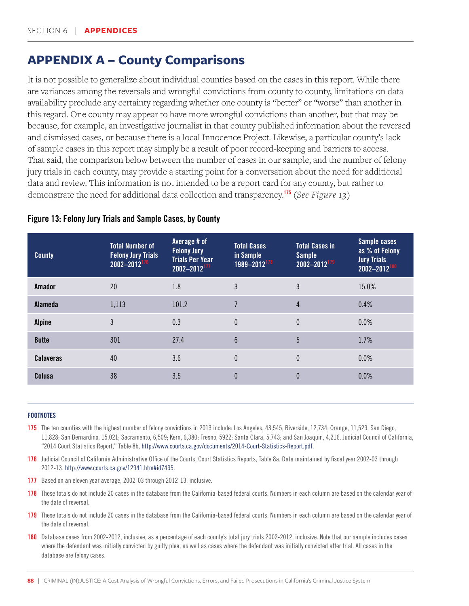# **APPENDIX A – County Comparisons**

It is not possible to generalize about individual counties based on the cases in this report. While there are variances among the reversals and wrongful convictions from county to county, limitations on data availability preclude any certainty regarding whether one county is "better" or "worse" than another in this regard. One county may appear to have more wrongful convictions than another, but that may be because, for example, an investigative journalist in that county published information about the reversed and dismissed cases, or because there is a local Innocence Project. Likewise, a particular county's lack of sample cases in this report may simply be a result of poor record-keeping and barriers to access. That said, the comparison below between the number of cases in our sample, and the number of felony jury trials in each county, may provide a starting point for a conversation about the need for additional data and review. This information is not intended to be a report card for any county, but rather to demonstrate the need for additional data collection and transparency.<sup>175</sup> (*See Figure 13*)

| <b>County</b>    | <b>Total Number of</b><br><b>Felony Jury Trials</b><br>$2002 - 2012$ <sup>176</sup> | Average # of<br><b>Felony Jury</b><br><b>Trials Per Year</b><br>$2002 - 2012$ <sup>177</sup> | <b>Total Cases</b><br>in Sample<br>1989-2012 <sup>178</sup> | <b>Total Cases in</b><br><b>Sample</b><br>$2002 - 2012$ <sup>179</sup> | Sample cases<br>as % of Felony<br><b>Jury Trials</b><br>2002-2012 |
|------------------|-------------------------------------------------------------------------------------|----------------------------------------------------------------------------------------------|-------------------------------------------------------------|------------------------------------------------------------------------|-------------------------------------------------------------------|
| Amador           | 20                                                                                  | 1.8                                                                                          | 3                                                           | 3                                                                      | 15.0%                                                             |
| Alameda          | 1,113                                                                               | 101.2                                                                                        | $\overline{7}$                                              | 4                                                                      | 0.4%                                                              |
| <b>Alpine</b>    | 3                                                                                   | 0.3                                                                                          | $\theta$                                                    | $\theta$                                                               | 0.0%                                                              |
| <b>Butte</b>     | 301                                                                                 | 27.4                                                                                         | $6\phantom{1}$                                              | 5                                                                      | 1.7%                                                              |
| <b>Calaveras</b> | 40                                                                                  | 3.6                                                                                          | $\theta$                                                    | $\mathbf{0}$                                                           | 0.0%                                                              |
| Colusa           | 38                                                                                  | 3.5                                                                                          | 0                                                           | 0                                                                      | 0.0%                                                              |

## Figure 13: Felony Jury Trials and Sample Cases, by County

- 175 The ten counties with the highest number of felony convictions in 2013 include: Los Angeles, 43,545; Riverside, 12,734; Orange, 11,529; San Diego, 11,828; San Bernardino, 15,021; Sacramento, 6,509; Kern, 6,380; Fresno, 5922; Santa Clara, 5,743; and San Joaquin, 4,216. Judicial Council of California, "2014 Court Statistics Report," Table 8b, http://www.courts.ca.gov/documents/2014-Court-Statistics-Report.pdf.
- 176 Judicial Council of California Administrative Office of the Courts, Court Statistics Reports, Table 8a. Data maintained by fiscal year 2002-03 through 2012-13. http://www.courts.ca.gov/12941.htm#id7495.
- 177 Based on an eleven year average, 2002-03 through 2012-13, inclusive.
- 178 These totals do not include 20 cases in the database from the California-based federal courts. Numbers in each column are based on the calendar year of the date of reversal.
- 179 These totals do not include 20 cases in the database from the California-based federal courts. Numbers in each column are based on the calendar year of the date of reversal.
- 180 Database cases from 2002-2012, inclusive, as a percentage of each county's total jury trials 2002-2012, inclusive. Note that our sample includes cases where the defendant was initially convicted by guilty plea, as well as cases where the defendant was initially convicted after trial. All cases in the database are felony cases.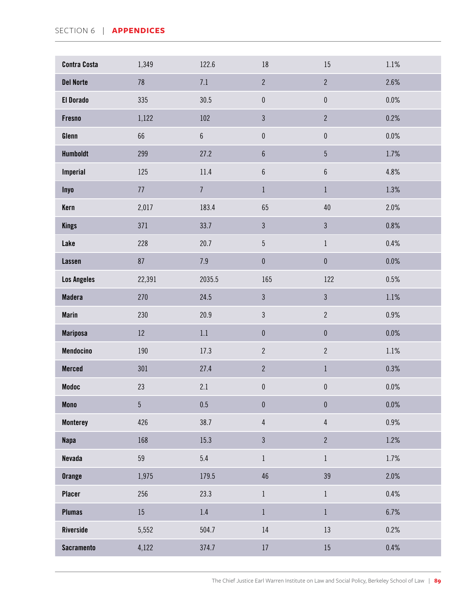| <b>Contra Costa</b> | 1,349          | 122.6            | 18               | 15               | $1.1\%$ |
|---------------------|----------------|------------------|------------------|------------------|---------|
| <b>Del Norte</b>    | 78             | 7.1              | $\overline{2}$   | $\overline{2}$   | 2.6%    |
| <b>El Dorado</b>    | 335            | 30.5             | $\pmb{0}$        | $\pmb{0}$        | $0.0\%$ |
| <b>Fresno</b>       | 1,122          | 102              | $\mathfrak{Z}$   | $\mathbf{2}$     | 0.2%    |
| Glenn               | 66             | $\boldsymbol{6}$ | $\pmb{0}$        | $\pmb{0}$        | $0.0\%$ |
| <b>Humboldt</b>     | 299            | 27.2             | $\boldsymbol{6}$ | $\overline{5}$   | 1.7%    |
| <b>Imperial</b>     | 125            | 11.4             | $\boldsymbol{6}$ | $\boldsymbol{6}$ | 4.8%    |
| <b>Inyo</b>         | $77$           | $\overline{7}$   | $\,1\,$          | $\,1\,$          | 1.3%    |
| Kern                | 2,017          | 183.4            | 65               | $40\,$           | 2.0%    |
| <b>Kings</b>        | 371            | 33.7             | $\mathfrak{Z}$   | $\mathfrak{Z}$   | 0.8%    |
| Lake                | 228            | 20.7             | $\overline{5}$   | $1\,$            | 0.4%    |
| <b>Lassen</b>       | 87             | $7.9\,$          | $\pmb{0}$        | $\pmb{0}$        | 0.0%    |
| <b>Los Angeles</b>  | 22,391         | 2035.5           | 165              | 122              | 0.5%    |
| <b>Madera</b>       | 270            | 24.5             | $\mathfrak{Z}$   | $\mathfrak{Z}$   | 1.1%    |
| <b>Marin</b>        | 230            | 20.9             | $\mathfrak{Z}$   | $\overline{2}$   | $0.9\%$ |
| <b>Mariposa</b>     | 12             | $1.1\,$          | $\pmb{0}$        | $\pmb{0}$        | $0.0\%$ |
| Mendocino           | 190            | 17.3             | $\overline{2}$   | $\overline{2}$   | 1.1%    |
| <b>Merced</b>       | 301            | 27.4             | $\overline{2}$   | $\,1\,$          | 0.3%    |
| <b>Modoc</b>        | 23             | 2.1              | $\pmb{0}$        | $\pmb{0}$        | $0.0\%$ |
| <b>Mono</b>         | $\overline{5}$ | $0.5\,$          | $\pmb{0}$        | $\pmb{0}$        | $0.0\%$ |
| <b>Monterey</b>     | 426            | 38.7             | $\sqrt{4}$       | $\overline{4}$   | $0.9\%$ |
| <b>Napa</b>         | 168            | 15.3             | $\mathfrak{Z}$   | $\overline{2}$   | 1.2%    |
| <b>Nevada</b>       | 59             | 5.4              | $\,1$            | $1\,$            | 1.7%    |
| <b>Orange</b>       | 1,975          | 179.5            | 46               | 39               | 2.0%    |
| <b>Placer</b>       | 256            | 23.3             | $\,1$            | $\,1$            | $0.4\%$ |
| <b>Plumas</b>       | $15\,$         | $1.4\,$          | $1\,$            | $1\,$            | 6.7%    |
| Riverside           | 5,552          | 504.7            | 14               | 13               | 0.2%    |
| <b>Sacramento</b>   | 4,122          | 374.7            | $17\,$           | 15               | $0.4\%$ |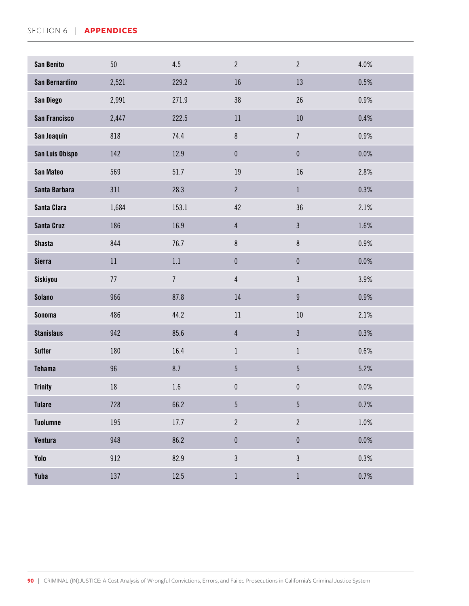#### SECTION 6 | **APPENDICES**

| <b>San Benito</b>    | 50     | 4.5            | $\overline{2}$  | $\overline{2}$   | 4.0%    |
|----------------------|--------|----------------|-----------------|------------------|---------|
| San Bernardino       | 2,521  | 229.2          | 16              | 13               | 0.5%    |
| San Diego            | 2,991  | 271.9          | 38              | 26               | $0.9\%$ |
| <b>San Francisco</b> | 2,447  | 222.5          | 11              | $10\,$           | 0.4%    |
| San Joaquin          | 818    | 74.4           | $\,8\,$         | $\boldsymbol{7}$ | 0.9%    |
| San Luis Obispo      | 142    | 12.9           | $\pmb{0}$       | $\pmb{0}$        | $0.0\%$ |
| San Mateo            | 569    | 51.7           | 19              | 16               | 2.8%    |
| Santa Barbara        | 311    | 28.3           | $\overline{2}$  | $\mathbf{1}$     | 0.3%    |
| Santa Clara          | 1,684  | 153.1          | 42              | 36               | 2.1%    |
| Santa Cruz           | 186    | 16.9           | $\overline{4}$  | $\mathfrak{Z}$   | 1.6%    |
| <b>Shasta</b>        | 844    | 76.7           | $\bf 8$         | $\,8\,$          | 0.9%    |
| <b>Sierra</b>        | $11\,$ | 1.1            | $\pmb{0}$       | $\pmb{0}$        | 0.0%    |
| Siskiyou             | $77$   | $\overline{7}$ | $\overline{4}$  | $\mathfrak{Z}$   | 3.9%    |
| <b>Solano</b>        | 966    | 87.8           | 14              | $\boldsymbol{9}$ | 0.9%    |
| <b>Sonoma</b>        | 486    | 44.2           | 11              | $10\,$           | 2.1%    |
| <b>Stanislaus</b>    | 942    | 85.6           | $\overline{4}$  | $\mathfrak{Z}$   | 0.3%    |
| <b>Sutter</b>        | 180    | 16.4           | $\mathbf{1}$    | $\mathbf{1}$     | 0.6%    |
| <b>Tehama</b>        | 96     | 8.7            | $5\phantom{.0}$ | $\overline{5}$   | 5.2%    |
| <b>Trinity</b>       | $18\,$ | 1.6            | $\pmb{0}$       | $\pmb{0}$        | 0.0%    |
| <b>Tulare</b>        | 728    | 66.2           | $\sqrt{5}$      | $\sqrt{5}$       | 0.7%    |
| <b>Tuolumne</b>      | 195    | $17.7\,$       | $\overline{2}$  | $\overline{2}$   | $1.0\%$ |
| Ventura              | 948    | 86.2           | $\pmb{0}$       | $\pmb{0}$        | $0.0\%$ |
| Yolo                 | 912    | 82.9           | $\sqrt{3}$      | $\mathfrak{Z}$   | 0.3%    |
| Yuba                 | 137    | 12.5           | $\mathbf{1}$    | $\mathbf{1}$     | 0.7%    |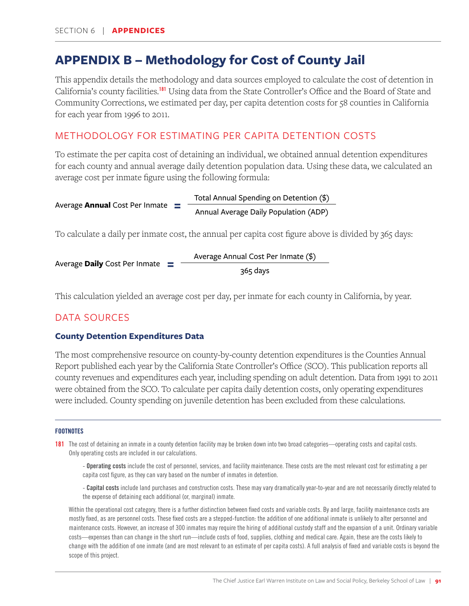# **APPENDIX B – Methodology for Cost of County Jail**

This appendix details the methodology and data sources employed to calculate the cost of detention in California's county facilities.<sup>181</sup> Using data from the State Controller's Office and the Board of State and Community Corrections, we estimated per day, per capita detention costs for 58 counties in California for each year from 1996 to 2011.

# METHODOLOGY FOR ESTIMATING PER CAPITA DETENTION COSTS

To estimate the per capita cost of detaining an individual, we obtained annual detention expenditures for each county and annual average daily detention population data. Using these data, we calculated an average cost per inmate figure using the following formula:

Total Annual Spending on Detention (\$) Annual Average Daily Population (ADP) **=**  Average **Annual** Cost Per Inmate

To calculate a daily per inmate cost, the annual per capita cost figure above is divided by 365 days:

Average Annual Cost Per Inmate (\$) 365 days **=**  Average **Daily** Cost Per Inmate

This calculation yielded an average cost per day, per inmate for each county in California, by year.

# DATA SOURCES

## **County Detention Expenditures Data**

The most comprehensive resource on county-by-county detention expenditures is the Counties Annual Report published each year by the California State Controller's Office (SCO). This publication reports all county revenues and expenditures each year, including spending on adult detention. Data from 1991 to 2011 were obtained from the SCO. To calculate per capita daily detention costs, only operating expenditures were included. County spending on juvenile detention has been excluded from these calculations.

#### **FOOTNOTES**

181 The cost of detaining an inmate in a county detention facility may be broken down into two broad categories—operating costs and capital costs. Only operating costs are included in our calculations.

- Operating costs include the cost of personnel, services, and facility maintenance. These costs are the most relevant cost for estimating a per capita cost figure, as they can vary based on the number of inmates in detention.

- Capital costs include land purchases and construction costs. These may vary dramatically year-to-year and are not necessarily directly related to the expense of detaining each additional (or, marginal) inmate.

Within the operational cost category, there is a further distinction between fixed costs and variable costs. By and large, facility maintenance costs are mostly fixed, as are personnel costs. These fixed costs are a stepped-function: the addition of one additional inmate is unlikely to alter personnel and maintenance costs. However, an increase of 300 inmates may require the hiring of additional custody staff and the expansion of a unit. Ordinary variable costs—expenses than can change in the short run—include costs of food, supplies, clothing and medical care. Again, these are the costs likely to change with the addition of one inmate (and are most relevant to an estimate of per capita costs). A full analysis of fixed and variable costs is beyond the scope of this project.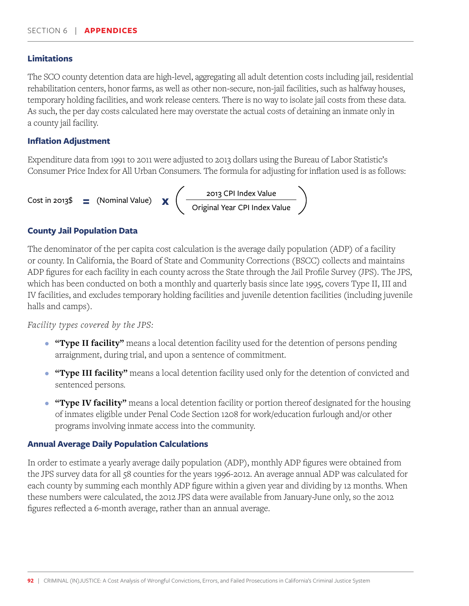#### **Limitations**

The SCO county detention data are high-level, aggregating all adult detention costs including jail, residential rehabilitation centers, honor farms, as well as other non-secure, non-jail facilities, such as halfway houses, temporary holding facilities, and work release centers. There is no way to isolate jail costs from these data. As such, the per day costs calculated here may overstate the actual costs of detaining an inmate only in a county jail facility.

### **Inflation Adjustment**

Expenditure data from 1991 to 2011 were adjusted to 2013 dollars using the Bureau of Labor Statistic's Consumer Price Index for All Urban Consumers. The formula for adjusting for inflation used is as follows:



### **County Jail Population Data**

The denominator of the per capita cost calculation is the average daily population (ADP) of a facility or county. In California, the Board of State and Community Corrections (BSCC) collects and maintains ADP figures for each facility in each county across the State through the Jail Profile Survey (JPS). The JPS, which has been conducted on both a monthly and quarterly basis since late 1995, covers Type II, III and IV facilities, and excludes temporary holding facilities and juvenile detention facilities (including juvenile halls and camps).

#### *Facility types covered by the JPS:*

- **"Type II facility"** means a local detention facility used for the detention of persons pending arraignment, during trial, and upon a sentence of commitment.
- **"Type III facility"** means a local detention facility used only for the detention of convicted and sentenced persons.
- **"Type IV facility"** means a local detention facility or portion thereof designated for the housing of inmates eligible under Penal Code Section 1208 for work/education furlough and/or other programs involving inmate access into the community.

## **Annual Average Daily Population Calculations**

In order to estimate a yearly average daily population (ADP), monthly ADP figures were obtained from the JPS survey data for all 58 counties for the years 1996-2012. An average annual ADP was calculated for each county by summing each monthly ADP figure within a given year and dividing by 12 months. When these numbers were calculated, the 2012 JPS data were available from January-June only, so the 2012 figures reflected a 6-month average, rather than an annual average.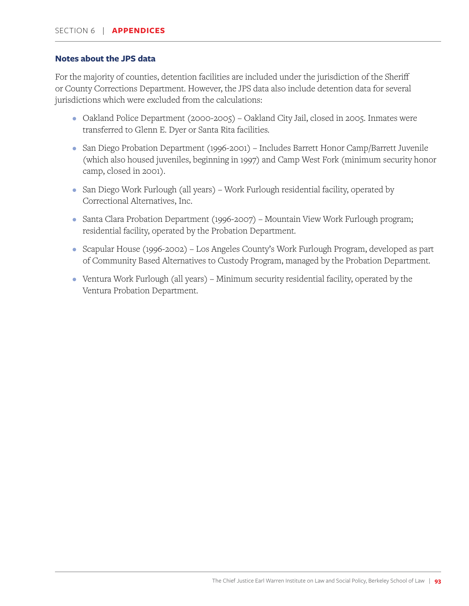#### **Notes about the JPS data**

For the majority of counties, detention facilities are included under the jurisdiction of the Sheriff or County Corrections Department. However, the JPS data also include detention data for several jurisdictions which were excluded from the calculations:

- Oakland Police Department (2000-2005) Oakland City Jail, closed in 2005. Inmates were transferred to Glenn E. Dyer or Santa Rita facilities.
- San Diego Probation Department (1996-2001) Includes Barrett Honor Camp/Barrett Juvenile (which also housed juveniles, beginning in 1997) and Camp West Fork (minimum security honor camp, closed in 2001).
- San Diego Work Furlough (all years) Work Furlough residential facility, operated by Correctional Alternatives, Inc.
- Santa Clara Probation Department (1996-2007) Mountain View Work Furlough program; residential facility, operated by the Probation Department.
- Scapular House (1996-2002) Los Angeles County's Work Furlough Program, developed as part of Community Based Alternatives to Custody Program, managed by the Probation Department.
- Ventura Work Furlough (all years) Minimum security residential facility, operated by the Ventura Probation Department.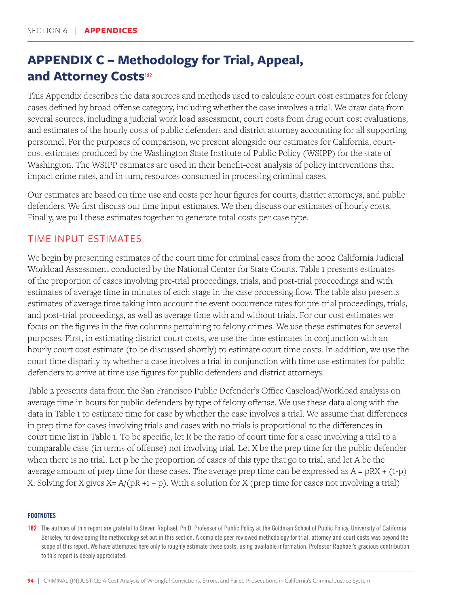# **APPENDIX C – Methodology for Trial, Appeal, and Attorney Costs<sup>182</sup>**

This Appendix describes the data sources and methods used to calculate court cost estimates for felony cases defined by broad offense category, including whether the case involves a trial. We draw data from several sources, including a judicial work load assessment, court costs from drug court cost evaluations, and estimates of the hourly costs of public defenders and district attorney accounting for all supporting personnel. For the purposes of comparison, we present alongside our estimates for California, courtcost estimates produced by the Washington State Institute of Public Policy (WSIPP) for the state of Washington. The WSIPP estimates are used in their benefit-cost analysis of policy interventions that impact crime rates, and in turn, resources consumed in processing criminal cases.

Our estimates are based on time use and costs per hour figures for courts, district attorneys, and public defenders. We first discuss our time input estimates. We then discuss our estimates of hourly costs. Finally, we pull these estimates together to generate total costs per case type.

# TIME INPUT ESTIMATES

We begin by presenting estimates of the court time for criminal cases from the 2002 California Judicial Workload Assessment conducted by the National Center for State Courts. Table 1 presents estimates of the proportion of cases involving pre-trial proceedings, trials, and post-trial proceedings and with estimates of average time in minutes of each stage in the case processing flow. The table also presents estimates of average time taking into account the event occurrence rates for pre-trial proceedings, trials, and post-trial proceedings, as well as average time with and without trials. For our cost estimates we focus on the figures in the five columns pertaining to felony crimes. We use these estimates for several purposes. First, in estimating district court costs, we use the time estimates in conjunction with an hourly court cost estimate (to be discussed shortly) to estimate court time costs. In addition, we use the court time disparity by whether a case involves a trial in conjunction with time use estimates for public defenders to arrive at time use figures for public defenders and district attorneys.

Table 2 presents data from the San Francisco Public Defender's Office Caseload/Workload analysis on average time in hours for public defenders by type of felony offense. We use these data along with the data in Table 1 to estimate time for case by whether the case involves a trial. We assume that differences in prep time for cases involving trials and cases with no trials is proportional to the differences in court time list in Table 1. To be specific, let R be the ratio of court time for a case involving a trial to a comparable case (in terms of offense) not involving trial. Let X be the prep time for the public defender when there is no trial. Let p be the proportion of cases of this type that go to trial, and let A be the average amount of prep time for these cases. The average prep time can be expressed as  $A = pRX + (1-p)$ X. Solving for X gives  $X = A/(pR + 1 - p)$ . With a solution for X (prep time for cases not involving a trial)

#### **FOOTNOTES**

182 The authors of this report are grateful to Steven Raphael, Ph.D. Professor of Public Policy at the Goldman School of Public Policy, University of California Berkeley, for developing the methodology set out in this section. A complete peer-reviewed methodology for trial, attorney and court costs was beyond the scope of this report. We have attempted here only to roughly estimate these costs, using available information. Professor Raphael's gracious contribution to this report is deeply appreciated.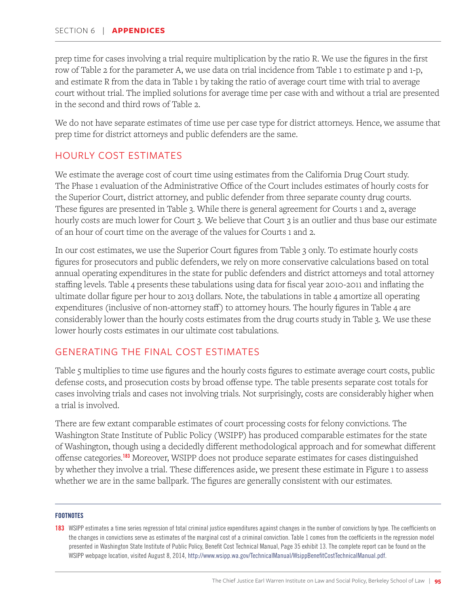prep time for cases involving a trial require multiplication by the ratio R. We use the figures in the first row of Table 2 for the parameter A, we use data on trial incidence from Table 1 to estimate p and 1-p, and estimate R from the data in Table 1 by taking the ratio of average court time with trial to average court without trial. The implied solutions for average time per case with and without a trial are presented in the second and third rows of Table 2.

We do not have separate estimates of time use per case type for district attorneys. Hence, we assume that prep time for district attorneys and public defenders are the same.

# HOURLY COST ESTIMATES

We estimate the average cost of court time using estimates from the California Drug Court study. The Phase 1 evaluation of the Administrative Office of the Court includes estimates of hourly costs for the Superior Court, district attorney, and public defender from three separate county drug courts. These figures are presented in Table 3. While there is general agreement for Courts 1 and 2, average hourly costs are much lower for Court 3. We believe that Court 3 is an outlier and thus base our estimate of an hour of court time on the average of the values for Courts 1 and 2.

In our cost estimates, we use the Superior Court figures from Table 3 only. To estimate hourly costs figures for prosecutors and public defenders, we rely on more conservative calculations based on total annual operating expenditures in the state for public defenders and district attorneys and total attorney staffing levels. Table 4 presents these tabulations using data for fiscal year 2010-2011 and inflating the ultimate dollar figure per hour to 2013 dollars. Note, the tabulations in table 4 amortize all operating expenditures (inclusive of non-attorney staff) to attorney hours. The hourly figures in Table 4 are considerably lower than the hourly costs estimates from the drug courts study in Table 3. We use these lower hourly costs estimates in our ultimate cost tabulations.

# GENERATING THE FINAL COST ESTIMATES

Table 5 multiplies to time use figures and the hourly costs figures to estimate average court costs, public defense costs, and prosecution costs by broad offense type. The table presents separate cost totals for cases involving trials and cases not involving trials. Not surprisingly, costs are considerably higher when a trial is involved.

There are few extant comparable estimates of court processing costs for felony convictions. The Washington State Institute of Public Policy (WSIPP) has produced comparable estimates for the state of Washington, though using a decidedly different methodological approach and for somewhat different offense categories.<sup>183</sup> Moreover, WSIPP does not produce separate estimates for cases distinguished by whether they involve a trial. These differences aside, we present these estimate in Figure 1 to assess whether we are in the same ballpark. The figures are generally consistent with our estimates.

#### **FOOTNOTES**

183 WSIPP estimates a time series regression of total criminal justice expenditures against changes in the number of convictions by type. The coefficients on the changes in convictions serve as estimates of the marginal cost of a criminal conviction. Table 1 comes from the coefficients in the regression model presented in Washington State Institute of Public Policy, Benefit Cost Technical Manual, Page 35 exhibit 13. The complete report can be found on the WSIPP webpage location, visited August 8, 2014, http://www.wsipp.wa.gov/TechnicalManual/WsippBenefitCostTechnicalManual.pdf.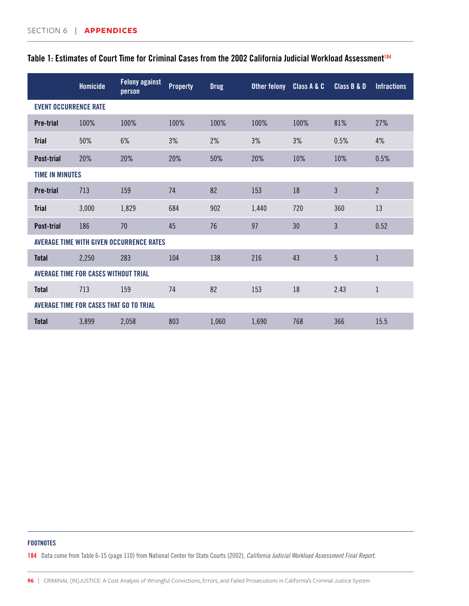|                              | <b>Homicide</b>                             | <b>Felony against</b><br>person          | <b>Property</b> | <b>Drug</b> | <b>Other felony</b> | Class A & C | Class B & D    | <b>Infractions</b> |
|------------------------------|---------------------------------------------|------------------------------------------|-----------------|-------------|---------------------|-------------|----------------|--------------------|
| <b>EVENT OCCURRENCE RATE</b> |                                             |                                          |                 |             |                     |             |                |                    |
| <b>Pre-trial</b>             | 100%                                        | 100%                                     | 100%            | 100%        | 100%                | 100%        | 81%            | 27%                |
| <b>Trial</b>                 | 50%                                         | 6%                                       | 3%              | 2%          | 3%                  | 3%          | 0.5%           | 4%                 |
| <b>Post-trial</b>            | 20%                                         | 20%                                      | 20%             | 50%         | 20%                 | 10%         | 10%            | 0.5%               |
| <b>TIME IN MINUTES</b>       |                                             |                                          |                 |             |                     |             |                |                    |
| <b>Pre-trial</b>             | 713                                         | 159                                      | 74              | 82          | 153                 | 18          | $\mathfrak{Z}$ | $\overline{2}$     |
| <b>Trial</b>                 | 3,000                                       | 1,829                                    | 684             | 902         | 1,440               | 720         | 360            | 13                 |
| <b>Post-trial</b>            | 186                                         | 70                                       | 45              | 76          | 97                  | 30          | 3              | 0.52               |
|                              |                                             | AVERAGE TIME WITH GIVEN OCCURRENCE RATES |                 |             |                     |             |                |                    |
| <b>Total</b>                 | 2,250                                       | 283                                      | 104             | 138         | 216                 | 43          | 5              | $\mathbf{1}$       |
|                              | <b>AVERAGE TIME FOR CASES WITHOUT TRIAL</b> |                                          |                 |             |                     |             |                |                    |
| <b>Total</b>                 | 713                                         | 159                                      | 74              | 82          | 153                 | 18          | 2.43           | $\mathbf{1}$       |
|                              | AVERAGE TIME FOR CASES THAT GO TO TRIAL     |                                          |                 |             |                     |             |                |                    |
| <b>Total</b>                 | 3,899                                       | 2,058                                    | 803             | 1,060       | 1,690               | 768         | 366            | 15.5               |

# Table 1: Estimates of Court Time for Criminal Cases from the 2002 California Judicial Workload Assessment<sup>184</sup>

#### FOOTNOTES

184 Data come from Table 6-15 (page 110) from National Center for State Courts (2002), *California Judicial Workload Assessment Final Report.*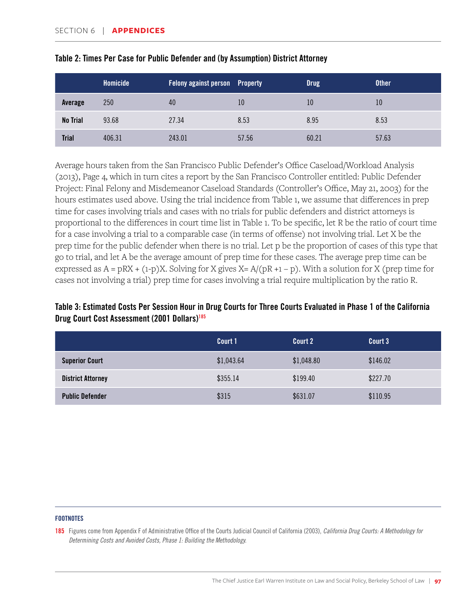|                 | <b>Homicide</b> | <b>Felony against person</b> Property |       | <b>Drug</b> | <b>Other</b> |
|-----------------|-----------------|---------------------------------------|-------|-------------|--------------|
| Average         | 250             | 40                                    | 10    | 10          | 10           |
| <b>No Trial</b> | 93.68           | 27.34                                 | 8.53  | 8.95        | 8.53         |
| <b>Trial</b>    | 406.31          | 243.01                                | 57.56 | 60.21       | 57.63        |

| Table 2: Times Per Case for Public Defender and (by Assumption) District Attorney |  |  |  |
|-----------------------------------------------------------------------------------|--|--|--|
|-----------------------------------------------------------------------------------|--|--|--|

Average hours taken from the San Francisco Public Defender's Office Caseload/Workload Analysis (2013), Page 4, which in turn cites a report by the San Francisco Controller entitled: Public Defender Project: Final Felony and Misdemeanor Caseload Standards (Controller's Office, May 21, 2003) for the hours estimates used above. Using the trial incidence from Table 1, we assume that differences in prep time for cases involving trials and cases with no trials for public defenders and district attorneys is proportional to the differences in court time list in Table 1. To be specific, let R be the ratio of court time for a case involving a trial to a comparable case (in terms of offense) not involving trial. Let X be the prep time for the public defender when there is no trial. Let p be the proportion of cases of this type that go to trial, and let A be the average amount of prep time for these cases. The average prep time can be expressed as  $A = pRX + (1-p)X$ . Solving for X gives  $X = A/(pR + 1 - p)$ . With a solution for X (prep time for cases not involving a trial) prep time for cases involving a trial require multiplication by the ratio R.

# Table 3: Estimated Costs Per Session Hour in Drug Courts for Three Courts Evaluated in Phase 1 of the California Drug Court Cost Assessment (2001 Dollars)185

|                          | Court 1    | Court 2    | Court 3  |
|--------------------------|------------|------------|----------|
| <b>Superior Court</b>    | \$1,043.64 | \$1,048.80 | \$146.02 |
| <b>District Attorney</b> | \$355.14   | \$199.40   | \$227.70 |
| <b>Public Defender</b>   | \$315      | \$631.07   | \$110.95 |

#### **FOOTNOTES**

185 Figures come from Appendix F of Administrative Office of the Courts Judicial Council of California (2003), *California Drug Courts: A Methodology for Determining Costs and Avoided Costs, Phase 1: Building the Methodology.*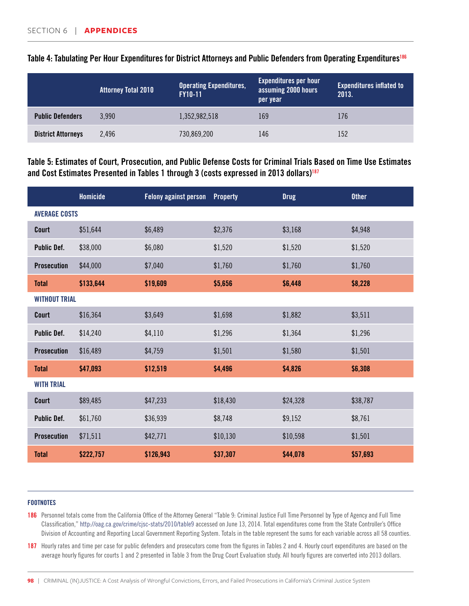|                           | <b>Attorney Total 2010</b> | <b>Operating Expenditures,</b><br><b>FY10-11</b> | <b>Expenditures per hour</b><br>assuming 2000 hours<br>per year | <b>Expenditures inflated to</b><br>2013. |
|---------------------------|----------------------------|--------------------------------------------------|-----------------------------------------------------------------|------------------------------------------|
| <b>Public Defenders</b>   | 3.990                      | 1,352,982,518                                    | 169                                                             | 176                                      |
| <b>District Attorneys</b> | 2.496                      | 730,869,200                                      | 146                                                             | 152                                      |

## Table 4: Tabulating Per Hour Expenditures for District Attorneys and Public Defenders from Operating Expenditures<sup>186</sup>

Table 5: Estimates of Court, Prosecution, and Public Defense Costs for Criminal Trials Based on Time Use Estimates and Cost Estimates Presented in Tables 1 through 3 (costs expressed in 2013 dollars)<sup>187</sup>

|                      | Homicide  | <b>Felony against person</b> | <b>Property</b> | <b>Drug</b> | <b>Other</b> |
|----------------------|-----------|------------------------------|-----------------|-------------|--------------|
| <b>AVERAGE COSTS</b> |           |                              |                 |             |              |
| Court                | \$51,644  | \$6,489                      | \$2,376         | \$3,168     | \$4,948      |
| <b>Public Def.</b>   | \$38,000  | \$6,080                      | \$1,520         | \$1,520     | \$1,520      |
| <b>Prosecution</b>   | \$44,000  | \$7,040                      | \$1,760         | \$1,760     | \$1,760      |
| <b>Total</b>         | \$133,644 | \$19,609                     | \$5,656         | \$6,448     | \$8,228      |
| <b>WITHOUT TRIAL</b> |           |                              |                 |             |              |
| Court                | \$16,364  | \$3,649                      | \$1,698         | \$1,882     | \$3,511      |
| <b>Public Def.</b>   | \$14,240  | \$4,110                      | \$1,296         | \$1,364     | \$1,296      |
| <b>Prosecution</b>   | \$16,489  | \$4,759                      | \$1,501         | \$1,580     | \$1,501      |
| <b>Total</b>         | \$47,093  | \$12,519                     | \$4,496         | \$4,826     | \$6,308      |
| <b>WITH TRIAL</b>    |           |                              |                 |             |              |
| Court                | \$89,485  | \$47,233                     | \$18,430        | \$24,328    | \$38,787     |
| <b>Public Def.</b>   | \$61,760  | \$36,939                     | \$8,748         | \$9,152     | \$8,761      |
| <b>Prosecution</b>   | \$71,511  | \$42,771                     | \$10,130        | \$10,598    | \$1,501      |
| <b>Total</b>         | \$222,757 | \$126,943                    | \$37,307        | \$44,078    | \$57,693     |

#### **FOOTNOTES**

186 Personnel totals come from the California Office of the Attorney General "Table 9: Criminal Justice Full Time Personnel by Type of Agency and Full Time Classification," http://oag.ca.gov/crime/cjsc-stats/2010/table9 accessed on June 13, 2014. Total expenditures come from the State Controller's Office Division of Accounting and Reporting Local Government Reporting System. Totals in the table represent the sums for each variable across all 58 counties.

187 Hourly rates and time per case for public defenders and prosecutors come from the figures in Tables 2 and 4. Hourly court expenditures are based on the average hourly figures for courts 1 and 2 presented in Table 3 from the Drug Court Evaluation study. All hourly figures are converted into 2013 dollars.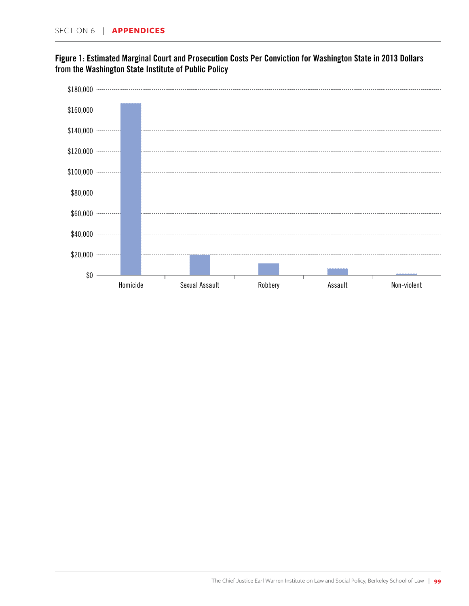\$0



Homicide Sexual Assault Robbery Assault Non-violent

# Figure 1: Estimated Marginal Court and Prosecution Costs Per Conviction for Washington State in 2013 Dollars from the Washington State Institute of Public Policy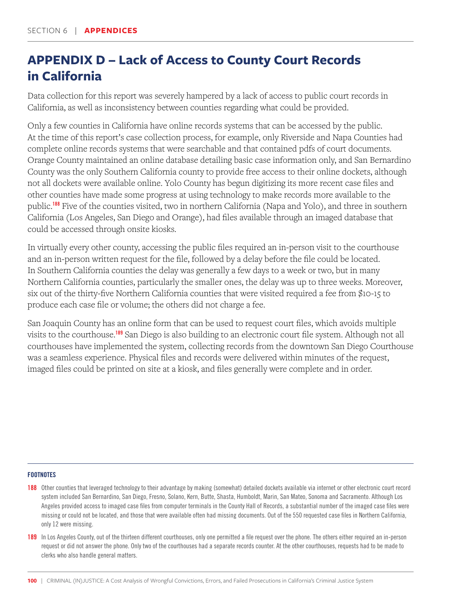# **APPENDIX D – Lack of Access to County Court Records in California**

Data collection for this report was severely hampered by a lack of access to public court records in California, as well as inconsistency between counties regarding what could be provided.

Only a few counties in California have online records systems that can be accessed by the public. At the time of this report's case collection process, for example, only Riverside and Napa Counties had complete online records systems that were searchable and that contained pdfs of court documents. Orange County maintained an online database detailing basic case information only, and San Bernardino County was the only Southern California county to provide free access to their online dockets, although not all dockets were available online. Yolo County has begun digitizing its more recent case files and other counties have made some progress at using technology to make records more available to the public.<sup>188</sup> Five of the counties visited, two in northern California (Napa and Yolo), and three in southern California (Los Angeles, San Diego and Orange), had files available through an imaged database that could be accessed through onsite kiosks.

In virtually every other county, accessing the public files required an in-person visit to the courthouse and an in-person written request for the file, followed by a delay before the file could be located. In Southern California counties the delay was generally a few days to a week or two, but in many Northern California counties, particularly the smaller ones, the delay was up to three weeks. Moreover, six out of the thirty-five Northern California counties that were visited required a fee from \$10-15 to produce each case file or volume; the others did not charge a fee.

San Joaquin County has an online form that can be used to request court files, which avoids multiple visits to the courthouse.<sup>189</sup> San Diego is also building to an electronic court file system. Although not all courthouses have implemented the system, collecting records from the downtown San Diego Courthouse was a seamless experience. Physical files and records were delivered within minutes of the request, imaged files could be printed on site at a kiosk, and files generally were complete and in order.

- 188 Other counties that leveraged technology to their advantage by making (somewhat) detailed dockets available via internet or other electronic court record system included San Bernardino, San Diego, Fresno, Solano, Kern, Butte, Shasta, Humboldt, Marin, San Mateo, Sonoma and Sacramento. Although Los Angeles provided access to imaged case files from computer terminals in the County Hall of Records, a substantial number of the imaged case files were missing or could not be located, and those that were available often had missing documents. Out of the 550 requested case files in Northern California, only 12 were missing.
- 189 In Los Angeles County, out of the thirteen different courthouses, only one permitted a file request over the phone. The others either required an in-person request or did not answer the phone. Only two of the courthouses had a separate records counter. At the other courthouses, requests had to be made to clerks who also handle general matters.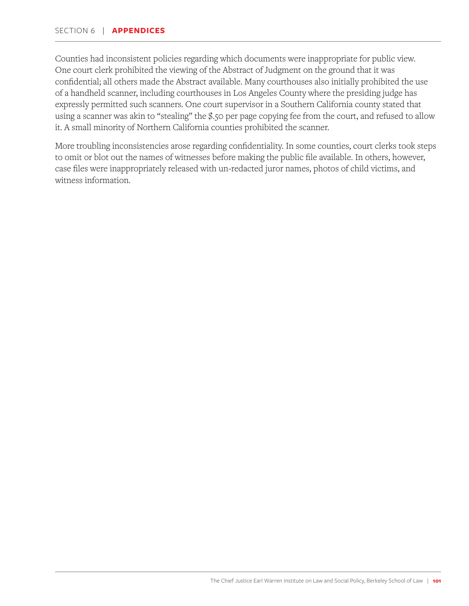Counties had inconsistent policies regarding which documents were inappropriate for public view. One court clerk prohibited the viewing of the Abstract of Judgment on the ground that it was confidential; all others made the Abstract available. Many courthouses also initially prohibited the use of a handheld scanner, including courthouses in Los Angeles County where the presiding judge has expressly permitted such scanners. One court supervisor in a Southern California county stated that using a scanner was akin to "stealing" the \$.50 per page copying fee from the court, and refused to allow it. A small minority of Northern California counties prohibited the scanner.

More troubling inconsistencies arose regarding confidentiality. In some counties, court clerks took steps to omit or blot out the names of witnesses before making the public file available. In others, however, case files were inappropriately released with un-redacted juror names, photos of child victims, and witness information.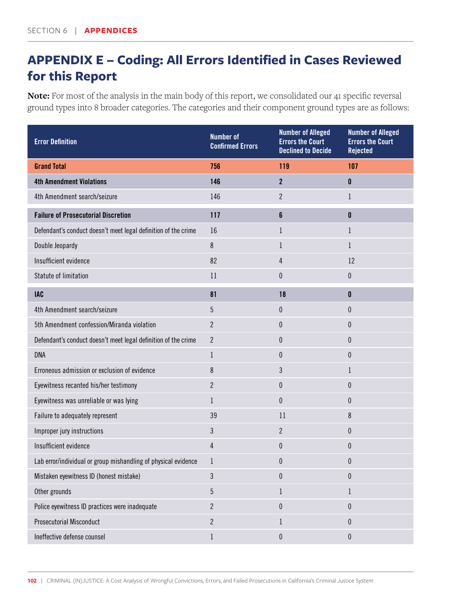# **APPENDIX E – Coding: All Errors Identified in Cases Reviewed for this Report**

**Note:** For most of the analysis in the main body of this report, we consolidated our 41 specific reversal ground types into 8 broader categories. The categories and their component ground types are as follows:

| <b>Error Definition</b>                                        | <b>Number of</b><br><b>Confirmed Errors</b> | <b>Number of Alleged</b><br><b>Errors the Court</b><br><b>Declined to Decide</b> | <b>Number of Alleged</b><br><b>Errors the Court</b><br><b>Rejected</b> |
|----------------------------------------------------------------|---------------------------------------------|----------------------------------------------------------------------------------|------------------------------------------------------------------------|
| <b>Grand Total</b>                                             | 756                                         | 119                                                                              | 107                                                                    |
| <b>4th Amendment Violations</b>                                | 146                                         | $\overline{2}$                                                                   | $\pmb{0}$                                                              |
| 4th Amendment search/seizure                                   | 146                                         | $\overline{2}$                                                                   | $\mathbf{1}$                                                           |
| <b>Failure of Prosecutorial Discretion</b>                     | 117                                         | 6                                                                                | $\mathbf 0$                                                            |
| Defendant's conduct doesn't meet legal definition of the crime | 16                                          | 1                                                                                | $\mathbf{1}$                                                           |
| Double Jeopardy                                                | 8                                           | $\mathbf{1}$                                                                     | $\mathbf{1}$                                                           |
| Insufficient evidence                                          | 82                                          | 4                                                                                | 12                                                                     |
| Statute of limitation                                          | 11                                          | 0                                                                                | $\pmb{0}$                                                              |
| <b>IAC</b>                                                     | 81                                          | 18                                                                               | $\mathbf 0$                                                            |
| 4th Amendment search/seizure                                   | 5                                           | $\boldsymbol{0}$                                                                 | $\pmb{0}$                                                              |
| 5th Amendment confession/Miranda violation                     | $\overline{2}$                              | 0                                                                                | 0                                                                      |
| Defendant's conduct doesn't meet legal definition of the crime | $\overline{2}$                              | $\theta$                                                                         | $\mathbf 0$                                                            |
| <b>DNA</b>                                                     | $\mathbf{1}$                                | 0                                                                                | $\boldsymbol{0}$                                                       |
| Erroneous admission or exclusion of evidence                   | 8                                           | 3                                                                                | 1                                                                      |
| Eyewitness recanted his/her testimony                          | $\overline{2}$                              | 0                                                                                | $\boldsymbol{0}$                                                       |
| Eyewitness was unreliable or was lying                         | $\mathbf{1}$                                | $\bf{0}$                                                                         | $\mathbf 0$                                                            |
| Failure to adequately represent                                | 39                                          | 11                                                                               | 8                                                                      |
| Improper jury instructions                                     | 3                                           | $\overline{c}$                                                                   | $\boldsymbol{0}$                                                       |
| Insufficient evidence                                          | 4                                           | 0                                                                                | $\bf{0}$                                                               |
| Lab error/individual or group mishandling of physical evidence | $\mathbf{1}$                                | 0                                                                                | 0                                                                      |
| Mistaken eyewitness ID (honest mistake)                        | 3                                           | 0                                                                                | $\pmb{0}$                                                              |
| Other grounds                                                  | $\overline{5}$                              | $\mathbf{1}$                                                                     | $\mathbf 1$                                                            |
| Police eyewitness ID practices were inadequate                 | $\overline{2}$                              | 0                                                                                | $\pmb{0}$                                                              |
| <b>Prosecutorial Misconduct</b>                                | $\mathbf{2}$                                | 1                                                                                | $\bf{0}$                                                               |
| Ineffective defense counsel                                    | $1\,$                                       | 0                                                                                | $\pmb{0}$                                                              |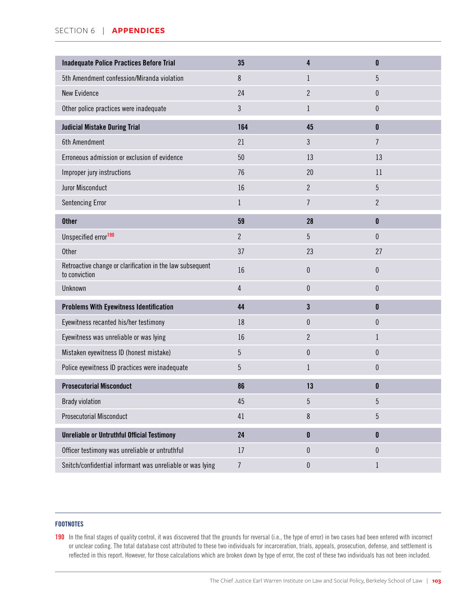| Inadequate Police Practices Before Trial                                   | 35             | 4                | $\mathbf{0}$     |
|----------------------------------------------------------------------------|----------------|------------------|------------------|
| 5th Amendment confession/Miranda violation                                 | 8              | 1                | $\overline{5}$   |
| <b>New Evidence</b>                                                        | 24             | $\overline{2}$   | $\boldsymbol{0}$ |
| Other police practices were inadequate                                     | 3              | $\mathbf{1}$     | $\pmb{0}$        |
| <b>Judicial Mistake During Trial</b>                                       | 164            | 45               | $\mathbf{0}$     |
| 6th Amendment                                                              | 21             | 3                | $\overline{7}$   |
| Erroneous admission or exclusion of evidence                               | 50             | 13               | 13               |
| Improper jury instructions                                                 | 76             | 20               | 11               |
| Juror Misconduct                                                           | 16             | $\overline{2}$   | 5                |
| <b>Sentencing Error</b>                                                    | $\mathbf{1}$   | $\overline{7}$   | $\overline{2}$   |
| <b>Other</b>                                                               | 59             | 28               | $\mathbf 0$      |
| Unspecified error <sup>190</sup>                                           | $\overline{2}$ | 5                | $\pmb{0}$        |
| <b>Other</b>                                                               | 37             | 23               | 27               |
| Retroactive change or clarification in the law subsequent<br>to conviction | 16             | $\bf{0}$         | $\pmb{0}$        |
| Unknown                                                                    | $\overline{4}$ | $\boldsymbol{0}$ | $\pmb{0}$        |
| <b>Problems With Eyewitness Identification</b>                             | 44             | $\mathbf{3}$     | $\mathbf{0}$     |
| Eyewitness recanted his/her testimony                                      | 18             | $\boldsymbol{0}$ | $\boldsymbol{0}$ |
| Eyewitness was unreliable or was lying                                     | 16             | $\overline{2}$   | 1                |
| Mistaken eyewitness ID (honest mistake)                                    | 5              | $\boldsymbol{0}$ | $\boldsymbol{0}$ |
| Police eyewitness ID practices were inadequate                             | 5              | $\mathbf{1}$     | $\boldsymbol{0}$ |
| <b>Prosecutorial Misconduct</b>                                            | 86             | 13               | 0                |
| <b>Brady violation</b>                                                     | 45             | 5                | $\overline{5}$   |
| <b>Prosecutorial Misconduct</b>                                            | 41             | $\,8\,$          | $\overline{5}$   |
| <b>Unreliable or Untruthful Official Testimony</b>                         | 24             | $\pmb{0}$        | $\mathbf 0$      |
| Officer testimony was unreliable or untruthful                             | 17             | $\boldsymbol{0}$ | $\pmb{0}$        |
| Snitch/confidential informant was unreliable or was lying                  | $\overline{7}$ | $\pmb{0}$        | 1                |

#### FOOTNOTES

190 In the final stages of quality control, it was discovered that the grounds for reversal (i.e., the type of error) in two cases had been entered with incorrect or unclear coding. The total database cost attributed to these two individuals for incarceration, trials, appeals, prosecution, defense, and settlement is reflected in this report. However, for those calculations which are broken down by type of error, the cost of these two individuals has not been included.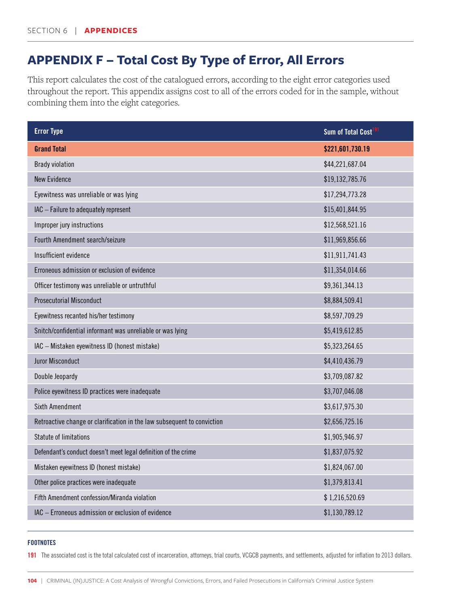# **APPENDIX F – Total Cost By Type of Error, All Errors**

This report calculates the cost of the catalogued errors, according to the eight error categories used throughout the report. This appendix assigns cost to all of the errors coded for in the sample, without combining them into the eight categories.

| <b>Error Type</b>                                                       | Sum of Total Cost <sup>191</sup> |
|-------------------------------------------------------------------------|----------------------------------|
| <b>Grand Total</b>                                                      | \$221,601,730.19                 |
| <b>Brady violation</b>                                                  | \$44,221,687.04                  |
| <b>New Evidence</b>                                                     | \$19,132,785.76                  |
| Eyewitness was unreliable or was lying                                  | \$17,294,773.28                  |
| IAC - Failure to adequately represent                                   | \$15,401,844.95                  |
| Improper jury instructions                                              | \$12,568,521.16                  |
| Fourth Amendment search/seizure                                         | \$11,969,856.66                  |
| Insufficient evidence                                                   | \$11,911,741.43                  |
| Erroneous admission or exclusion of evidence                            | \$11,354,014.66                  |
| Officer testimony was unreliable or untruthful                          | \$9,361,344.13                   |
| <b>Prosecutorial Misconduct</b>                                         | \$8,884,509.41                   |
| Eyewitness recanted his/her testimony                                   | \$8,597,709.29                   |
| Snitch/confidential informant was unreliable or was lying               | \$5,419,612.85                   |
| IAC - Mistaken eyewitness ID (honest mistake)                           | \$5,323,264.65                   |
| <b>Juror Misconduct</b>                                                 | \$4,410,436.79                   |
| Double Jeopardy                                                         | \$3,709,087.82                   |
| Police eyewitness ID practices were inadequate                          | \$3,707,046.08                   |
| <b>Sixth Amendment</b>                                                  | \$3,617,975.30                   |
| Retroactive change or clarification in the law subsequent to conviction | \$2,656,725.16                   |
| <b>Statute of limitations</b>                                           | \$1,905,946.97                   |
| Defendant's conduct doesn't meet legal definition of the crime          | \$1,837,075.92                   |
| Mistaken eyewitness ID (honest mistake)                                 | \$1,824,067.00                   |
| Other police practices were inadequate                                  | \$1,379,813.41                   |
| Fifth Amendment confession/Miranda violation                            | \$1,216,520.69                   |
| IAC - Erroneous admission or exclusion of evidence                      | \$1,130,789.12                   |

#### **FOOTNOTES**

191 The associated cost is the total calculated cost of incarceration, attorneys, trial courts, VCGCB payments, and settlements, adjusted for inflation to 2013 dollars.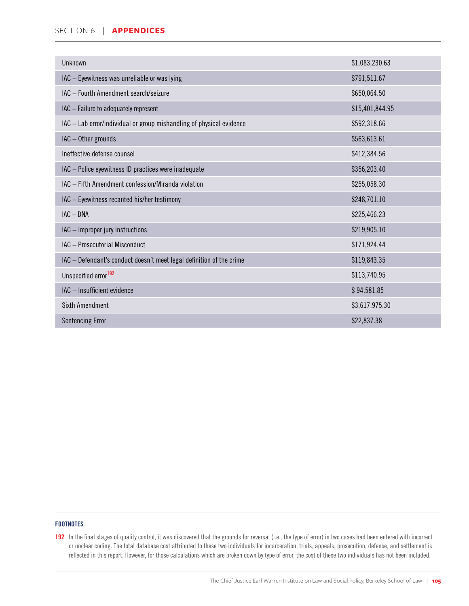#### SECTION 6 | **APPENDICES**

| Unknown                                                              | \$1,083,230.63  |
|----------------------------------------------------------------------|-----------------|
| IAC - Eyewitness was unreliable or was lying                         | \$791,511.67    |
| IAC - Fourth Amendment search/seizure                                | \$650,064.50    |
| IAC - Failure to adequately represent                                | \$15,401,844.95 |
| IAC - Lab error/individual or group mishandling of physical evidence | \$592,318.66    |
| IAC - Other grounds                                                  | \$563,613.61    |
| Ineffective defense counsel                                          | \$412,384.56    |
| IAC - Police eyewitness ID practices were inadequate                 | \$356,203.40    |
| IAC - Fifth Amendment confession/Miranda violation                   | \$255,058.30    |
| IAC - Eyewitness recanted his/her testimony                          | \$248,701.10    |
| $IAC - DNA$                                                          | \$225,466.23    |
| IAC - Improper jury instructions                                     | \$219,905.10    |
| IAC - Prosecutorial Misconduct                                       | \$171,924.44    |
| IAC - Defendant's conduct doesn't meet legal definition of the crime | \$119,843.35    |
| Unspecified error <sup>192</sup>                                     | \$113,740.95    |
| IAC - Insufficient evidence                                          | \$94,581.85     |
| Sixth Amendment                                                      | \$3,617,975.30  |
| <b>Sentencing Error</b>                                              | \$22,837.38     |

#### FOOTNOTES

192 In the final stages of quality control, it was discovered that the grounds for reversal (i.e., the type of error) in two cases had been entered with incorrect or unclear coding. The total database cost attributed to these two individuals for incarceration, trials, appeals, prosecution, defense, and settlement is reflected in this report. However, for those calculations which are broken down by type of error, the cost of these two individuals has not been included.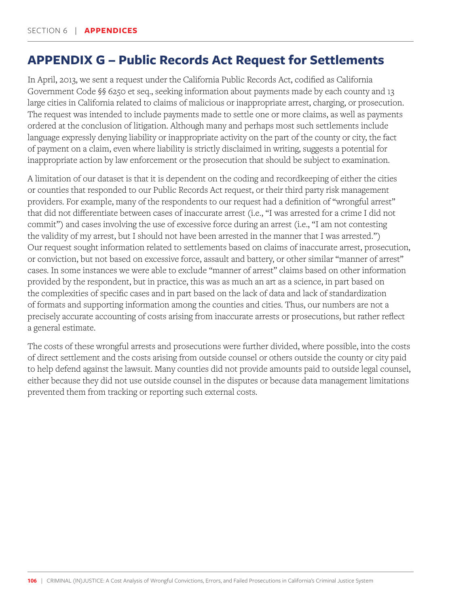# **APPENDIX G – Public Records Act Request for Settlements**

In April, 2013, we sent a request under the California Public Records Act, codified as California Government Code §§ 6250 et seq., seeking information about payments made by each county and 13 large cities in California related to claims of malicious or inappropriate arrest, charging, or prosecution. The request was intended to include payments made to settle one or more claims, as well as payments ordered at the conclusion of litigation. Although many and perhaps most such settlements include language expressly denying liability or inappropriate activity on the part of the county or city, the fact of payment on a claim, even where liability is strictly disclaimed in writing, suggests a potential for inappropriate action by law enforcement or the prosecution that should be subject to examination.

A limitation of our dataset is that it is dependent on the coding and recordkeeping of either the cities or counties that responded to our Public Records Act request, or their third party risk management providers. For example, many of the respondents to our request had a definition of "wrongful arrest" that did not differentiate between cases of inaccurate arrest (i.e., "I was arrested for a crime I did not commit") and cases involving the use of excessive force during an arrest (i.e., "I am not contesting the validity of my arrest, but I should not have been arrested in the manner that I was arrested.") Our request sought information related to settlements based on claims of inaccurate arrest, prosecution, or conviction, but not based on excessive force, assault and battery, or other similar "manner of arrest" cases. In some instances we were able to exclude "manner of arrest" claims based on other information provided by the respondent, but in practice, this was as much an art as a science, in part based on the complexities of specific cases and in part based on the lack of data and lack of standardization of formats and supporting information among the counties and cities. Thus, our numbers are not a precisely accurate accounting of costs arising from inaccurate arrests or prosecutions, but rather reflect a general estimate.

The costs of these wrongful arrests and prosecutions were further divided, where possible, into the costs of direct settlement and the costs arising from outside counsel or others outside the county or city paid to help defend against the lawsuit. Many counties did not provide amounts paid to outside legal counsel, either because they did not use outside counsel in the disputes or because data management limitations prevented them from tracking or reporting such external costs.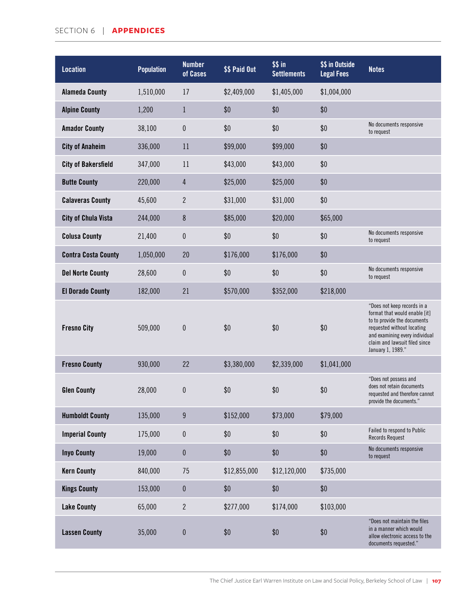## SECTION 6 | **APPENDICES**

| <b>Location</b>            | <b>Population</b> | <b>Number</b><br>of Cases | \$\$ Paid Out | \$ \$ in<br><b>Settlements</b> | \$\$ in Outside<br><b>Legal Fees</b> | <b>Notes</b>                                                                                                                                                                                                      |
|----------------------------|-------------------|---------------------------|---------------|--------------------------------|--------------------------------------|-------------------------------------------------------------------------------------------------------------------------------------------------------------------------------------------------------------------|
| <b>Alameda County</b>      | 1,510,000         | 17                        | \$2,409,000   | \$1,405,000                    | \$1,004,000                          |                                                                                                                                                                                                                   |
| <b>Alpine County</b>       | 1,200             | $\mathbf{1}$              | \$0           | \$0                            | \$0                                  |                                                                                                                                                                                                                   |
| <b>Amador County</b>       | 38,100            | 0                         | \$0           | \$0                            | \$0                                  | No documents responsive<br>to request                                                                                                                                                                             |
| <b>City of Anaheim</b>     | 336,000           | 11                        | \$99,000      | \$99,000                       | \$0                                  |                                                                                                                                                                                                                   |
| <b>City of Bakersfield</b> | 347,000           | 11                        | \$43,000      | \$43,000                       | \$0                                  |                                                                                                                                                                                                                   |
| <b>Butte County</b>        | 220,000           | $\overline{4}$            | \$25,000      | \$25,000                       | \$0                                  |                                                                                                                                                                                                                   |
| <b>Calaveras County</b>    | 45,600            | $\overline{2}$            | \$31,000      | \$31,000                       | \$0                                  |                                                                                                                                                                                                                   |
| <b>City of Chula Vista</b> | 244,000           | 8                         | \$85,000      | \$20,000                       | \$65,000                             |                                                                                                                                                                                                                   |
| <b>Colusa County</b>       | 21,400            | 0                         | \$0           | \$0                            | \$0                                  | No documents responsive<br>to request                                                                                                                                                                             |
| <b>Contra Costa County</b> | 1,050,000         | 20                        | \$176,000     | \$176,000                      | \$0                                  |                                                                                                                                                                                                                   |
| <b>Del Norte County</b>    | 28,600            | 0                         | \$0           | \$0                            | \$0                                  | No documents responsive<br>to request                                                                                                                                                                             |
| <b>El Dorado County</b>    | 182,000           | 21                        | \$570,000     | \$352,000                      | \$218,000                            |                                                                                                                                                                                                                   |
| <b>Fresno City</b>         | 509,000           | 0                         | \$0           | \$0                            | \$0                                  | "Does not keep records in a<br>format that would enable [it]<br>to to provide the documents<br>requested without locating<br>and examining every individual<br>claim and lawsuit filed since<br>January 1, 1989." |
| <b>Fresno County</b>       | 930,000           | 22                        | \$3,380,000   | \$2,339,000                    | \$1,041,000                          |                                                                                                                                                                                                                   |
| <b>Glen County</b>         | 28,000            | 0                         | \$0           | \$0                            | \$0                                  | "Does not possess and<br>does not retain documents<br>requested and therefore cannot<br>provide the documents."                                                                                                   |
| <b>Humboldt County</b>     | 135,000           | 9                         | \$152,000     | \$73,000                       | \$79,000                             |                                                                                                                                                                                                                   |
| <b>Imperial County</b>     | 175,000           | $\pmb{0}$                 | \$0           | \$0                            | \$0                                  | Failed to respond to Public<br><b>Records Request</b>                                                                                                                                                             |
| <b>Inyo County</b>         | 19,000            | $\pmb{0}$                 | \$0           | \$0                            | \$0                                  | No documents responsive<br>to request                                                                                                                                                                             |
| <b>Kern County</b>         | 840,000           | 75                        | \$12,855,000  | \$12,120,000                   | \$735,000                            |                                                                                                                                                                                                                   |
| <b>Kings County</b>        | 153,000           | $\bf{0}$                  | \$0           | \$0                            | \$0                                  |                                                                                                                                                                                                                   |
| <b>Lake County</b>         | 65,000            | $\overline{2}$            | \$277,000     | \$174,000                      | \$103,000                            |                                                                                                                                                                                                                   |
| <b>Lassen County</b>       | 35,000            | $\bf{0}$                  | \$0           | \$0                            | \$0                                  | "Does not maintain the files<br>in a manner which would<br>allow electronic access to the<br>documents requested."                                                                                                |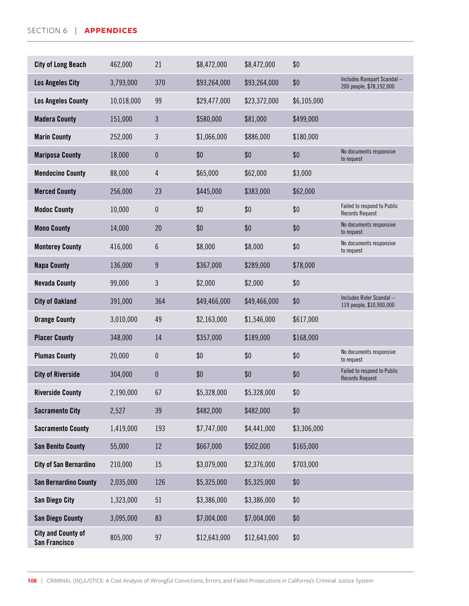## SECTION 6 | **APPENDICES**

| <b>City of Long Beach</b>                  | 462,000    | 21             | \$8,472,000  | \$8,472,000  | \$0         |                                                       |
|--------------------------------------------|------------|----------------|--------------|--------------|-------------|-------------------------------------------------------|
| <b>Los Angeles City</b>                    | 3,793,000  | 370            | \$93,264,000 | \$93,264,000 | \$0         | Includes Rampart Scandal-<br>200 people, \$78,192,000 |
| <b>Los Angeles County</b>                  | 10,018,000 | 99             | \$29,477,000 | \$23,372,000 | \$6,105,000 |                                                       |
| <b>Madera County</b>                       | 151,000    | $\mathfrak{Z}$ | \$580,000    | \$81,000     | \$499,000   |                                                       |
| <b>Marin County</b>                        | 252,000    | 3              | \$1,066,000  | \$886,000    | \$180,000   |                                                       |
| <b>Mariposa County</b>                     | 18,000     | $\pmb{0}$      | \$0          | \$0          | \$0         | No documents responsive<br>to request                 |
| <b>Mendocino County</b>                    | 88,000     | 4              | \$65,000     | \$62,000     | \$3,000     |                                                       |
| <b>Merced County</b>                       | 256,000    | 23             | \$445,000    | \$383,000    | \$62,000    |                                                       |
| <b>Modoc County</b>                        | 10,000     | 0              | \$0          | \$0          | \$0         | Failed to respond to Public<br><b>Records Request</b> |
| <b>Mono County</b>                         | 14,000     | 20             | \$0          | \$0          | \$0         | No documents responsive<br>to request                 |
| <b>Monterey County</b>                     | 416,000    | 6              | \$8,000      | \$8,000      | \$0         | No documents responsive<br>to request                 |
| <b>Napa County</b>                         | 136,000    | $9\phantom{.}$ | \$367,000    | \$289,000    | \$78,000    |                                                       |
| <b>Nevada County</b>                       | 99,000     | 3              | \$2,000      | \$2,000      | \$0         |                                                       |
| <b>City of Oakland</b>                     | 391,000    | 364            | \$49,466,000 | \$49,466,000 | \$0         | Includes Rider Scandal -<br>119 people, \$10,900,000  |
| <b>Orange County</b>                       | 3,010,000  | 49             | \$2,163,000  | \$1,546,000  | \$617,000   |                                                       |
| <b>Placer County</b>                       | 348,000    | 14             | \$357,000    | \$189,000    | \$168,000   |                                                       |
| <b>Plumas County</b>                       | 20,000     | $\pmb{0}$      | \$0          | \$0          | \$0         | No documents responsive<br>to request                 |
| <b>City of Riverside</b>                   | 304,000    | $\pmb{0}$      | \$0          | \$0          | \$0         | Failed to respond to Public<br><b>Records Request</b> |
| <b>Riverside County</b>                    | 2,190,000  | 67             | \$5,328,000  | \$5,328,000  | \$0         |                                                       |
| <b>Sacramento City</b>                     | 2,527      | 39             | \$482,000    | \$482,000    | \$0         |                                                       |
| <b>Sacramento County</b>                   | 1,419,000  | 193            | \$7,747,000  | \$4,441,000  | \$3,306,000 |                                                       |
| <b>San Benito County</b>                   | 55,000     | 12             | \$667,000    | \$502,000    | \$165,000   |                                                       |
| <b>City of San Bernardino</b>              | 210,000    | 15             | \$3,079,000  | \$2,376,000  | \$703,000   |                                                       |
| <b>San Bernardino County</b>               | 2,035,000  | 126            | \$5,325,000  | \$5,325,000  | \$0         |                                                       |
| <b>San Diego City</b>                      | 1,323,000  | 51             | \$3,386,000  | \$3,386,000  | \$0         |                                                       |
| <b>San Diego County</b>                    | 3,095,000  | 83             | \$7,004,000  | \$7,004,000  | \$0         |                                                       |
| <b>City and County of</b><br>San Francisco | 805,000    | 97             | \$12,643,000 | \$12,643,000 | \$0         |                                                       |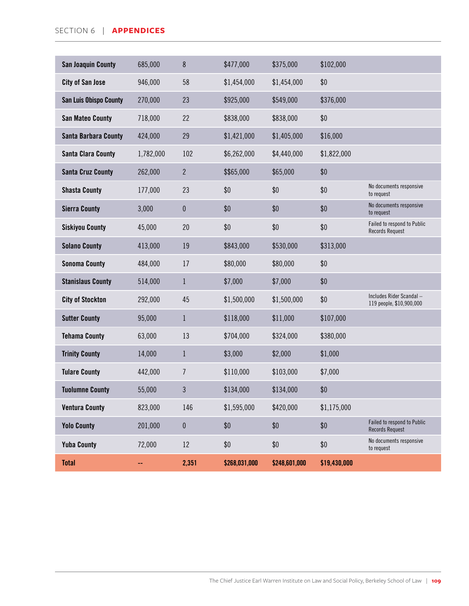| <b>San Joaquin County</b>     | 685,000   | 8              | \$477,000     | \$375,000     | \$102,000    |                                                       |
|-------------------------------|-----------|----------------|---------------|---------------|--------------|-------------------------------------------------------|
| <b>City of San Jose</b>       | 946,000   | 58             | \$1,454,000   | \$1,454,000   | \$0          |                                                       |
| <b>San Luis Obispo County</b> | 270,000   | 23             | \$925,000     | \$549,000     | \$376,000    |                                                       |
| <b>San Mateo County</b>       | 718,000   | 22             | \$838,000     | \$838,000     | \$0          |                                                       |
| <b>Santa Barbara County</b>   | 424,000   | 29             | \$1,421,000   | \$1,405,000   | \$16,000     |                                                       |
| <b>Santa Clara County</b>     | 1,782,000 | 102            | \$6,262,000   | \$4,440,000   | \$1,822,000  |                                                       |
| <b>Santa Cruz County</b>      | 262,000   | $\overline{2}$ | \$\$65,000    | \$65,000      | \$0          |                                                       |
| <b>Shasta County</b>          | 177,000   | 23             | \$0           | \$0           | \$0          | No documents responsive<br>to request                 |
| <b>Sierra County</b>          | 3,000     | $\bf{0}$       | \$0           | \$0           | \$0          | No documents responsive<br>to request                 |
| <b>Siskiyou County</b>        | 45,000    | 20             | \$0           | \$0           | \$0          | Failed to respond to Public<br><b>Records Request</b> |
| <b>Solano County</b>          | 413,000   | 19             | \$843,000     | \$530,000     | \$313,000    |                                                       |
| <b>Sonoma County</b>          | 484,000   | 17             | \$80,000      | \$80,000      | \$0          |                                                       |
| <b>Stanislaus County</b>      | 514,000   | $\mathbf{1}$   | \$7,000       | \$7,000       | \$0          |                                                       |
| <b>City of Stockton</b>       | 292,000   | 45             | \$1,500,000   | \$1,500,000   | \$0          | Includes Rider Scandal-<br>119 people, \$10,900,000   |
| <b>Sutter County</b>          | 95,000    | $\mathbf{1}$   | \$118,000     | \$11,000      | \$107,000    |                                                       |
| <b>Tehama County</b>          | 63,000    | 13             | \$704,000     | \$324,000     | \$380,000    |                                                       |
| <b>Trinity County</b>         | 14,000    | $\mathbf{1}$   | \$3,000       | \$2,000       | \$1,000      |                                                       |
| <b>Tulare County</b>          | 442,000   | $\overline{I}$ | \$110,000     | \$103,000     | \$7,000      |                                                       |
| <b>Tuolumne County</b>        | 55,000    | $\mathfrak{Z}$ | \$134,000     | \$134,000     | \$0          |                                                       |
| <b>Ventura County</b>         | 823,000   | 146            | \$1,595,000   | \$420,000     | \$1,175,000  |                                                       |
| <b>Yolo County</b>            | 201,000   | $\pmb{0}$      | \$0           | \$0           | \$0          | Failed to respond to Public<br>Records Request        |
| <b>Yuba County</b>            | 72,000    | 12             | \$0           | \$0           | \$0          | No documents responsive<br>to request                 |
| <b>Total</b>                  | 44        | 2,351          | \$268,031,000 | \$248,601,000 | \$19,430,000 |                                                       |